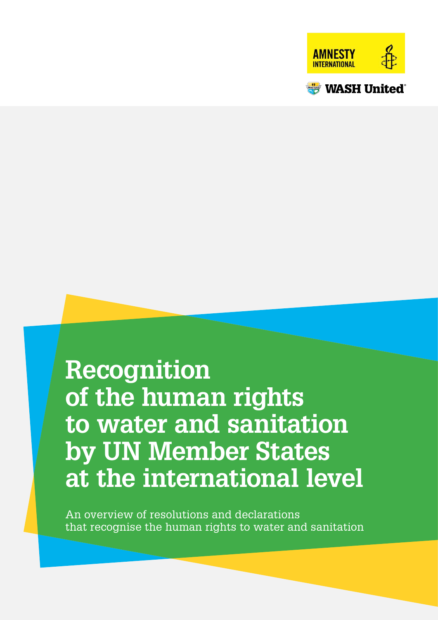



# **Recognition of the human rights to water and sanitation by UN Member States at the international level**

An overview of resolutions and declarations that recognise the human rights to water and sanitation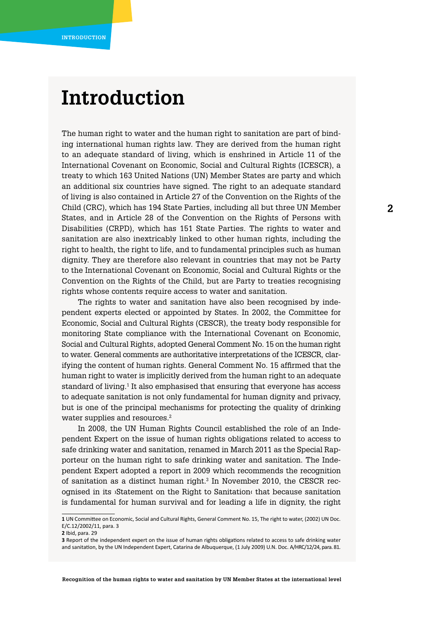# **Introduction**

The human right to water and the human right to sanitation are part of binding international human rights law. They are derived from the human right to an adequate standard of living, which is enshrined in Article 11 of the International Covenant on Economic, Social and Cultural Rights (ICESCR), a treaty to which 163 United Nations (UN) Member States are party and which an additional six countries have signed. The right to an adequate standard of living is also contained in Article 27 of the Convention on the Rights of the Child (CRC), which has 194 State Parties, including all but three UN Member States, and in Article 28 of the Convention on the Rights of Persons with Disabilities (CRPD), which has 151 State Parties. The rights to water and sanitation are also inextricably linked to other human rights, including the right to health, the right to life, and to fundamental principles such as human dignity. They are therefore also relevant in countries that may not be Party to the International Covenant on Economic, Social and Cultural Rights or the Convention on the Rights of the Child, but are Party to treaties recognising rights whose contents require access to water and sanitation.

The rights to water and sanitation have also been recognised by independent experts elected or appointed by States. In 2002, the Committee for Economic, Social and Cultural Rights (CESCR), the treaty body responsible for monitoring State compliance with the International Covenant on Economic, Social and Cultural Rights, adopted General Comment No. 15 on the human right to water. General comments are authoritative interpretations of the ICESCR, clarifying the content of human rights. General Comment No. 15 affirmed that the human right to water is implicitly derived from the human right to an adequate standard of living.<sup>1</sup> It also emphasised that ensuring that everyone has access to adequate sanitation is not only fundamental for human dignity and privacy, but is one of the principal mechanisms for protecting the quality of drinking water supplies and resources.<sup>2</sup>

In 2008, the UN Human Rights Council established the role of an Independent Expert on the issue of human rights obligations related to access to safe drinking water and sanitation, renamed in March 2011 as the Special Rapporteur on the human right to safe drinking water and sanitation. The Independent Expert adopted a report in 2009 which recommends the recognition of sanitation as a distinct human right. $3$  In November 2010, the CESCR recognised in its ›Statement on the Right to Sanitation‹ that because sanitation is fundamental for human survival and for leading a life in dignity, the right

**<sup>1</sup>** UN Committee on Economic, Social and Cultural Rights, General Comment No. 15, The right to water, (2002) UN Doc. E/C.12/2002/11, para. 3

**<sup>2</sup>** Ibid, para. 29

**<sup>3</sup>** Report of the independent expert on the issue of human rights obligations related to access to safe drinking water and sanitation, by the UN Independent Expert, Catarina de Albuquerque, (1 July 2009) U.N. Doc. A/HRC/12/24, para. 81.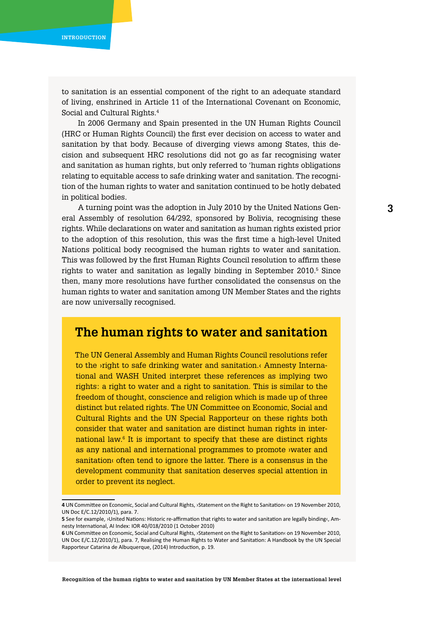<span id="page-2-0"></span>to sanitation is an essential component of the right to an adequate standard of living, enshrined in Article 11 of the International Covenant on Economic, Social and Cultural Rights.4

In 2006 Germany and Spain presented in the UN Human Rights Council (HRC or Human Rights Council) the first ever decision on access to water and sanitation by that body. Because of diverging views among States, this decision and subsequent HRC resolutions did not go as far recognising water and sanitation as human rights, but only referred to 'human rights obligations relating to equitable access to safe drinking water and sanitation. The recognition of the human rights to water and sanitation continued to be hotly debated in political bodies.

A turning point was the adoption in July 2010 by the United Nations General Assembly of resolution 64/292, sponsored by Bolivia, recognising these rights. While declarations on water and sanitation as human rights existed prior to the adoption of this resolution, this was the first time a high-level United Nations political body recognised the human rights to water and sanitation. This was followed by the first Human Rights Council resolution to affirm these rights to water and sanitation as legally binding in September 2010.<sup>5</sup> Since then, many more resolutions have further consolidated the consensus on the human rights to water and sanitation among UN Member States and the rights are now universally recognised.

## **The human rights to water and sanitation**

The UN General Assembly and Human Rights Council resolutions refer to the ›right to safe drinking water and sanitation.‹ Amnesty International and WASH United interpret these references as implying two rights: a right to water and a right to sanitation. This is similar to the freedom of thought, conscience and religion which is made up of three distinct but related rights. The UN Committee on Economic, Social and Cultural Rights and the UN Special Rapporteur on these rights both consider that water and sanitation are distinct human rights in international law.6 It is important to specify that these are distinct rights as any national and international programmes to promote ›water and sanitation‹ often tend to ignore the latter. There is a consensus in the development community that sanitation deserves special attention in order to prevent its neglect.

**<sup>4</sup>** UN Committee on Economic, Social and Cultural Rights, ›Statement on the Right to Sanitation‹ on 19 November 2010, UN Doc E/C.12/2010/1), para. 7.

**<sup>5</sup>** See for example, ›United Nations: Historic re-affirmation that rights to water and sanitation are legally binding‹, Amnesty International, AI Index: IOR 40/018/2010 (1 October 2010)

**<sup>6</sup>** UN Committee on Economic, Social and Cultural Rights, ›Statement on the Right to Sanitation‹ on 19 November 2010, UN Doc E/C.12/2010/1), para. 7, Realising the Human Rights to Water and Sanitation: A Handbook by the UN Special Rapporteur Catarina de Albuquerque, (2014) Introduction, p. 19.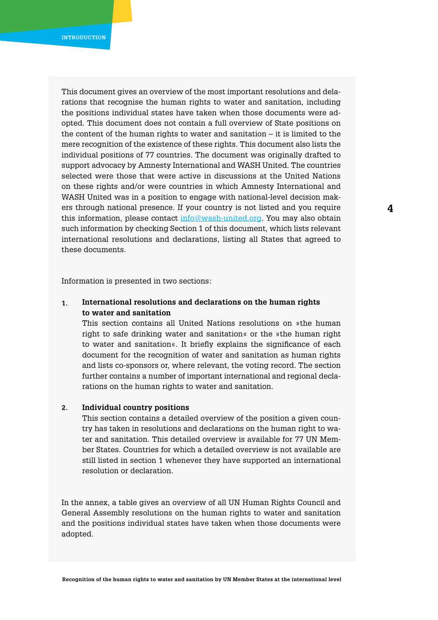This document gives an overview of the most important resolutions and delarations that recognise the human rights to water and sanitation, including the positions individual states have taken when those documents were adopted. This document does not contain a full overview of State positions on the content of the human rights to water and sanitation  $-$  it is limited to the mere recognition of the existence of these rights. This document also lists the individual positions of 77 countries. The document was originally drafted to support advocacy by Amnesty International and WASH United. The countries selected were those that were active in discussions at the United Nations on these rights and/or were countries in which Amnesty International and WASH United was in a position to engage with national-level decision makers through national presence. If your country is not listed and you require this information, please contact [info@wash-united.org](mailto:info@wash-united.org). You may also obtain such information by checking Section 1 of this document, which lists relevant international resolutions and declarations, listing all States that agreed to these documents.

Information is presented in two sections:

#### **International resolutions and declarations on the human rights to water and sanitation 1.**

This section contains all United Nations resolutions on »the human right to safe drinking water and sanitation« or the »the human right to water and sanitation«. It briefly explains the significance of each document for the recognition of water and sanitation as human rights and lists co-sponsors or, where relevant, the voting record. The section further contains a number of important international and regional declarations on the human rights to water and sanitation.

#### **Individual country positions 2.**

This section contains a detailed overview of the position a given country has taken in resolutions and declarations on the human right to water and sanitation. This detailed overview is available for 77 UN Member States. Countries for which a detailed overview is not available are still listed in section 1 whenever they have supported an international resolution or declaration.

In the annex, a table gives an overview of all UN Human Rights Council and General Assembly resolutions on the human rights to water and sanitation and the positions individual states have taken when those documents were adopted.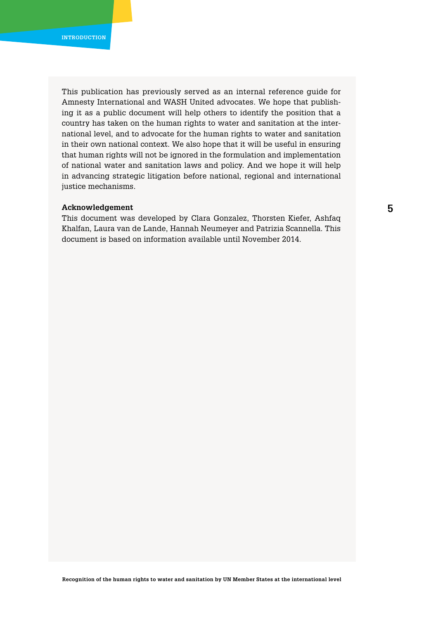This publication has previously served as an internal reference guide for Amnesty International and WASH United advocates. We hope that publishing it as a public document will help others to identify the position that a country has taken on the human rights to water and sanitation at the international level, and to advocate for the human rights to water and sanitation in their own national context. We also hope that it will be useful in ensuring that human rights will not be ignored in the formulation and implementation of national water and sanitation laws and policy. And we hope it will help in advancing strategic litigation before national, regional and international justice mechanisms.

### **Acknowledgement**

This document was developed by Clara Gonzalez, Thorsten Kiefer, Ashfaq Khalfan, Laura van de Lande, Hannah Neumeyer and Patrizia Scannella. This document is based on information available until November 2014.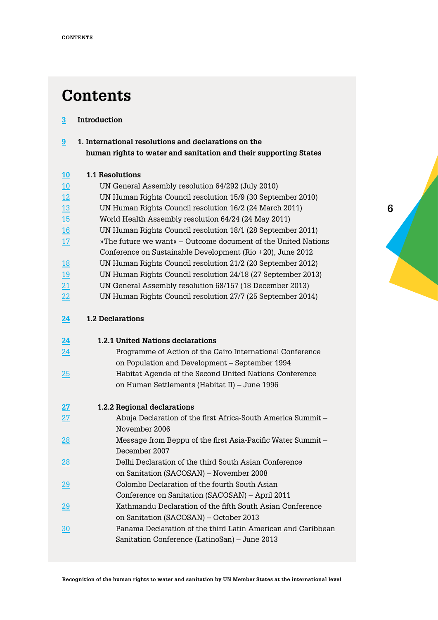## **Contents**

#### **[Introduction](#page-2-0) [3](#page-2-0)**

**[1. International resolutions and declarations on the](#page-8-0)   [human rights to water and sanitation and their supporting States](#page-8-0) [9](#page-8-0)**

### **[1.1 Resolutions](#page-9-0) [10](#page-9-0)**

| 10        | UN General Assembly resolution 64/292 (July 2010)               |
|-----------|-----------------------------------------------------------------|
| 12        | UN Human Rights Council resolution 15/9 (30 September 2010)     |
| 13        | UN Human Rights Council resolution 16/2 (24 March 2011)         |
| 15        | World Health Assembly resolution 64/24 (24 May 2011)            |
| 16        | UN Human Rights Council resolution 18/1 (28 September 2011)     |
| 17        | » The future we want « – Outcome document of the United Nations |
|           | Conference on Sustainable Development (Rio +20), June 2012      |
| <u>18</u> | UN Human Rights Council resolution 21/2 (20 September 2012)     |
| <u>19</u> | UN Human Rights Council resolution 24/18 (27 September 2013)    |
|           |                                                                 |

- [UN General Assembly resolution 68/157 \(18 December 2013\)](#page-20-0) [21](#page-20-0)
- [UN Human Rights Council resolution 27/7 \(25 September 2014\)](#page-21-0) [22](#page-21-0)

#### **[1.2 Declarations](#page-23-0) [24](#page-23-0)**

| <u>24</u>       | <b>1.2.1 United Nations declarations</b>                     |
|-----------------|--------------------------------------------------------------|
| 24              | Programme of Action of the Cairo International Conference    |
|                 | on Population and Development – September 1994               |
| <u> 25</u>      | Habitat Agenda of the Second United Nations Conference       |
|                 | on Human Settlements (Habitat II) – June 1996                |
| 27              | 1.2.2 Regional declarations                                  |
| 27              | Abuja Declaration of the first Africa-South America Summit – |
|                 | November 2006                                                |
| $\overline{28}$ | Message from Beppu of the first Asia-Pacific Water Summit –  |
|                 | December 2007                                                |
| $\overline{28}$ | Delhi Declaration of the third South Asian Conference        |
|                 | on Sanitation (SACOSAN) – November 2008                      |
| <u>29</u>       | Colombo Declaration of the fourth South Asian                |
|                 | Conference on Sanitation (SACOSAN) – April 2011              |
| $\overline{29}$ | Kathmandu Declaration of the fifth South Asian Conference    |
|                 | on Sanitation (SACOSAN) – October 2013                       |
| <u>30</u>       | Panama Declaration of the third Latin American and Caribbean |
|                 | Sanitation Conference (LatinoSan) – June 2013                |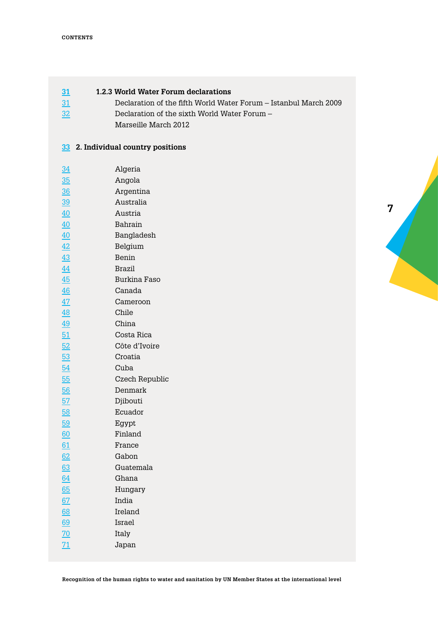[32](#page-31-0)

#### **[1.2.3 World Water Forum declarations](#page-30-0) [31](#page-30-0)**

- [Declaration of the fifth World Water Forum Istanbul March 2009](#page-30-0) [31](#page-30-0)
	- [Declaration of the sixth World Water Forum](#page-31-0) 
		- [Marseille March 2012](#page-31-0)

### **2. [Individual country positions](#page-32-0) [33](#page-32-0)**

| $\frac{34}{5}$  | Algeria        |
|-----------------|----------------|
| 35              | Angola         |
| $\frac{36}{5}$  | Argentina      |
| $\frac{39}{2}$  | Australia      |
| 40              | Austria        |
| 40              | Bahrain        |
| 40              | Bangladesh     |
| 42              | Belgium        |
| 43              | Benin          |
| $\overline{44}$ | <b>Brazil</b>  |
| 45              | Burkina Faso   |
| 46              | Canada         |
| $\overline{47}$ | Cameroon       |
| 48              | Chile          |
| $\overline{49}$ | China          |
| 51              | Costa Rica     |
| 52              | Côte d'Ivoire  |
| 53              | Croatia        |
| 54              | Cuba           |
| 55              | Czech Republic |
| 56              | Denmark        |
| 57              | Djibouti       |
| 58              | Ecuador        |
| 59              | Egypt          |
| 60              | Finland        |
| 61              | France         |
| 62              | Gabon          |
| 63              | Guatemala      |
| 64              | Ghana          |
| 65              | Hungary        |
| <u>67</u>       | India          |
| 68              | Ireland        |
| 69              | Israel         |
| 70              | Italy          |
| $\overline{71}$ | Japan          |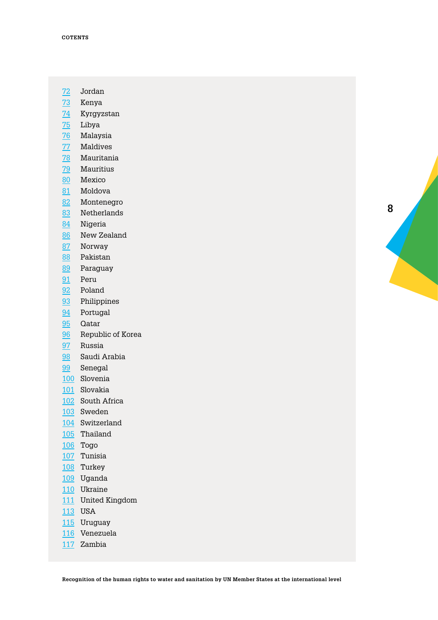- [Jordan](#page-71-0)
- [Kenya](#page-72-0)
- [Kyrgyzstan](#page-73-0)
- <mark>75</mark> [Libya](#page-74-0)
- [Malaysia](#page-75-0)
- [Maldives](#page-76-0)
- [Mauritania](#page-77-0)
- [Mauritius](#page-78-0)
- [Mexico](#page-79-0)
- [Moldova](#page-80-0)
- [Montenegro](#page-81-0)
- [Netherlands](#page-82-0)
- [Nigeria](#page-83-0)
- [New Zealand](#page-85-0)
- [Norway](#page-86-0)
- [Pakistan](#page-87-0)
- [Paraguay](#page-88-0)
- [Peru](#page-90-0)
- [Poland](#page-91-0)
- [Philippines](#page-92-0)
- [Portugal](#page-93-0)
- [Qatar](#page-94-0)
- [Republic of Korea](#page-95-0)
- [Russia](#page-96-0)
- [Saudi Arabia](#page-97-0)
- [Senegal](#page-98-0)
- [Slovenia](#page-99-0)
- [Slovakia](#page-100-0)
- [South Africa](#page-101-0)
- [Sweden](#page-102-0)
- [Switzerland](#page-103-0)
- [Thailand](#page-104-0)
- [Togo](#page-105-0)
- [Tunisia](#page-106-0)
- [Turkey](#page-107-0)
- [Uganda](#page-108-0)
- [Ukraine](#page-109-0)
- [United Kingdom](#page-110-0)
- [USA](#page-112-0)
- [Uruguay](#page-114-0)
- [Venezuela](#page-115-0)
- [Zambia](#page-116-0)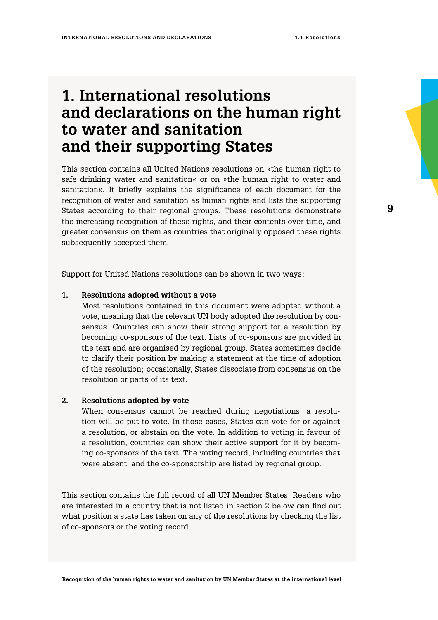## <span id="page-8-0"></span>**1. International resolutions and declarations on the human right to water and sanitation and their supporting States**

This section contains all United Nations resolutions on »the human right to safe drinking water and sanitation« or on »the human right to water and sanitation«. It briefly explains the significance of each document for the recognition of water and sanitation as human rights and lists the supporting States according to their regional groups. These resolutions demonstrate the increasing recognition of these rights, and their contents over time, and greater consensus on them as countries that originally opposed these rights subsequently accepted them.

Support for United Nations resolutions can be shown in two ways:

#### **Resolutions adopted without a vote 1.**

Most resolutions contained in this document were adopted without a vote, meaning that the relevant UN body adopted the resolution by consensus. Countries can show their strong support for a resolution by becoming co-sponsors of the text. Lists of co-sponsors are provided in the text and are organised by regional group. States sometimes decide to clarify their position by making a statement at the time of adoption of the resolution; occasionally, States dissociate from consensus on the resolution or parts of its text.

#### **Resolutions adopted by vote 2.**

When consensus cannot be reached during negotiations, a resolution will be put to vote. In those cases, States can vote for or against a resolution, or abstain on the vote. In addition to voting in favour of a resolution, countries can show their active support for it by becoming co-sponsors of the text. The voting record, including countries that were absent, and the co-sponsorship are listed by regional group.

This section contains the full record of all UN Member States. Readers who are interested in a country that is not listed in section 2 below can find out what position a state has taken on any of the resolutions by checking the list of co-sponsors or the voting record.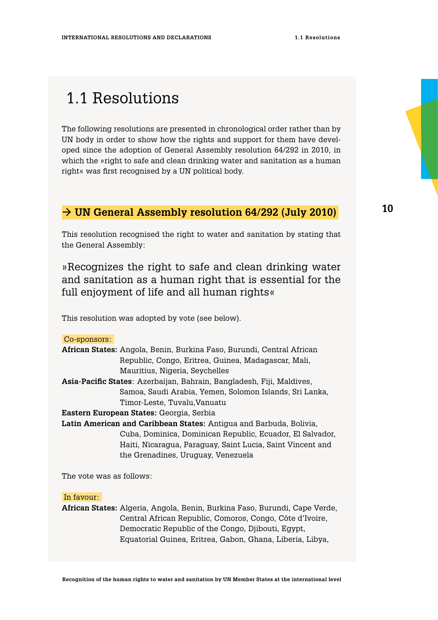## <span id="page-9-0"></span>1.1 Resolutions

The following resolutions are presented in chronological order rather than by UN body in order to show how the rights and support for them have developed since the adoption of General Assembly resolution 64/292 in 2010, in which the »right to safe and clean drinking water and sanitation as a human right« was first recognised by a UN political body.

### **UN General Assembly resolution 64/292 (July 2010)**

This resolution recognised the right to water and sanitation by stating that the General Assembly:

»Recognizes the right to safe and clean drinking water and sanitation as a human right that is essential for the full enjoyment of life and all human rights«

This resolution was adopted by vote (see below).

### Co-sponsors:

| African States: Angola, Benin, Burkina Faso, Burundi, Central African |  |
|-----------------------------------------------------------------------|--|
| Republic, Congo, Eritrea, Guinea, Madagascar, Mali,                   |  |
| Mauritius, Nigeria, Seychelles                                        |  |
| Asia-Pacific States: Azerbaijan, Bahrain, Bangladesh, Fiji, Maldives, |  |
| Samoa, Saudi Arabia, Yemen, Solomon Islands, Sri Lanka,               |  |
| Timor-Leste, Tuvalu, Vanuatu                                          |  |
| Eastern European States: Georgia, Serbia                              |  |
| Latin American and Caribbean States: Antigua and Barbuda, Bolivia,    |  |
| Cuba, Dominica, Dominican Republic, Ecuador, El Salvador,             |  |
| Haiti, Nicaragua, Paraguay, Saint Lucia, Saint Vincent and            |  |

the Grenadines, Uruguay, Venezuela

The vote was as follows:

### In favour:

**African States:** Algeria, Angola, Benin, Burkina Faso, Burundi, Cape Verde, Central African Republic, Comoros, Congo, Côte d'Ivoire, Democratic Republic of the Congo, Djibouti, Egypt, Equatorial Guinea, Eritrea, Gabon, Ghana, Liberia, Libya,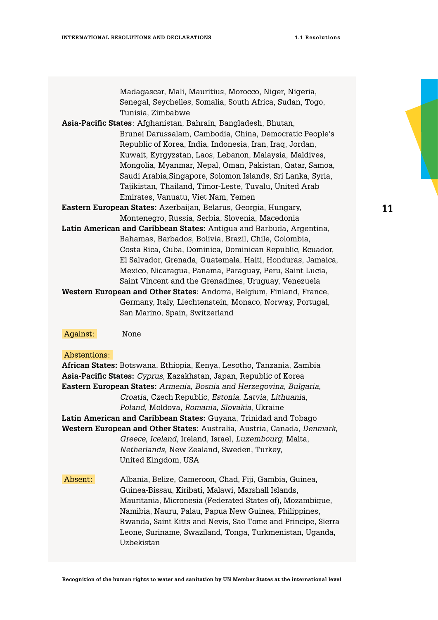Madagascar, Mali, Mauritius, Morocco, Niger, Nigeria, Senegal, Seychelles, Somalia, South Africa, Sudan, Togo, Tunisia, Zimbabwe **Asia-Pacific States**: Afghanistan, Bahrain, Bangladesh, Bhutan, Brunei Darussalam, Cambodia, China, Democratic People's Republic of Korea, India, Indonesia, Iran, Iraq, Jordan, Kuwait, Kyrgyzstan, Laos, Lebanon, Malaysia, Maldives, Mongolia, Myanmar, Nepal, Oman, Pakistan, Qatar, Samoa, Saudi Arabia,Singapore, Solomon Islands, Sri Lanka, Syria, Tajikistan, Thailand, Timor-Leste, Tuvalu, United Arab Emirates, Vanuatu, Viet Nam, Yemen **Eastern European States:** Azerbaijan, Belarus, Georgia, Hungary, Montenegro, Russia, Serbia, Slovenia, Macedonia **Latin American and Caribbean States:** Antigua and Barbuda, Argentina, Bahamas, Barbados, Bolivia, Brazil, Chile, Colombia, Costa Rica, Cuba, Dominica, Dominican Republic, Ecuador, El Salvador, Grenada, Guatemala, Haiti, Honduras, Jamaica, Mexico, Nicaragua, Panama, Paraguay, Peru, Saint Lucia, Saint Vincent and the Grenadines, Uruguay, Venezuela **Western European and Other States:** Andorra, Belgium, Finland, France, Germany, Italy, Liechtenstein, Monaco, Norway, Portugal, San Marino, Spain, Switzerland

Against: None

### Abstentions:

**African States:** Botswana, Ethiopia, Kenya, Lesotho, Tanzania, Zambia **Asia-Pacific States:** *Cyprus,* Kazakhstan, Japan, Republic of Korea **Eastern European States:** *Armenia*, *Bosnia and Herzegovina*, *Bulgaria*, *Croatia*, Czech Republic, *Estonia*, *Latvia*, *Lithuania*, *Poland*, Moldova, *Romania*, *Slovakia*, Ukraine **Latin American and Caribbean States:** Guyana, Trinidad and Tobago **Western European and Other States:** Australia, Austria, Canada, *Denmark*, *Greece*, *Iceland*, Ireland, Israel, *Luxembourg*, Malta, *Netherlands*, New Zealand, Sweden, Turkey, United Kingdom, USA Absent: Albania, Belize, Cameroon, Chad, Fiji, Gambia, Guinea, Guinea-Bissau, Kiribati, Malawi, Marshall Islands, Mauritania, Micronesia (Federated States of), Mozambique, Namibia, Nauru, Palau, Papua New Guinea, Philippines, Rwanda, Saint Kitts and Nevis, Sao Tome and Principe, Sierra Leone, Suriname, Swaziland, Tonga, Turkmenistan, Uganda, Uzbekistan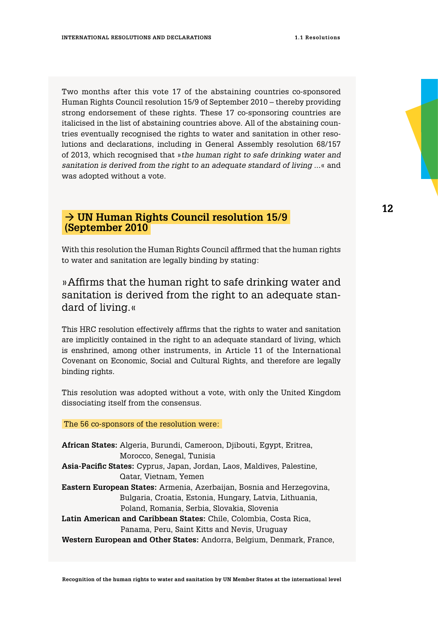<span id="page-11-0"></span>Two months after this vote 17 of the abstaining countries co-sponsored Human Rights Council resolution 15/9 of September 2010 – thereby providing strong endorsement of these rights. These 17 co-sponsoring countries are italicised in the list of abstaining countries above. All of the abstaining countries eventually recognised the rights to water and sanitation in other resolutions and declarations, including in General Assembly resolution 68/157 of 2013, which recognised that »*the human right to safe drinking water and sanitation is derived from the right to an adequate standard of living ...*« and was adopted without a vote.

### → UN Human Rights Council resolution 15/9  **(September 2010**

With this resolution the Human Rights Council affirmed that the human rights to water and sanitation are legally binding by stating:

## »Affirms that the human right to safe drinking water and sanitation is derived from the right to an adequate standard of living.«

This HRC resolution effectively affirms that the rights to water and sanitation are implicitly contained in the right to an adequate standard of living, which is enshrined, among other instruments, in Article 11 of the International Covenant on Economic, Social and Cultural Rights, and therefore are legally binding rights.

This resolution was adopted without a vote, with only the United Kingdom dissociating itself from the consensus.

### The 56 co-sponsors of the resolution were:

**African States:** Algeria, Burundi, Cameroon, Djibouti, Egypt, Eritrea, Morocco, Senegal, Tunisia **Asia-Pacific States:** Cyprus, Japan, Jordan, Laos, Maldives, Palestine, Qatar, Vietnam, Yemen **Eastern European States:** Armenia, Azerbaijan, Bosnia and Herzegovina, Bulgaria, Croatia, Estonia, Hungary, Latvia, Lithuania, Poland, Romania, Serbia, Slovakia, Slovenia **Latin American and Caribbean States:** Chile, Colombia, Costa Rica, Panama, Peru, Saint Kitts and Nevis, Uruguay **Western European and Other States:** Andorra, Belgium, Denmark, France,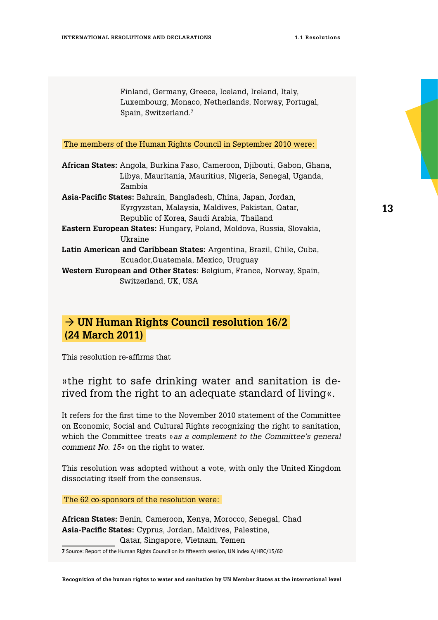<span id="page-12-0"></span>Finland, Germany, Greece, Iceland, Ireland, Italy, Luxembourg, Monaco, Netherlands, Norway, Portugal, Spain, Switzerland.7

The members of the Human Rights Council in September 2010 were:

**African States:** Angola, Burkina Faso, Cameroon, Djibouti, Gabon, Ghana, Libya, Mauritania, Mauritius, Nigeria, Senegal, Uganda, Zambia **Asia-Pacific States:** Bahrain, Bangladesh, China, Japan, Jordan,

Kyrgyzstan, Malaysia, Maldives, Pakistan, Qatar, Republic of Korea, Saudi Arabia, Thailand

- **Eastern European States:** Hungary, Poland, Moldova, Russia, Slovakia, Ukraine
- **Latin American and Caribbean States:** Argentina, Brazil, Chile, Cuba, Ecuador,Guatemala, Mexico, Uruguay
- **Western European and Other States:** Belgium, France, Norway, Spain, Switzerland, UK, USA

### → UN Human Rights Council resolution 16/2  **(24 March 2011)**

This resolution re-affirms that

## »the right to safe drinking water and sanitation is derived from the right to an adequate standard of living«.

It refers for the first time to the November 2010 statement of the Committee on Economic, Social and Cultural Rights recognizing the right to sanitation, which the Committee treats »*as a complement to the Committee's general comment No. 15*« on the right to water.

This resolution was adopted without a vote, with only the United Kingdom dissociating itself from the consensus.

The 62 co-sponsors of the resolution were:

**African States:** Benin, Cameroon, Kenya, Morocco, Senegal, Chad **Asia-Pacific States:** Cyprus, Jordan, Maldives, Palestine, Qatar, Singapore, Vietnam, Yemen

**7** Source: Report of the Human Rights Council on its fifteenth session, UN index A/HRC/15/60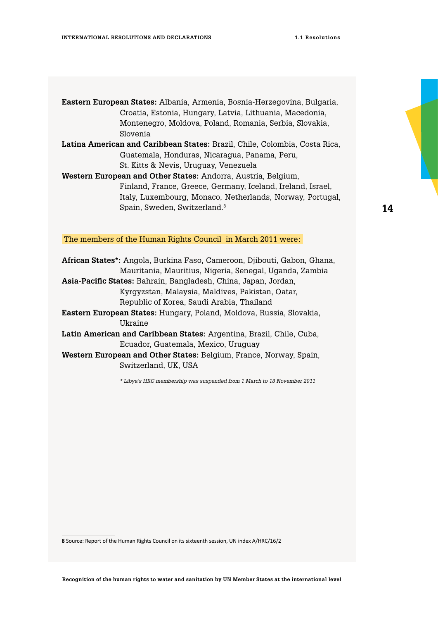**Eastern European States:** Albania, Armenia, Bosnia-Herzegovina, Bulgaria, Croatia, Estonia, Hungary, Latvia, Lithuania, Macedonia, Montenegro, Moldova, Poland, Romania, Serbia, Slovakia, Slovenia

**Latina American and Caribbean States:** Brazil, Chile, Colombia, Costa Rica, Guatemala, Honduras, Nicaragua, Panama, Peru, St. Kitts & Nevis, Uruguay, Venezuela

**Western European and Other States:** Andorra, Austria, Belgium, Finland, France, Greece, Germany, Iceland, Ireland, Israel, Italy, Luxembourg, Monaco, Netherlands, Norway, Portugal, Spain, Sweden, Switzerland.8

**14**

The members of the Human Rights Council in March 2011 were:

**African States\*:** Angola, Burkina Faso, Cameroon, Djibouti, Gabon, Ghana, Mauritania, Mauritius, Nigeria, Senegal, Uganda, Zambia

**Asia-Pacific States:** Bahrain, Bangladesh, China, Japan, Jordan, Kyrgyzstan, Malaysia, Maldives, Pakistan, Qatar, Republic of Korea, Saudi Arabia, Thailand

**Eastern European States:** Hungary, Poland, Moldova, Russia, Slovakia, Ukraine

**Latin American and Caribbean States:** Argentina, Brazil, Chile, Cuba, Ecuador, Guatemala, Mexico, Uruguay

**Western European and Other States:** Belgium, France, Norway, Spain, Switzerland, UK, USA

*\* Libya's HRC membership was suspended from 1 March to 18 November 2011*

**<sup>8</sup>** Source: Report of the Human Rights Council on its sixteenth session, UN index A/HRC/16/2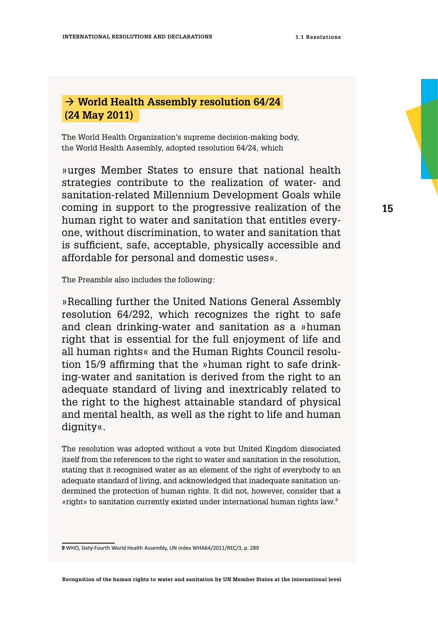## <span id="page-14-0"></span> **World Health Assembly resolution 64/24 (24 May 2011)**

The World Health Organization's supreme decision-making body, the World Health Assembly, adopted resolution 64/24, which

»urges Member States to ensure that national health strategies contribute to the realization of water- and sanitation-related Millennium Development Goals while coming in support to the progressive realization of the human right to water and sanitation that entitles everyone, without discrimination, to water and sanitation that is sufficient, safe, acceptable, physically accessible and affordable for personal and domestic uses«.

The Preamble also includes the following:

»Recalling further the United Nations General Assembly resolution 64/292, which recognizes the right to safe and clean drinking-water and sanitation as a »human right that is essential for the full enjoyment of life and all human rights« and the Human Rights Council resolution 15/9 affirming that the »human right to safe drinking-water and sanitation is derived from the right to an adequate standard of living and inextricably related to the right to the highest attainable standard of physical and mental health, as well as the right to life and human dignity«.

The resolution was adopted without a vote but United Kingdom dissociated itself from the references to the right to water and sanitation in the resolution, stating that it recognised water as an element of the right of everybody to an adequate standard of living, and acknowledged that inadequate sanitation undermined the protection of human rights. It did not, however, consider that a »right« to sanitation currently existed under international human rights law.9

**<sup>9</sup>** WHO, Sixty-Fourth World Health Assembly, UN index WHA64/2011/REC/3, p. 289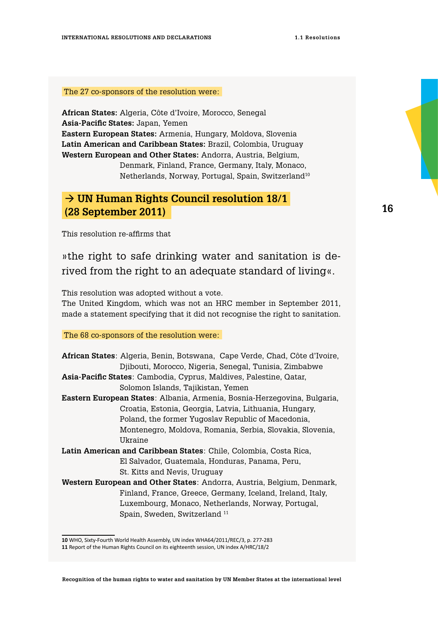<span id="page-15-0"></span>The 27 co-sponsors of the resolution were:

**African States:** Algeria, Côte d'Ivoire, Morocco, Senegal **Asia-Pacific States:** Japan, Yemen **Eastern European States:** Armenia, Hungary, Moldova, Slovenia **Latin American and Caribbean States:** Brazil, Colombia, Uruguay **Western European and Other States:** Andorra, Austria, Belgium,

Denmark, Finland, France, Germany, Italy, Monaco, Netherlands, Norway, Portugal, Spain, Switzerland10

## **UN Human Rights Council resolution 18/1 (28 September 2011)**

This resolution re-affirms that

»the right to safe drinking water and sanitation is derived from the right to an adequate standard of living«.

This resolution was adopted without a vote.

The United Kingdom, which was not an HRC member in September 2011, made a statement specifying that it did not recognise the right to sanitation.

The 68 co-sponsors of the resolution were:

| African States: Algeria, Benin, Botswana, Cape Verde, Chad, Côte d'Ivoire, |  |
|----------------------------------------------------------------------------|--|
| Djibouti, Morocco, Nigeria, Senegal, Tunisia, Zimbabwe                     |  |
| Asia-Pacific States: Cambodia, Cyprus, Maldives, Palestine, Qatar,         |  |
| Solomon Islands, Tajikistan, Yemen                                         |  |
| Eastern European States: Albania, Armenia, Bosnia-Herzegovina, Bulgaria,   |  |
| Croatia, Estonia, Georgia, Latvia, Lithuania, Hungary,                     |  |
| Poland, the former Yugoslav Republic of Macedonia,                         |  |
| Montenegro, Moldova, Romania, Serbia, Slovakia, Slovenia,                  |  |
| Ukraine                                                                    |  |
| Latin American and Caribbean States: Chile, Colombia, Costa Rica,          |  |
| El Salvador, Guatemala, Honduras, Panama, Peru,                            |  |
| St. Kitts and Nevis, Uruguay                                               |  |
| Western European and Other States: Andorra, Austria, Belgium, Denmark,     |  |
| Finland, France, Greece, Germany, Iceland, Ireland, Italy,                 |  |
| Luxembourg, Monaco, Netherlands, Norway, Portugal,                         |  |

Spain, Sweden, Switzerland 11

**<sup>10</sup>** WHO, Sixty-Fourth World Health Assembly, UN index WHA64/2011/REC/3, p. 277-283

**<sup>11</sup>** Report of the Human Rights Council on its eighteenth session, UN index A/HRC/18/2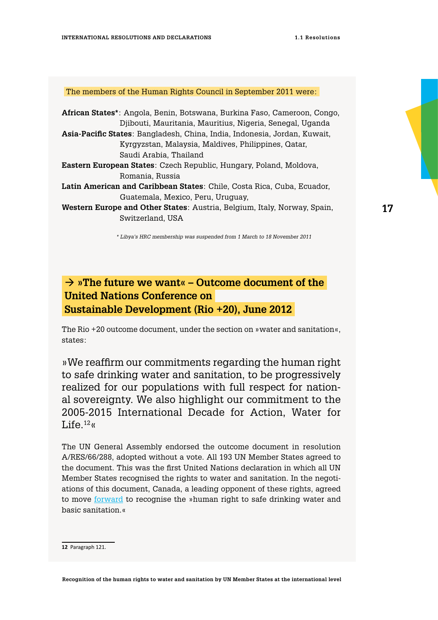#### <span id="page-16-0"></span>The members of the Human Rights Council in September 2011 were:

| African States*: Angola, Benin, Botswana, Burkina Faso, Cameroon, Congo,  |  |
|---------------------------------------------------------------------------|--|
| Djibouti, Mauritania, Mauritius, Nigeria, Senegal, Uganda                 |  |
| Asia-Pacific States: Bangladesh, China, India, Indonesia, Jordan, Kuwait, |  |
| Kyrgyzstan, Malaysia, Maldives, Philippines, Qatar,                       |  |
| Saudi Arabia, Thailand                                                    |  |
| <b>Eastern European States:</b> Czech Republic, Hungary, Poland, Moldova, |  |
| Romania, Russia                                                           |  |
| Latin American and Caribbean States: Chile, Costa Rica, Cuba, Ecuador,    |  |
| Guatemala, Mexico, Peru, Uruguay,                                         |  |
| Western Europe and Other States: Austria, Belgium, Italy, Norway, Spain,  |  |
| Switzerland. USA                                                          |  |
|                                                                           |  |

*\* Libya's HRC membership was suspended from 1 March to 18 November 2011*

## **»The future we want« – Outcome document of the United Nations Conference on Sustainable Development (Rio +20), June 2012**

The Rio +20 outcome document, under the section on »water and sanitation«, states:

»We reaffirm our commitments regarding the human right to safe drinking water and sanitation, to be progressively realized for our populations with full respect for national sovereignty. We also highlight our commitment to the 2005-2015 International Decade for Action, Water for Life $^{12}$ «

The UN General Assembly endorsed the outcome document in resolution A/RES/66/288, adopted without a vote. All 193 UN Member States agreed to the document. This was the first United Nations declaration in which all UN Member States recognised the rights to water and sanitation. In the negotiations of this document, Canada, a leading opponent of these rights, agreed to move [forward](http://www.un.org/ga/search/view_doc.asp?symbol=A/CONF.216/12) to recognise the »human right to safe drinking water and basic sanitation.«

**Recognition of the human rights to water and sanitation by UN Member States at the international level**

**<sup>12</sup>** Paragraph 121.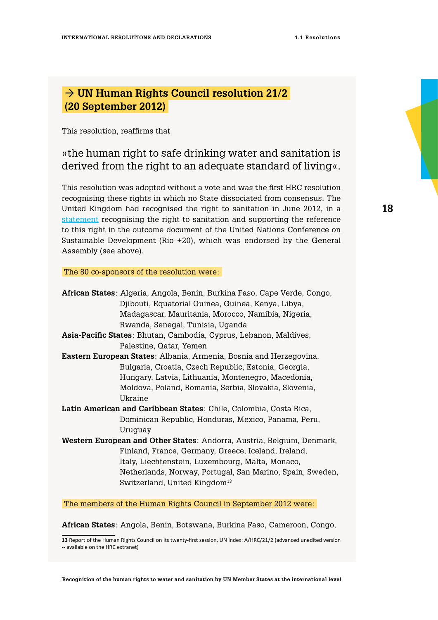## <span id="page-17-0"></span> **UN Human Rights Council resolution 21/2 (20 September 2012)**

This resolution, reaffirms that

### »the human right to safe drinking water and sanitation is derived from the right to an adequate standard of living«.

This resolution was adopted without a vote and was the first HRC resolution recognising these rights in which no State dissociated from consensus. The United Kingdom had recognised the right to sanitation in June 2012, in a [statement](https://www.gov.uk/government/news/uk-recognises-right-to-sanitation) recognising the right to sanitation and supporting the reference to this right in the outcome document of the United Nations Conference on Sustainable Development (Rio +20), which was endorsed by the General Assembly (see above).

#### The 80 co-sponsors of the resolution were:

|                                                                               | African States: Algeria, Angola, Benin, Burkina Faso, Cape Verde, Congo, |
|-------------------------------------------------------------------------------|--------------------------------------------------------------------------|
|                                                                               | Djibouti, Equatorial Guinea, Guinea, Kenya, Libya,                       |
|                                                                               | Madagascar, Mauritania, Morocco, Namibia, Nigeria,                       |
|                                                                               | Rwanda, Senegal, Tunisia, Uganda                                         |
|                                                                               | Asia-Pacific States: Bhutan, Cambodia, Cyprus, Lebanon, Maldives,        |
|                                                                               | Palestine, Qatar, Yemen                                                  |
| Eastern European States: Albania, Armenia, Bosnia and Herzegovina,            |                                                                          |
|                                                                               | Bulgaria, Croatia, Czech Republic, Estonia, Georgia,                     |
|                                                                               | Hungary, Latvia, Lithuania, Montenegro, Macedonia,                       |
|                                                                               | Moldova, Poland, Romania, Serbia, Slovakia, Slovenia,                    |
|                                                                               | Ukraine                                                                  |
| Latin American and Caribbean States: Chile, Colombia, Costa Rica,             |                                                                          |
|                                                                               | Dominican Republic, Honduras, Mexico, Panama, Peru,                      |
|                                                                               | Uruguay                                                                  |
| <b>Western European and Other States:</b> Andorra, Austria, Belgium, Denmark, |                                                                          |
|                                                                               | Finland, France, Germany, Greece, Iceland, Ireland,                      |
|                                                                               | Italy, Liechtenstein, Luxembourg, Malta, Monaco,                         |
|                                                                               | Netherlands, Norway, Portugal, San Marino, Spain, Sweden,                |
|                                                                               | Switzerland, United Kingdom <sup>13</sup>                                |
|                                                                               |                                                                          |

The members of the Human Rights Council in September 2012 were:

**African States**: Angola, Benin, Botswana, Burkina Faso, Cameroon, Congo,

**Recognition of the human rights to water and sanitation by UN Member States at the international level**

**<sup>13</sup>** Report of the Human Rights Council on its twenty-first session, UN index: A/HRC/21/2 (advanced unedited version -- available on the HRC extranet)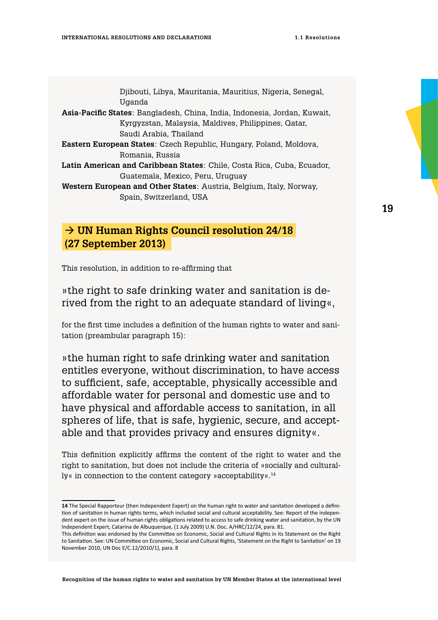<span id="page-18-0"></span>

| Djibouti, Libya, Mauritania, Mauritius, Nigeria, Senegal,                  |  |
|----------------------------------------------------------------------------|--|
| Uganda                                                                     |  |
| Asia-Pacific States: Bangladesh, China, India, Indonesia, Jordan, Kuwait,  |  |
| Kyrgyzstan, Malaysia, Maldives, Philippines, Qatar,                        |  |
| Saudi Arabia, Thailand                                                     |  |
| <b>Eastern European States</b> : Czech Republic, Hungary, Poland, Moldova, |  |
| Romania, Russia                                                            |  |
| Latin American and Caribbean States: Chile, Costa Rica, Cuba, Ecuador,     |  |
| Guatemala, Mexico, Peru, Uruguay                                           |  |
| <b>Western European and Other States: Austria, Belgium, Italy, Norway,</b> |  |
| Spain, Switzerland, USA                                                    |  |

## **UN Human Rights Council resolution 24/18 (27 September 2013)**

This resolution, in addition to re-affirming that

»the right to safe drinking water and sanitation is derived from the right to an adequate standard of living«,

for the first time includes a definition of the human rights to water and sanitation (preambular paragraph 15):

»the human right to safe drinking water and sanitation entitles everyone, without discrimination, to have access to sufficient, safe, acceptable, physically accessible and affordable water for personal and domestic use and to have physical and affordable access to sanitation, in all spheres of life, that is safe, hygienic, secure, and acceptable and that provides privacy and ensures dignity«.

This definition explicitly affirms the content of the right to water and the right to sanitation, but does not include the criteria of »socially and culturally« in connection to the content category »acceptability«.14

**<sup>14</sup>** The Special Rapporteur (then Independent Expert) on the human right to water and sanitation developed a definition of sanitation in human rights terms, which included social and cultural acceptability. See: Report of the independent expert on the issue of human rights obligations related to access to safe drinking water and sanitation, by the UN Independent Expert, Catarina de Albuquerque, (1 July 2009) U.N. Doc. A/HRC/12/24, para. 81.

This definition was endorsed by the Committee on Economic, Social and Cultural Rights in its Statement on the Right to Sanitation. See: UN Committee on Economic, Social and Cultural Rights, 'Statement on the Right to Sanitation' on 19 November 2010, UN Doc E/C.12/2010/1), para. 8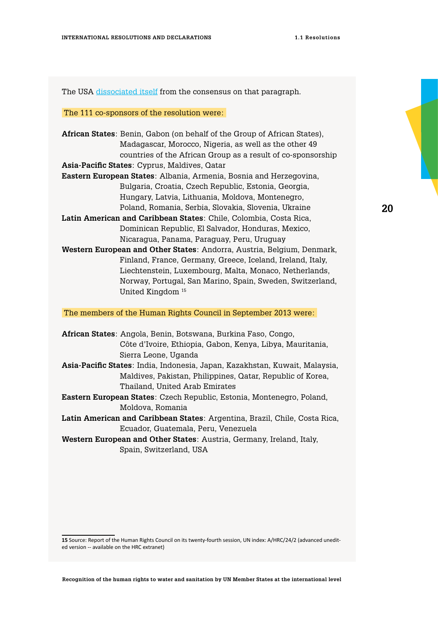The USA [dissociated itself](https://geneva.usmission.gov/2013/09/27/eop-the-human-right-to-safe-drinking-water-and-sanitation/) from the consensus on that paragraph.

The 111 co-sponsors of the resolution were:

**African States**: Benin, Gabon (on behalf of the Group of African States), Madagascar, Morocco, Nigeria, as well as the other 49 countries of the African Group as a result of co-sponsorship **Asia-Pacific States**: Cyprus, Maldives, Qatar **Eastern European States**: Albania, Armenia, Bosnia and Herzegovina, Bulgaria, Croatia, Czech Republic, Estonia, Georgia, Hungary, Latvia, Lithuania, Moldova, Montenegro, Poland, Romania, Serbia, Slovakia, Slovenia, Ukraine **Latin American and Caribbean States**: Chile, Colombia, Costa Rica, Dominican Republic, El Salvador, Honduras, Mexico, Nicaragua, Panama, Paraguay, Peru, Uruguay **Western European and Other States**: Andorra, Austria, Belgium, Denmark, Finland, France, Germany, Greece, Iceland, Ireland, Italy, Liechtenstein, Luxembourg, Malta, Monaco, Netherlands, Norway, Portugal, San Marino, Spain, Sweden, Switzerland, United Kingdom 15

The members of the Human Rights Council in September 2013 were:

**African States**: Angola, Benin, Botswana, Burkina Faso, Congo, Côte d'Ivoire, Ethiopia, Gabon, Kenya, Libya, Mauritania, Sierra Leone, Uganda **Asia-Pacific States**: India, Indonesia, Japan, Kazakhstan, Kuwait, Malaysia, Maldives, Pakistan, Philippines, Qatar, Republic of Korea, Thailand, United Arab Emirates **Eastern European States**: Czech Republic, Estonia, Montenegro, Poland,

Moldova, Romania

**Latin American and Caribbean States**: Argentina, Brazil, Chile, Costa Rica, Ecuador, Guatemala, Peru, Venezuela

**Western European and Other States**: Austria, Germany, Ireland, Italy, Spain, Switzerland, USA

**15** Source: Report of the Human Rights Council on its twenty-fourth session, UN index: A/HRC/24/2 (advanced unedited version -- available on the HRC extranet)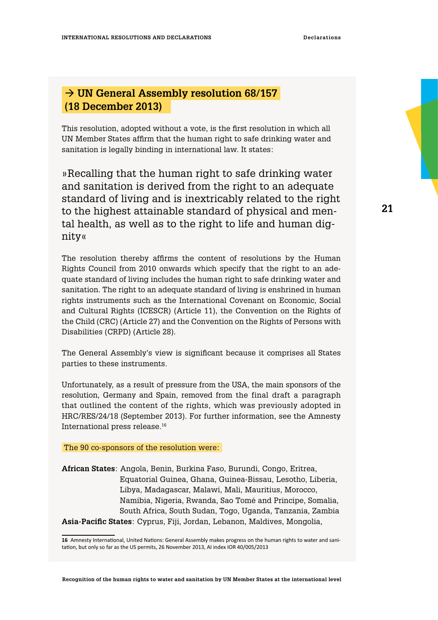## <span id="page-20-0"></span> **UN General Assembly resolution 68/157 (18 December 2013)**

This resolution, adopted without a vote, is the first resolution in which all UN Member States affirm that the human right to safe drinking water and sanitation is legally binding in international law. It states:

»Recalling that the human right to safe drinking water and sanitation is derived from the right to an adequate standard of living and is inextricably related to the right to the highest attainable standard of physical and mental health, as well as to the right to life and human dignity«

The resolution thereby affirms the content of resolutions by the Human Rights Council from 2010 onwards which specify that the right to an adequate standard of living includes the human right to safe drinking water and sanitation. The right to an adequate standard of living is enshrined in human rights instruments such as the International Covenant on Economic, Social and Cultural Rights (ICESCR) (Article 11), the Convention on the Rights of the Child (CRC) (Article 27) and the Convention on the Rights of Persons with Disabilities (CRPD) (Article 28).

The General Assembly's view is significant because it comprises all States parties to these instruments.

Unfortunately, as a result of pressure from the USA, the main sponsors of the resolution, Germany and Spain, removed from the final draft a paragraph that outlined the content of the rights, which was previously adopted in HRC/RES/24/18 (September 2013). For further information, see the Amnesty International press release.16

#### The 90 co-sponsors of the resolution were:

**African States**: Angola, Benin, Burkina Faso, Burundi, Congo, Eritrea, Equatorial Guinea, Ghana, Guinea-Bissau, Lesotho, Liberia, Libya, Madagascar, Malawi, Mali, Mauritius, Morocco, Namibia, Nigeria, Rwanda, Sao Tomé and Principe, Somalia, South Africa, South Sudan, Togo, Uganda, Tanzania, Zambia **Asia-Pacific States**: Cyprus, Fiji, Jordan, Lebanon, Maldives, Mongolia,

**<sup>16</sup>** Amnesty International, United Nations: General Assembly makes progress on the human rights to water and sanitation, but only so far as the US permits, 26 November 2013, AI index IOR 40/005/2013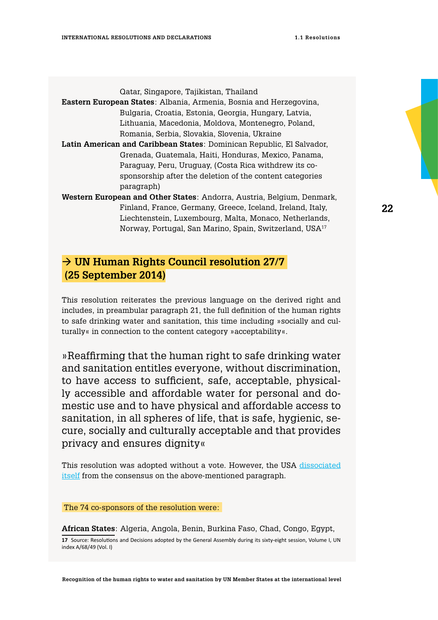<span id="page-21-0"></span>

| Qatar, Singapore, Tajikistan, Thailand                                 |  |
|------------------------------------------------------------------------|--|
| Eastern European States: Albania, Armenia, Bosnia and Herzegovina,     |  |
| Bulgaria, Croatia, Estonia, Georgia, Hungary, Latvia,                  |  |
| Lithuania, Macedonia, Moldova, Montenegro, Poland,                     |  |
| Romania, Serbia, Slovakia, Slovenia, Ukraine                           |  |
| Latin American and Caribbean States: Dominican Republic, El Salvador,  |  |
| Grenada, Guatemala, Haiti, Honduras, Mexico, Panama,                   |  |
| Paraguay, Peru, Uruguay, (Costa Rica withdrew its co-                  |  |
| sponsorship after the deletion of the content categories               |  |
| paragraph)                                                             |  |
| Western European and Other States: Andorra, Austria, Belgium, Denmark, |  |
| Finland, France, Germany, Greece, Iceland, Ireland, Italy,             |  |
| Liechtenstein, Luxembourg, Malta, Monaco, Netherlands,                 |  |

## **UN Human Rights Council resolution 27/7 (25 September 2014)**

This resolution reiterates the previous language on the derived right and includes, in preambular paragraph 21, the full definition of the human rights to safe drinking water and sanitation, this time including »socially and culturally« in connection to the content category »acceptability«.

Norway, Portugal, San Marino, Spain, Switzerland, USA17

»Reaffirming that the human right to safe drinking water and sanitation entitles everyone, without discrimination, to have access to sufficient, safe, acceptable, physically accessible and affordable water for personal and domestic use and to have physical and affordable access to sanitation, in all spheres of life, that is safe, hygienic, secure, socially and culturally acceptable and that provides privacy and ensures dignity«

This resolution was adopted without a vote. However, the USA [dissociated](https://geneva.usmission.gov/2014/09/25/explanation-of-position-the-human-right-to-safe-drinking-water-and-sanitation/) [itself](https://geneva.usmission.gov/2014/09/25/explanation-of-position-the-human-right-to-safe-drinking-water-and-sanitation/) from the consensus on the above-mentioned paragraph.

### The 74 co-sponsors of the resolution were:

**African States**: Algeria, Angola, Benin, Burkina Faso, Chad, Congo, Egypt, **17** Source: Resolutions and Decisions adopted by the General Assembly during its sixty-eight session, Volume I, UN index A/68/49 (Vol. I)

**Recognition of the human rights to water and sanitation by UN Member States at the international level**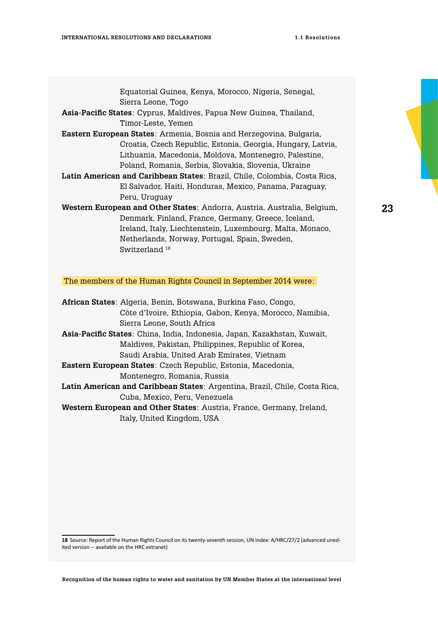| Equatorial Guinea, Kenya, Morocco, Nigeria, Senegal,                      |  |
|---------------------------------------------------------------------------|--|
| Sierra Leone, Togo                                                        |  |
| Asia-Pacific States: Cyprus, Maldives, Papua New Guinea, Thailand,        |  |
| Timor-Leste. Yemen                                                        |  |
| Eastern European States: Armenia, Bosnia and Herzegovina, Bulgaria,       |  |
| Croatia, Czech Republic, Estonia, Georgia, Hungary, Latvia,               |  |
| Lithuania, Macedonia, Moldova, Montenegro, Palestine,                     |  |
| Poland, Romania, Serbia, Slovakia, Slovenia, Ukraine                      |  |
| Latin American and Caribbean States: Brazil, Chile, Colombia, Costa Rica, |  |
| El Salvador, Haiti, Honduras, Mexico, Panama, Paraguay,                   |  |
| Peru, Uruguay                                                             |  |
| Western European and Other States: Andorra, Austria, Australia, Belgium,  |  |
| Denmark, Finland, France, Germany, Greece, Iceland,                       |  |
| Ireland, Italy, Liechtenstein, Luxembourg, Malta, Monaco,                 |  |
| Netherlands, Norway, Portugal, Spain, Sweden,                             |  |
| Switzerland <sup>18</sup>                                                 |  |

The members of the Human Rights Council in September 2014 were:

**<sup>18</sup>** Source: Report of the Human Rights Council on its twenty-seventh session, UN index: A/HRC/27/2 (advanced unedited version -- available on the HRC extranet)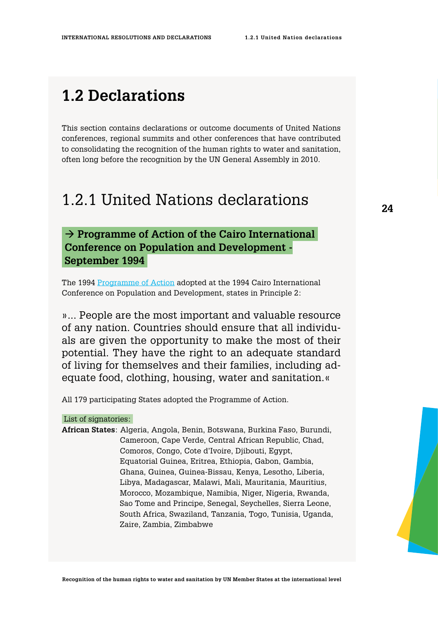## <span id="page-23-0"></span>**1.2 Declarations**

This section contains declarations or outcome documents of United Nations conferences, regional summits and other conferences that have contributed to consolidating the recognition of the human rights to water and sanitation, often long before the recognition by the UN General Assembly in 2010.

## 1.2.1 United Nations declarations

### **24**

## $\rightarrow$  Programme of Action of the Cairo International  **Conference on Population and Development - September 1994**

The 1994 [Programme of Action](http://www.unfpa.org/sites/default/files/pub-pdf/ICPD%20PoA%20English.pdf) adopted at the 1994 Cairo International Conference on Population and Development, states in Principle 2:

»... People are the most important and valuable resource of any nation. Countries should ensure that all individuals are given the opportunity to make the most of their potential. They have the right to an adequate standard of living for themselves and their families, including adequate food, clothing, housing, water and sanitation.«

All 179 participating States adopted the Programme of Action.

List of signatories:

**African States**: Algeria, Angola, Benin, Botswana, Burkina Faso, Burundi, Cameroon, Cape Verde, Central African Republic, Chad, Comoros, Congo, Cote d'Ivoire, Djibouti, Egypt, Equatorial Guinea, Eritrea, Ethiopia, Gabon, Gambia, Ghana, Guinea, Guinea-Bissau, Kenya, Lesotho, Liberia, Libya, Madagascar, Malawi, Mali, Mauritania, Mauritius, Morocco, Mozambique, Namibia, Niger, Nigeria, Rwanda, Sao Tome and Principe, Senegal, Seychelles, Sierra Leone, South Africa, Swaziland, Tanzania, Togo, Tunisia, Uganda, Zaire, Zambia, Zimbabwe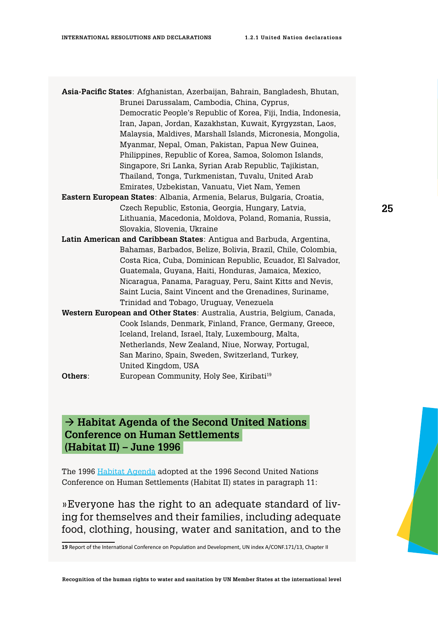<span id="page-24-0"></span>

| <b>Asia-Pacific States</b> : Afghanistan, Azerbaijan, Bahrain, Bangladesh, Bhutan, |                                                                                |
|------------------------------------------------------------------------------------|--------------------------------------------------------------------------------|
|                                                                                    | Brunei Darussalam, Cambodia, China, Cyprus,                                    |
|                                                                                    | Democratic People's Republic of Korea, Fiji, India, Indonesia,                 |
|                                                                                    | Iran, Japan, Jordan, Kazakhstan, Kuwait, Kyrgyzstan, Laos,                     |
|                                                                                    | Malaysia, Maldives, Marshall Islands, Micronesia, Mongolia,                    |
|                                                                                    | Myanmar, Nepal, Oman, Pakistan, Papua New Guinea,                              |
|                                                                                    | Philippines, Republic of Korea, Samoa, Solomon Islands,                        |
|                                                                                    | Singapore, Sri Lanka, Syrian Arab Republic, Tajikistan,                        |
|                                                                                    | Thailand, Tonga, Turkmenistan, Tuvalu, United Arab                             |
|                                                                                    | Emirates, Uzbekistan, Vanuatu, Viet Nam, Yemen                                 |
|                                                                                    | <b>Eastern European States</b> : Albania, Armenia, Belarus, Bulgaria, Croatia, |
|                                                                                    | Czech Republic, Estonia, Georgia, Hungary, Latvia,                             |
|                                                                                    | Lithuania, Macedonia, Moldova, Poland, Romania, Russia,                        |
|                                                                                    | Slovakia, Slovenia, Ukraine                                                    |
|                                                                                    | Latin American and Caribbean States: Antigua and Barbuda, Argentina,           |
|                                                                                    | Bahamas, Barbados, Belize, Bolivia, Brazil, Chile, Colombia,                   |
|                                                                                    | Costa Rica, Cuba, Dominican Republic, Ecuador, El Salvador,                    |
|                                                                                    | Guatemala, Guyana, Haiti, Honduras, Jamaica, Mexico,                           |
|                                                                                    | Nicaragua, Panama, Paraguay, Peru, Saint Kitts and Nevis,                      |
|                                                                                    | Saint Lucia, Saint Vincent and the Grenadines, Suriname,                       |
|                                                                                    | Trinidad and Tobago, Uruguay, Venezuela                                        |
|                                                                                    | Western European and Other States: Australia, Austria, Belgium, Canada,        |
|                                                                                    | Cook Islands, Denmark, Finland, France, Germany, Greece,                       |
|                                                                                    | Iceland, Ireland, Israel, Italy, Luxembourg, Malta,                            |
|                                                                                    | Netherlands, New Zealand, Niue, Norway, Portugal,                              |
|                                                                                    | San Marino, Spain, Sweden, Switzerland, Turkey,                                |
|                                                                                    | United Kingdom, USA                                                            |
| Others:                                                                            | European Community, Holy See, Kiribati <sup>19</sup>                           |

## **Habitat Agenda of the Second United Nations Conference on Human Settlements (Habitat II) – June 1996**

The 1996 [Habitat Agenda](http://www.diplomatie.gouv.fr/fr/sites/odyssee-developpement-durable/files/13/Rapport_Habitat_Istanbul_1996_anglais.pdf) adopted at the 1996 Second United Nations Conference on Human Settlements (Habitat II) states in paragraph 11:

»Everyone has the right to an adequate standard of living for themselves and their families, including adequate food, clothing, housing, water and sanitation, and to the

**19** Report of the International Conference on Population and Development, UN index A/CONF.171/13, Chapter II

**Recognition of the human rights to water and sanitation by UN Member States at the international level**

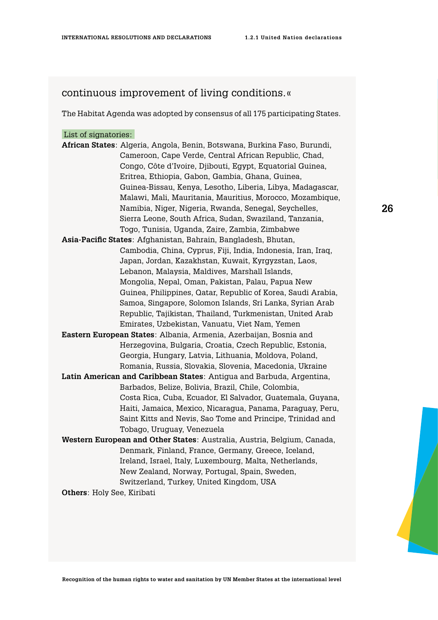### continuous improvement of living conditions.«

The Habitat Agenda was adopted by consensus of all 175 participating States.

### List of signatories:

**African States**: Algeria, Angola, Benin, Botswana, Burkina Faso, Burundi, Cameroon, Cape Verde, Central African Republic, Chad, Congo, Côte d'Ivoire, Djibouti, Egypt, Equatorial Guinea, Eritrea, Ethiopia, Gabon, Gambia, Ghana, Guinea, Guinea-Bissau, Kenya, Lesotho, Liberia, Libya, Madagascar, Malawi, Mali, Mauritania, Mauritius, Morocco, Mozambique, Namibia, Niger, Nigeria, Rwanda, Senegal, Seychelles, Sierra Leone, South Africa, Sudan, Swaziland, Tanzania, Togo, Tunisia, Uganda, Zaire, Zambia, Zimbabwe **Asia-Pacific States**: Afghanistan, Bahrain, Bangladesh, Bhutan, Cambodia, China, Cyprus, Fiji, India, Indonesia, Iran, Iraq, Japan, Jordan, Kazakhstan, Kuwait, Kyrgyzstan, Laos, Lebanon, Malaysia, Maldives, Marshall Islands, Mongolia, Nepal, Oman, Pakistan, Palau, Papua New Guinea, Philippines, Qatar, Republic of Korea, Saudi Arabia, Samoa, Singapore, Solomon Islands, Sri Lanka, Syrian Arab Republic, Tajikistan, Thailand, Turkmenistan, United Arab Emirates, Uzbekistan, Vanuatu, Viet Nam, Yemen

- **Eastern European States**: Albania, Armenia, Azerbaijan, Bosnia and Herzegovina, Bulgaria, Croatia, Czech Republic, Estonia, Georgia, Hungary, Latvia, Lithuania, Moldova, Poland, Romania, Russia, Slovakia, Slovenia, Macedonia, Ukraine
- **Latin American and Caribbean States**: Antigua and Barbuda, Argentina, Barbados, Belize, Bolivia, Brazil, Chile, Colombia, Costa Rica, Cuba, Ecuador, El Salvador, Guatemala, Guyana, Haiti, Jamaica, Mexico, Nicaragua, Panama, Paraguay, Peru, Saint Kitts and Nevis, Sao Tome and Principe, Trinidad and Tobago, Uruguay, Venezuela
- **Western European and Other States**: Australia, Austria, Belgium, Canada, Denmark, Finland, France, Germany, Greece, Iceland, Ireland, Israel, Italy, Luxembourg, Malta, Netherlands, New Zealand, Norway, Portugal, Spain, Sweden, Switzerland, Turkey, United Kingdom, USA

**Others**: Holy See, Kiribati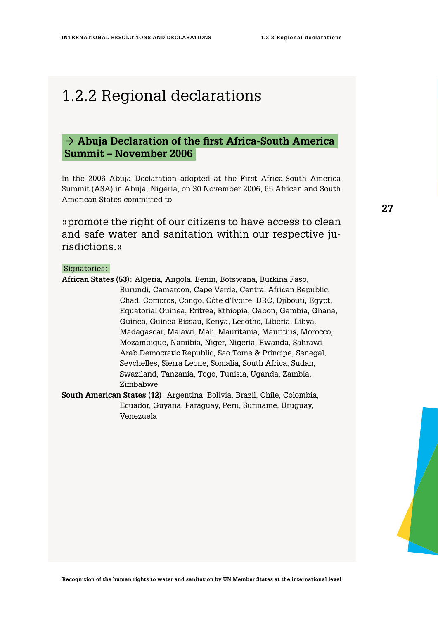## <span id="page-26-0"></span>1.2.2 Regional declarations

## → Abuja Declaration of the first Africa-South America  **Summit – November 2006**

In the 2006 Abuja Declaration adopted at the First Africa-South America Summit (ASA) in Abuja, Nigeria, on 30 November 2006, 65 African and South American States committed to

»promote the right of our citizens to have access to clean and safe water and sanitation within our respective jurisdictions.«

### Signatories:

- **African States (53)**: Algeria, Angola, Benin, Botswana, Burkina Faso, Burundi, Cameroon, Cape Verde, Central African Republic, Chad, Comoros, Congo, Côte d'Ivoire, DRC, Djibouti, Egypt, Equatorial Guinea, Eritrea, Ethiopia, Gabon, Gambia, Ghana, Guinea, Guinea Bissau, Kenya, Lesotho, Liberia, Libya, Madagascar, Malawi, Mali, Mauritania, Mauritius, Morocco, Mozambique, Namibia, Niger, Nigeria, Rwanda, Sahrawi Arab Democratic Republic, Sao Tome & Principe, Senegal, Seychelles, Sierra Leone, Somalia, South Africa, Sudan, Swaziland, Tanzania, Togo, Tunisia, Uganda, Zambia, Zimbabwe
- **South American States (12)**: Argentina, Bolivia, Brazil, Chile, Colombia, Ecuador, Guyana, Paraguay, Peru, Suriname, Uruguay, Venezuela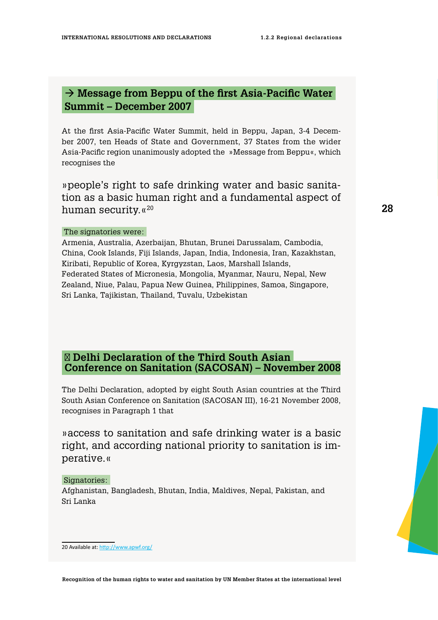## <span id="page-27-0"></span>→ Message from Beppu of the first Asia-Pacific Water  **Summit – December 2007**

At the first Asia-Pacific Water Summit, held in Beppu, Japan, 3-4 December 2007, ten Heads of State and Government, 37 States from the wider Asia-Pacific region unanimously adopted the »Message from Beppu«, which recognises the

»people's right to safe drinking water and basic sanitation as a basic human right and a fundamental aspect of human security. «<sup>20</sup>

### The signatories were:

Armenia, Australia, Azerbaijan, Bhutan, Brunei Darussalam, Cambodia, China, Cook Islands, Fiji Islands, Japan, India, Indonesia, Iran, Kazakhstan, Kiribati, Republic of Korea, Kyrgyzstan, Laos, Marshall Islands, Federated States of Micronesia, Mongolia, Myanmar, Nauru, Nepal, New Zealand, Niue, Palau, Papua New Guinea, Philippines, Samoa, Singapore, Sri Lanka, Tajikistan, Thailand, Tuvalu, Uzbekistan

### **Delhi Declaration of the Third South Asian Conference on Sanitation (SACOSAN) – November 2008**

The [Delhi Declaration](http://www.wateraid.org/~/media/Publications/delhi-declaration.pdf), adopted by eight South Asian countries at the Third South Asian Conference on Sanitation (SACOSAN III), 16-21 November 2008, recognises in Paragraph 1 that

»access to sanitation and safe drinking water is a basic right, and according national priority to sanitation is imperative.«

### Signatories:

Afghanistan, Bangladesh, Bhutan, India, Maldives, Nepal, Pakistan, and Sri Lanka

**28**



**Recognition of the human rights to water and sanitation by UN Member States at the international level**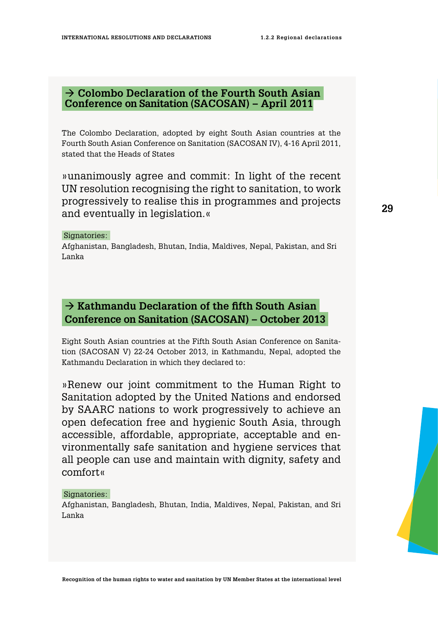## <span id="page-28-0"></span> **→ Colombo Declaration of the Fourth South Asian Conference on Sanitation (SACOSAN) – April 2011**

The Colombo Declaration, adopted by eight South Asian countries at the Fourth South Asian Conference on Sanitation (SACOSAN IV), 4-16 April 2011, stated that the Heads of States

»unanimously agree and commit: In light of the recent UN resolution recognising the right to sanitation, to work progressively to realise this in programmes and projects and eventually in legislation.«

### Signatories:

Afghanistan, Bangladesh, Bhutan, India, Maldives, Nepal, Pakistan, and Sri Lanka

## $→$  **Kathmandu Declaration of the fifth South Asian Conference on Sanitation (SACOSAN) – October 2013**

Eight South Asian countries at the Fifth South Asian Conference on Sanitation (SACOSAN V) 22-24 October 2013, in Kathmandu, Nepal, adopted the Kathmandu Declaration in which they declared to:

»Renew our joint commitment to the Human Right to Sanitation adopted by the United Nations and endorsed by SAARC nations to work progressively to achieve an open defecation free and hygienic South Asia, through accessible, affordable, appropriate, acceptable and environmentally safe sanitation and hygiene services that all people can use and maintain with dignity, safety and comfort«

### Signatories:

Afghanistan, Bangladesh, Bhutan, India, Maldives, Nepal, Pakistan, and Sri Lanka

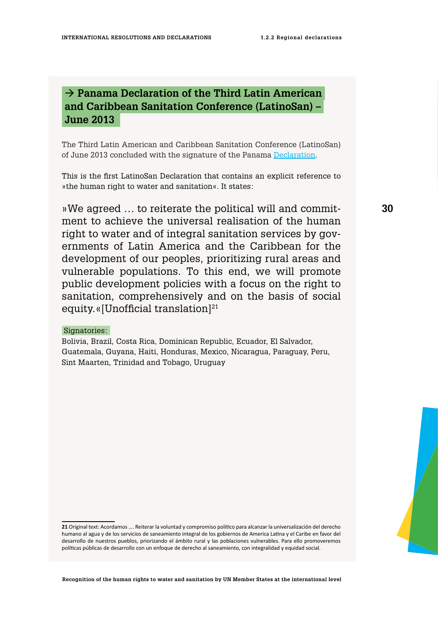## <span id="page-29-0"></span> **Panama Declaration of the Third Latin American and Caribbean Sanitation Conference (LatinoSan) – June 2013**

The Third Latin American and Caribbean Sanitation Conference (LatinoSan) of June 2013 concluded with the signature of the Panama [Declaration.](http://latinosanpanama2013.com/upload/pdf/declaracion_de_panama.pdf)

This is the first LatinoSan Declaration that contains an explicit reference to »the human right to water and sanitation«. It states:

»We agreed … to reiterate the political will and commitment to achieve the universal realisation of the human right to water and of integral sanitation services by governments of Latin America and the Caribbean for the development of our peoples, prioritizing rural areas and vulnerable populations. To this end, we will promote public development policies with a focus on the right to sanitation, comprehensively and on the basis of social equity. «[Unofficial translation]<sup>21</sup>

### Signatories:

Bolivia, Brazil, Costa Rica, Dominican Republic, Ecuador, El Salvador, Guatemala, Guyana, Haiti, Honduras, Mexico, Nicaragua, Paraguay, Peru, Sint Maarten, Trinidad and Tobago, Uruguay

**<sup>21</sup>** Original text: Acordamos …. Reiterar la voluntad y compromiso político para alcanzar la universalización del derecho humano al agua y de los servicios de saneamiento integral de los gobiernos de America Latina y el Caribe en favor del desarrollo de nuestros pueblos, priorizando el ámbito rural y las poblaciones vulnerables. Para ello promoveremos políticas públicas de desarrollo con un enfoque de derecho al saneamiento, con integralidad y equidad social.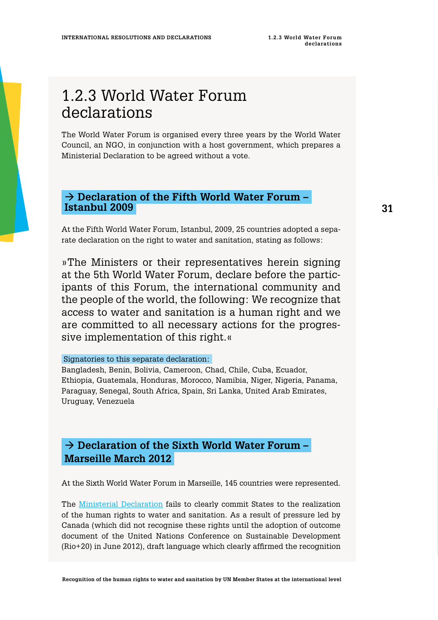## <span id="page-30-0"></span>1.2.3 World Water Forum declarations

The World Water Forum is organised every three years by the World Water Council, an NGO, in conjunction with a host government, which prepares a Ministerial Declaration to be agreed without a vote.

### → Declaration of the Fifth World Water Forum –  **Istanbul 2009**

At the Fifth World Water Forum, Istanbul, 2009, 25 countries adopted a separate declaration on the right to water and sanitation, stating as follows:

»The Ministers or their representatives herein signing at the 5th World Water Forum, declare before the participants of this Forum, the international community and the people of the world, the following: We recognize that access to water and sanitation is a human right and we are committed to all necessary actions for the progressive implementation of this right.«

### Signatories to this separate declaration:

Bangladesh, Benin, Bolivia, Cameroon, Chad, Chile, Cuba, Ecuador, Ethiopia, Guatemala, Honduras, Morocco, Namibia, Niger, Nigeria, Panama, Paraguay, Senegal, South Africa, Spain, Sri Lanka, United Arab Emirates, Uruguay, Venezuela

## → Declaration of the Sixth World Water Forum –  **Marseille March 2012**

At the Sixth World Water Forum in Marseille, 145 countries were represented.

The [Ministerial Declaration](http://www.solutionsforwater.org/news/the-ministerial-declaration-of-the-6th-world-water-forum.html) fails to clearly commit States to the realization of the human rights to water and sanitation. As a result of pressure led by Canada (which did not recognise these rights until the adoption of outcome document of the United Nations Conference on Sustainable Development (Rio+20) in June 2012), draft language which clearly affirmed the recognition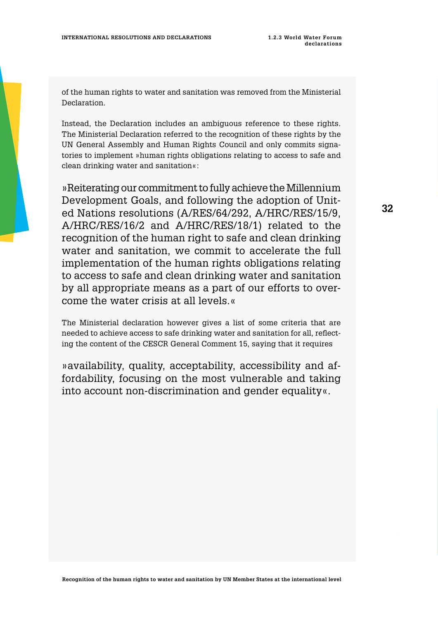<span id="page-31-0"></span>of the human rights to water and sanitation was removed from the Ministerial Declaration.

Instead, the Declaration includes an ambiguous reference to these rights. The Ministerial Declaration referred to the recognition of these rights by the UN General Assembly and Human Rights Council and only commits signatories to implement »human rights obligations relating to access to safe and clean drinking water and sanitation«:

»Reiterating our commitment to fully achieve the Millennium Development Goals, and following the adoption of United Nations resolutions (A/RES/64/292, A/HRC/RES/15/9, A/HRC/RES/16/2 and A/HRC/RES/18/1) related to the recognition of the human right to safe and clean drinking water and sanitation, we commit to accelerate the full implementation of the human rights obligations relating to access to safe and clean drinking water and sanitation by all appropriate means as a part of our efforts to overcome the water crisis at all levels.«

The Ministerial declaration however gives a list of some criteria that are needed to achieve access to safe drinking water and sanitation for all, reflecting the content of the CESCR General Comment 15, saying that it requires

»availability, quality, acceptability, accessibility and affordability, focusing on the most vulnerable and taking into account non-discrimination and gender equality«.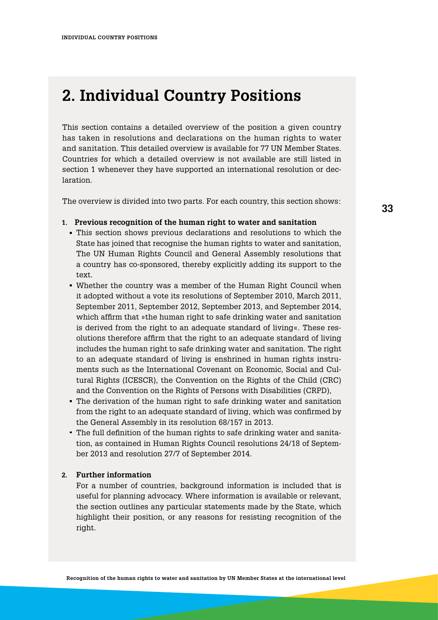## <span id="page-32-0"></span>**2. Individual Country Positions**

This section contains a detailed overview of the position a given country has taken in resolutions and declarations on the human rights to water and sanitation. This detailed overview is available for 77 UN Member States. Countries for which a detailed overview is not available are still listed in section 1 whenever they have supported an international resolution or declaration.

The overview is divided into two parts. For each country, this section shows:

### **Previous recognition of the human right to water and sanitation 1.**

- This section shows previous declarations and resolutions to which the **·** State has joined that recognise the human rights to water and sanitation, The UN Human Rights Council and General Assembly resolutions that a country has co-sponsored, thereby explicitly adding its support to the text.
- Whether the country was a member of the Human Right Council when **·** it adopted without a vote its resolutions of September 2010, March 2011, September 2011, September 2012, September 2013, and September 2014, which affirm that »the human right to safe drinking water and sanitation is derived from the right to an adequate standard of living«. These resolutions therefore affirm that the right to an adequate standard of living includes the human right to safe drinking water and sanitation. The right to an adequate standard of living is enshrined in human rights instruments such as the International Covenant on Economic, Social and Cultural Rights (ICESCR), the Convention on the Rights of the Child (CRC) and the Convention on the Rights of Persons with Disabilities (CRPD),
- The derivation of the human right to safe drinking water and sanitation **·** from the right to an adequate standard of living, which was confirmed by the General Assembly in its resolution 68/157 in 2013.
- The full definition of the human rights to safe drinking water and sanita-**·** tion, as contained in Human Rights Council resolutions 24/18 of September 2013 and resolution 27/7 of September 2014.

### **Further information 2.**

For a number of countries, background information is included that is useful for planning advocacy. Where information is available or relevant, the section outlines any particular statements made by the State, which highlight their position, or any reasons for resisting recognition of the right.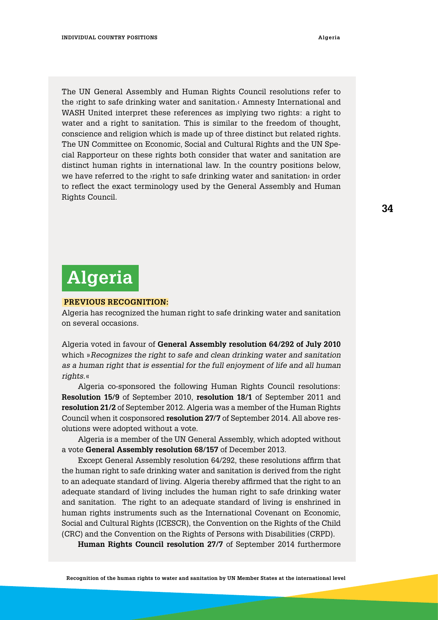<span id="page-33-0"></span>The UN General Assembly and Human Rights Council resolutions refer to the ›right to safe drinking water and sanitation.‹ Amnesty International and WASH United interpret these references as implying two rights: a right to water and a right to sanitation. This is similar to the freedom of thought, conscience and religion which is made up of three distinct but related rights. The UN Committee on Economic, Social and Cultural Rights and the UN Special Rapporteur on these rights both consider that water and sanitation are distinct human rights in international law. In the country positions below, we have referred to the ›right to safe drinking water and sanitation‹ in order to reflect the exact terminology used by the General Assembly and Human Rights Council.

# **Algeria**

### **Previous Recognition:**

Algeria has recognized the human right to safe drinking water and sanitation on several occasions.

Algeria voted in favour of **General Assembly resolution 64/292 of July 2010** which »*Recognizes the right to safe and clean drinking water and sanitation as a human right that is essential for the full enjoyment of life and all human rights.*«

Algeria co-sponsored the following Human Rights Council resolutions: **Resolution 15/9** of September 2010, **resolution 18/1** of September 2011 and **resolution 21/2** of September 2012. Algeria was a member of the Human Rights Council when it cosponsored **resolution 27/7** of September 2014. All above resolutions were adopted without a vote.

Algeria is a member of the UN General Assembly, which adopted without a vote **General Assembly resolution 68/157** of December 2013.

Except General Assembly resolution 64/292, these resolutions affirm that the human right to safe drinking water and sanitation is derived from the right to an adequate standard of living. Algeria thereby affirmed that the right to an adequate standard of living includes the human right to safe drinking water and sanitation. The right to an adequate standard of living is enshrined in human rights instruments such as the International Covenant on Economic, Social and Cultural Rights (ICESCR), the Convention on the Rights of the Child (CRC) and the Convention on the Rights of Persons with Disabilities (CRPD).

**Human Rights Council resolution 27/7** of September 2014 furthermore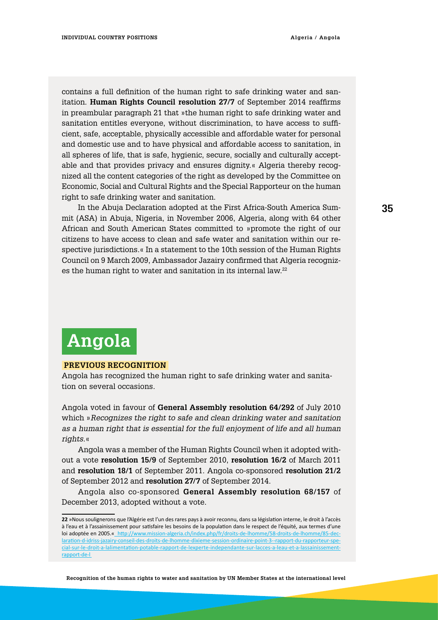<span id="page-34-0"></span>contains a full definition of the human right to safe drinking water and sanitation. **Human Rights Council resolution 27/7** of September 2014 reaffirms in preambular paragraph 21 that »the human right to safe drinking water and sanitation entitles everyone, without discrimination, to have access to sufficient, safe, acceptable, physically accessible and affordable water for personal and domestic use and to have physical and affordable access to sanitation, in all spheres of life, that is safe, hygienic, secure, socially and culturally acceptable and that provides privacy and ensures dignity.« Algeria thereby recognized all the content categories of the right as developed by the Committee on Economic, Social and Cultural Rights and the Special Rapporteur on the human right to safe drinking water and sanitation.

In the Abuja Declaration adopted at the First Africa-South America Summit (ASA) in Abuja, Nigeria, in November 2006, Algeria, along with 64 other African and South American States committed to »promote the right of our citizens to have access to clean and safe water and sanitation within our respective jurisdictions.« In a statement to the 10th session of the Human Rights Council on 9 March 2009, Ambassador Jazairy confirmed that Algeria recognizes the human right to water and sanitation in its internal law.<sup>22</sup>

## **Angola**

### **Previous Recognition**

Angola has recognized the human right to safe drinking water and sanitation on several occasions.

Angola voted in favour of **General Assembly resolution 64/292** of July 2010 which »*Recognizes the right to safe and clean drinking water and sanitation as a human right that is essential for the full enjoyment of life and all human rights.*«

Angola was a member of the Human Rights Council when it adopted without a vote **resolution 15/9** of September 2010, **resolution 16/2** of March 2011 and **resolution 18/1** of September 2011. Angola co-sponsored **resolution 21/2** of September 2012 and **resolution 27/7** of September 2014.

Angola also co-sponsored **General Assembly resolution 68/157** of December 2013, adopted without a vote.

**<sup>22</sup>** »Nous soulignerons que l'Algérie est l'un des rares pays à avoir reconnu, dans sa législation interne, le droit à l'accès à l'eau et à l'assainissement pour satisfaire les besoins de la population dans le respect de l'équité, aux termes d'une loi adoptée en 2005.« [http://www.mission-algeria.ch/index.php/fr/droits-de-lhomme/58-droits-de-lhomme/85-dec](http://www.mission-algeria.ch/index.php/fr/droits-de-lhomme/58-droits-de-lhomme/85-declaration-d-idriss-jazairy-conseil-des-droits-de-lhomme-dixieme-session-ordinaire-point-3--rapport-du-rapporteur-special-sur-le-droit-a-lalimentation-potable-rapport-de-lexperte-independante-sur-lacces-a-leau-et-a-lassainissement-rapport-de-l)[laration-d-idriss-jazairy-conseil-des-droits-de-lhomme-dixieme-session-ordinaire-point-3--rapport-du-rapporteur-spe](http://www.mission-algeria.ch/index.php/fr/droits-de-lhomme/58-droits-de-lhomme/85-declaration-d-idriss-jazairy-conseil-des-droits-de-lhomme-dixieme-session-ordinaire-point-3--rapport-du-rapporteur-special-sur-le-droit-a-lalimentation-potable-rapport-de-lexperte-independante-sur-lacces-a-leau-et-a-lassainissement-rapport-de-l)[cial-sur-le-droit-a-lalimentation-potable-rapport-de-lexperte-independante-sur-lacces-a-leau-et-a-lassainissement](http://www.mission-algeria.ch/index.php/fr/droits-de-lhomme/58-droits-de-lhomme/85-declaration-d-idriss-jazairy-conseil-des-droits-de-lhomme-dixieme-session-ordinaire-point-3--rapport-du-rapporteur-special-sur-le-droit-a-lalimentation-potable-rapport-de-lexperte-independante-sur-lacces-a-leau-et-a-lassainissement-rapport-de-l)[rapport-de-l](http://www.mission-algeria.ch/index.php/fr/droits-de-lhomme/58-droits-de-lhomme/85-declaration-d-idriss-jazairy-conseil-des-droits-de-lhomme-dixieme-session-ordinaire-point-3--rapport-du-rapporteur-special-sur-le-droit-a-lalimentation-potable-rapport-de-lexperte-independante-sur-lacces-a-leau-et-a-lassainissement-rapport-de-l)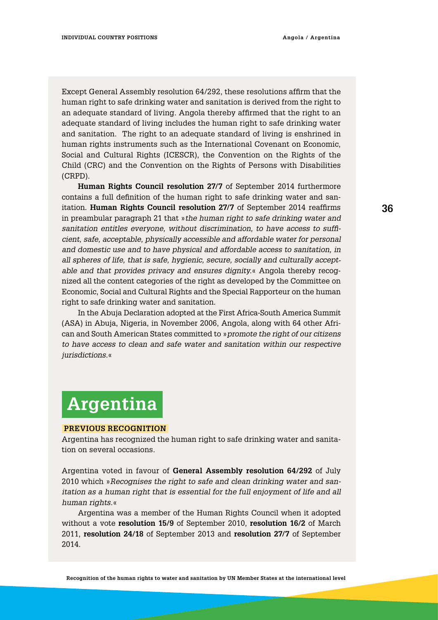<span id="page-35-0"></span>Except General Assembly resolution 64/292, these resolutions affirm that the human right to safe drinking water and sanitation is derived from the right to an adequate standard of living. Angola thereby affirmed that the right to an adequate standard of living includes the human right to safe drinking water and sanitation. The right to an adequate standard of living is enshrined in human rights instruments such as the International Covenant on Economic, Social and Cultural Rights (ICESCR), the Convention on the Rights of the Child (CRC) and the Convention on the Rights of Persons with Disabilities (CRPD).

**Human Rights Council resolution 27/7** of September 2014 furthermore contains a full definition of the human right to safe drinking water and sanitation. **Human Rights Council resolution 27/7** of September 2014 reaffirms in preambular paragraph 21 that »*the human right to safe drinking water and sanitation entitles everyone, without discrimination, to have access to sufficient, safe, acceptable, physically accessible and affordable water for personal and domestic use and to have physical and affordable access to sanitation, in all spheres of life, that is safe, hygienic, secure, socially and culturally acceptable and that provides privacy and ensures dignity.*« Angola thereby recognized all the content categories of the right as developed by the Committee on Economic, Social and Cultural Rights and the Special Rapporteur on the human right to safe drinking water and sanitation.

In the Abuja Declaration adopted at the First Africa-South America Summit (ASA) in Abuja, Nigeria, in November 2006, Angola, along with 64 other African and South American States committed to »*promote the right of our citizens to have access to clean and safe water and sanitation within our respective jurisdictions.*«

## **Argentina**

### **Previous Recognition**

Argentina has recognized the human right to safe drinking water and sanitation on several occasions.

Argentina voted in favour of **General Assembly resolution 64/292** of July 2010 which »*Recognises the right to safe and clean drinking water and sanitation as a human right that is essential for the full enjoyment of life and all human rights*.«

Argentina was a member of the Human Rights Council when it adopted without a vote **resolution 15/9** of September 2010, **resolution 16/2** of March 2011, **resolution 24/18** of September 2013 and **resolution 27/7** of September 2014.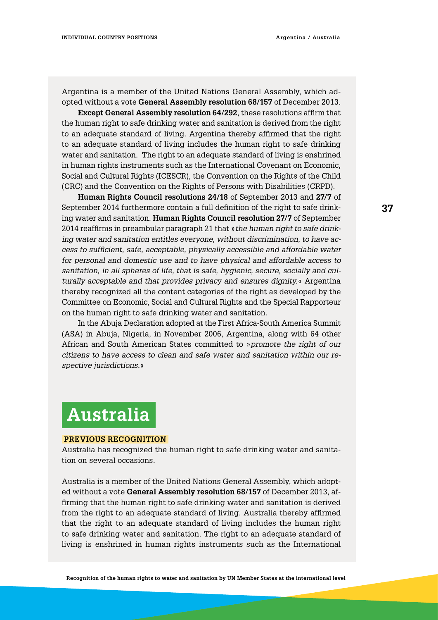Argentina is a member of the United Nations General Assembly, which adopted without a vote **General Assembly resolution 68/157** of December 2013.

**Except General Assembly resolution 64/292**, these resolutions affirm that the human right to safe drinking water and sanitation is derived from the right to an adequate standard of living. Argentina thereby affirmed that the right to an adequate standard of living includes the human right to safe drinking water and sanitation. The right to an adequate standard of living is enshrined in human rights instruments such as the International Covenant on Economic, Social and Cultural Rights (ICESCR), the Convention on the Rights of the Child (CRC) and the Convention on the Rights of Persons with Disabilities (CRPD).

**Human Rights Council resolutions 24/18** of September 2013 and **27/7** of September 2014 furthermore contain a full definition of the right to safe drinking water and sanitation. **Human Rights Council resolution 27/7** of September 2014 reaffirms in preambular paragraph 21 that »*the human right to safe drinking water and sanitation entitles everyone, without discrimination, to have access to sufficient, safe, acceptable, physically accessible and affordable water for personal and domestic use and to have physical and affordable access to sanitation, in all spheres of life, that is safe, hygienic, secure, socially and culturally acceptable and that provides privacy and ensures dignity.*« Argentina thereby recognized all the content categories of the right as developed by the Committee on Economic, Social and Cultural Rights and the Special Rapporteur on the human right to safe drinking water and sanitation.

In the Abuja Declaration adopted at the First Africa-South America Summit (ASA) in Abuja, Nigeria, in November 2006, Argentina, along with 64 other African and South American States committed to »*promote the right of our citizens to have access to clean and safe water and sanitation within our respective jurisdictions.*«

### **Australia**

#### **Previous Recognition**

Australia has recognized the human right to safe drinking water and sanitation on several occasions.

Australia is a member of the United Nations General Assembly, which adopted without a vote **General Assembly resolution 68/157** of December 2013, affirming that the human right to safe drinking water and sanitation is derived from the right to an adequate standard of living. Australia thereby affirmed that the right to an adequate standard of living includes the human right to safe drinking water and sanitation. The right to an adequate standard of living is enshrined in human rights instruments such as the International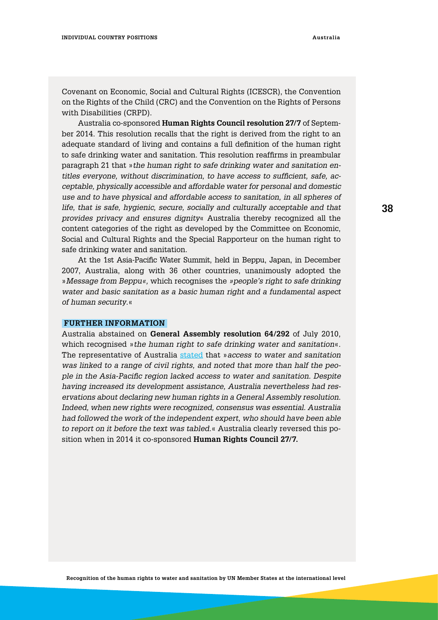Covenant on Economic, Social and Cultural Rights (ICESCR), the Convention on the Rights of the Child (CRC) and the Convention on the Rights of Persons with Disabilities (CRPD).

Australia co-sponsored **Human Rights Council resolution 27/7** of September 2014. This resolution recalls that the right is derived from the right to an adequate standard of living and contains a full definition of the human right to safe drinking water and sanitation. This resolution reaffirms in preambular paragraph 21 that »*the human right to safe drinking water and sanitation entitles everyone, without discrimination, to have access to sufficient, safe, acceptable, physically accessible and affordable water for personal and domestic use and to have physical and affordable access to sanitation, in all spheres of life, that is safe, hygienic, secure, socially and culturally acceptable and that provides privacy and ensures dignity*« Australia thereby recognized all the content categories of the right as developed by the Committee on Economic, Social and Cultural Rights and the Special Rapporteur on the human right to safe drinking water and sanitation.

At the 1st Asia-Pacific Water Summit, held in Beppu, Japan, in December 2007, Australia, along with 36 other countries, unanimously adopted the »*Message from Beppu«,* which recognises the *»people's right to safe drinking water and basic sanitation as a basic human right and a fundamental aspect of human security*.«

#### **Further information**

Australia abstained on **General Assembly resolution 64/292** of July 2010, which recognised »*the human right to safe drinking water and sanitation*«. The representative of Australia [stated](http://www.un.org/press/en/2010/ga10967.doc.htm) that »*access to water and sanitation was linked to a range of civil rights, and noted that more than half the people in the Asia-Pacific region lacked access to water and sanitation. Despite having increased its development assistance, Australia nevertheless had reservations about declaring new human rights in a General Assembly resolution. Indeed, when new rights were recognized, consensus was essential. Australia had followed the work of the independent expert, who should have been able to report on it before the text was tabled*.« Australia clearly reversed this position when in 2014 it co-sponsored **Human Rights Council 27/7.**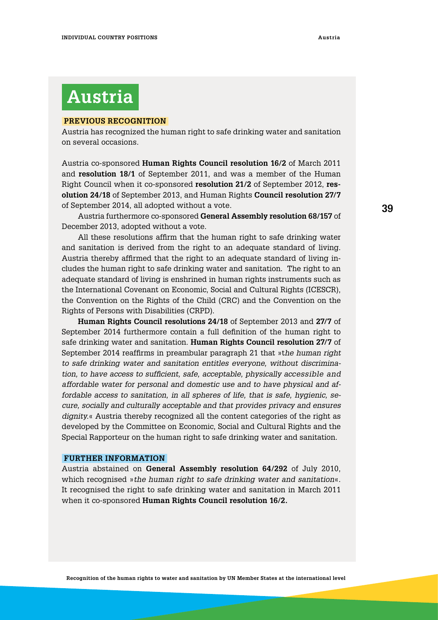# **Austria**

#### **Previous Recognition**

Austria has recognized the human right to safe drinking water and sanitation on several occasions.

Austria co-sponsored **Human Rights Council resolution 16/2** of March 2011 and **resolution 18/1** of September 2011, and was a member of the Human Right Council when it co-sponsored **resolution 21/2** of September 2012, **resolution 24/18** of September 2013, and Human Rights **Council resolution 27/7** of September 2014, all adopted without a vote.

Austria furthermore co-sponsored **General Assembly resolution 68/157** of December 2013, adopted without a vote.

All these resolutions affirm that the human right to safe drinking water and sanitation is derived from the right to an adequate standard of living. Austria thereby affirmed that the right to an adequate standard of living includes the human right to safe drinking water and sanitation. The right to an adequate standard of living is enshrined in human rights instruments such as the International Covenant on Economic, Social and Cultural Rights (ICESCR), the Convention on the Rights of the Child (CRC) and the Convention on the Rights of Persons with Disabilities (CRPD).

**Human Rights Council resolutions 24/18** of September 2013 and **27/7** of September 2014 furthermore contain a full definition of the human right to safe drinking water and sanitation. **Human Rights Council resolution 27/7** of September 2014 reaffirms in preambular paragraph 21 that »t*he human right to safe drinking water and sanitation entitles everyone, without discrimination, to have access to sufficient, safe, acceptable, physically accessible and affordable water for personal and domestic use and to have physical and affordable access to sanitation, in all spheres of life, that is safe, hygienic, secure, socially and culturally acceptable and that provides privacy and ensures dignity.*« Austria thereby recognized all the content categories of the right as developed by the Committee on Economic, Social and Cultural Rights and the Special Rapporteur on the human right to safe drinking water and sanitation.

#### **Further information**

Austria abstained on **General Assembly resolution 64/292** of July 2010, which recognised »*the human right to safe drinking water and sanitation*«. It recognised the right to safe drinking water and sanitation in March 2011 when it co-sponsored **Human Rights Council resolution 16/2.**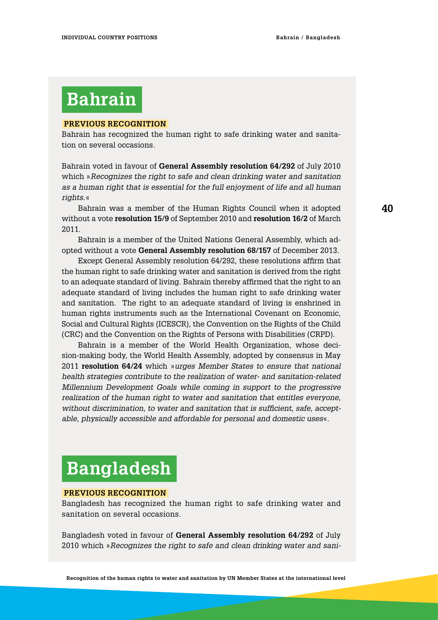# **Bahrain**

#### **Previous Recognition**

Bahrain has recognized the human right to safe drinking water and sanitation on several occasions.

Bahrain voted in favour of **General Assembly resolution 64/292** of July 2010 which »*Recognizes the right to safe and clean drinking water and sanitation as a human right that is essential for the full enjoyment of life and all human rights*.«

Bahrain was a member of the Human Rights Council when it adopted without a vote **resolution 15/9** of September 2010 and **resolution 16/2** of March 2011.

Bahrain is a member of the United Nations General Assembly, which adopted without a vote **General Assembly resolution 68/157** of December 2013.

Except General Assembly resolution 64/292, these resolutions affirm that the human right to safe drinking water and sanitation is derived from the right to an adequate standard of living. Bahrain thereby affirmed that the right to an adequate standard of living includes the human right to safe drinking water and sanitation. The right to an adequate standard of living is enshrined in human rights instruments such as the International Covenant on Economic, Social and Cultural Rights (ICESCR), the Convention on the Rights of the Child (CRC) and the Convention on the Rights of Persons with Disabilities (CRPD).

Bahrain is a member of the World Health Organization, whose decision-making body, the World Health Assembly, adopted by consensus in May 2011 **resolution 64/24** which »*urges Member States to ensure that national health strategies contribute to the realization of water- and sanitation-related Millennium Development Goals while coming in support to the progressive realization of the human right to water and sanitation that entitles everyone, without discrimination, to water and sanitation that is sufficient, safe, acceptable, physically accessible and affordable for personal and domestic uses*«.

# **Bangladesh**

#### **Previous Recognition**

Bangladesh has recognized the human right to safe drinking water and sanitation on several occasions.

Bangladesh voted in favour of **General Assembly resolution 64/292** of July 2010 which »*Recognizes the right to safe and clean drinking water and sani-*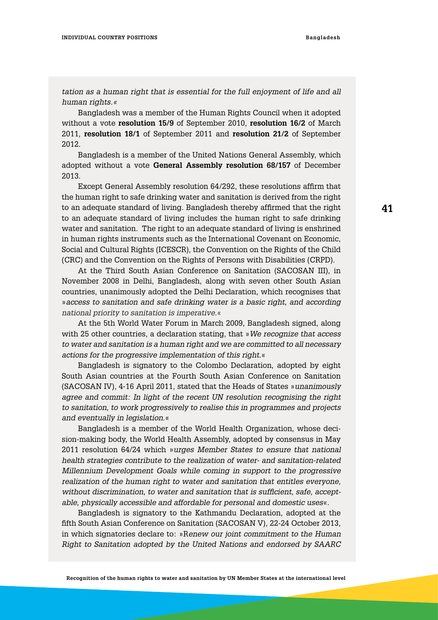tation as a human right that is essential for the full enjoyment of life and all *human rights.«*

Bangladesh was a member of the Human Rights Council when it adopted without a vote **resolution 15/9** of September 2010, **resolution 16/2** of March 2011, **resolution 18/1** of September 2011 and **resolution 21/2** of September 2012.

Bangladesh is a member of the United Nations General Assembly, which adopted without a vote **General Assembly resolution 68/157** of December 2013.

Except General Assembly resolution 64/292, these resolutions affirm that the human right to safe drinking water and sanitation is derived from the right to an adequate standard of living. Bangladesh thereby affirmed that the right to an adequate standard of living includes the human right to safe drinking water and sanitation. The right to an adequate standard of living is enshrined in human rights instruments such as the International Covenant on Economic, Social and Cultural Rights (ICESCR), the Convention on the Rights of the Child (CRC) and the Convention on the Rights of Persons with Disabilities (CRPD).

At the Third South Asian Conference on Sanitation (SACOSAN III), in November 2008 in Delhi, Bangladesh, along with seven other South Asian countries, unanimously adopted the Delhi Declaration, which recognises that »*access to sanitation and safe drinking water is a basic right, and according national priority to sanitation is imperative.*«

At the 5th World Water Forum in March 2009, Bangladesh signed, along with 25 other countries, a declaration stating, that »*We recognize that access to water and sanitation is a human right and we are committed to all necessary actions for the progressive implementation of this right*.«

Bangladesh is signatory to the Colombo Declaration, adopted by eight South Asian countries at the Fourth South Asian Conference on Sanitation (SACOSAN IV), 4-16 April 2011, stated that the Heads of States »*unanimously agree and commit: In light of the recent UN resolution recognising the right to sanitation, to work progressively to realise this in programmes and projects and eventually in legislation.*«

Bangladesh is a member of the World Health Organization, whose decision-making body, the World Health Assembly, adopted by consensus in May 2011 resolution 64/24 which »*urges Member States to ensure that national health strategies contribute to the realization of water- and sanitation-related Millennium Development Goals while coming in support to the progressive realization of the human right to water and sanitation that entitles everyone, without discrimination, to water and sanitation that is sufficient, safe, acceptable, physically accessible and affordable for personal and domestic uses*«.

Bangladesh is signatory to the Kathmandu Declaration, adopted at the fifth South Asian Conference on Sanitation (SACOSAN V), 22-24 October 2013, in which signatories declare to: »R*enew our joint commitment to the Human Right to Sanitation adopted by the United Nations and endorsed by SAARC*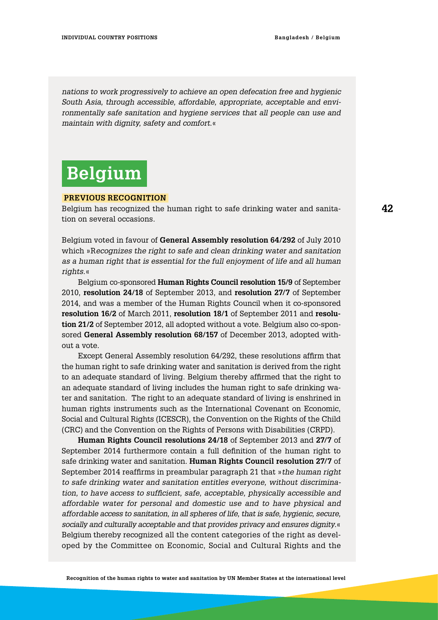*nations to work progressively to achieve an open defecation free and hygienic South Asia, through accessible, affordable, appropriate, acceptable and environmentally safe sanitation and hygiene services that all people can use and maintain with dignity, safety and comfort.*«

### **Belgium**

#### **Previous Recognition**

Belgium has recognized the human right to safe drinking water and sanitation on several occasions.

Belgium voted in favour of **General Assembly resolution 64/292** of July 2010 which »R*ecognizes the right to safe and clean drinking water and sanitation as a human right that is essential for the full enjoyment of life and all human rights.*«

Belgium co-sponsored **Human Rights Council resolution 15/9** of September 2010, **resolution 24/18** of September 2013, and **resolution 27/7** of September 2014, and was a member of the Human Rights Council when it co-sponsored **resolution 16/2** of March 2011, **resolution 18/1** of September 2011 and **resolution 21/2** of September 2012, all adopted without a vote. Belgium also co-sponsored **General Assembly resolution 68/157** of December 2013, adopted without a vote.

Except General Assembly resolution 64/292, these resolutions affirm that the human right to safe drinking water and sanitation is derived from the right to an adequate standard of living. Belgium thereby affirmed that the right to an adequate standard of living includes the human right to safe drinking water and sanitation. The right to an adequate standard of living is enshrined in human rights instruments such as the International Covenant on Economic, Social and Cultural Rights (ICESCR), the Convention on the Rights of the Child (CRC) and the Convention on the Rights of Persons with Disabilities (CRPD).

**Human Rights Council resolutions 24/18** of September 2013 and **27/7** of September 2014 furthermore contain a full definition of the human right to safe drinking water and sanitation. **Human Rights Council resolution 27/7** of September 2014 reaffirms in preambular paragraph 21 that »*the human right to safe drinking water and sanitation entitles everyone, without discrimination, to have access to sufficient, safe, acceptable, physically accessible and affordable water for personal and domestic use and to have physical and affordable access to sanitation, in all spheres of life, that is safe, hygienic, secure, socially and culturally acceptable and that provides privacy and ensures dignity*.« Belgium thereby recognized all the content categories of the right as developed by the Committee on Economic, Social and Cultural Rights and the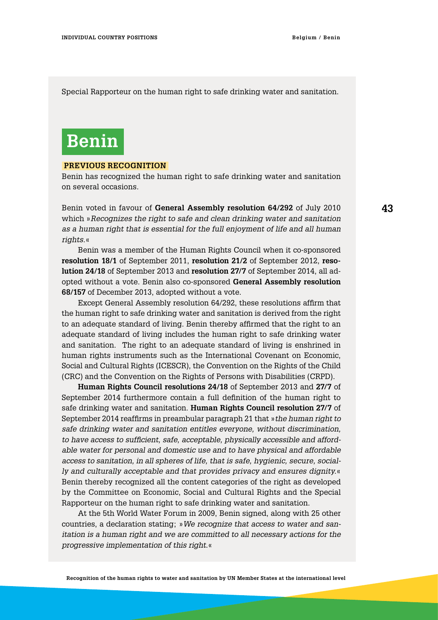Special Rapporteur on the human right to safe drinking water and sanitation.

### **Benin**

#### **Previous Recognition**

Benin has recognized the human right to safe drinking water and sanitation on several occasions.

Benin voted in favour of **General Assembly resolution 64/292** of July 2010 which »*Recognizes the right to safe and clean drinking water and sanitation as a human right that is essential for the full enjoyment of life and all human rights.*«

Benin was a member of the Human Rights Council when it co-sponsored **resolution 18/1** of September 2011, **resolution 21/2** of September 2012, **resolution 24/18** of September 2013 and **resolution 27/7** of September 2014, all adopted without a vote. Benin also co-sponsored **General Assembly resolution 68/157** of December 2013, adopted without a vote.

Except General Assembly resolution 64/292, these resolutions affirm that the human right to safe drinking water and sanitation is derived from the right to an adequate standard of living. Benin thereby affirmed that the right to an adequate standard of living includes the human right to safe drinking water and sanitation. The right to an adequate standard of living is enshrined in human rights instruments such as the International Covenant on Economic, Social and Cultural Rights (ICESCR), the Convention on the Rights of the Child (CRC) and the Convention on the Rights of Persons with Disabilities (CRPD).

**Human Rights Council resolutions 24/18** of September 2013 and **27/7** of September 2014 furthermore contain a full definition of the human right to safe drinking water and sanitation. **Human Rights Council resolution 27/7** of September 2014 reaffirms in preambular paragraph 21 that »*the human right to safe drinking water and sanitation entitles everyone, without discrimination, to have access to sufficient, safe, acceptable, physically accessible and affordable water for personal and domestic use and to have physical and affordable access to sanitation, in all spheres of life, that is safe, hygienic, secure, socially and culturally acceptable and that provides privacy and ensures dignity.*« Benin thereby recognized all the content categories of the right as developed by the Committee on Economic, Social and Cultural Rights and the Special Rapporteur on the human right to safe drinking water and sanitation.

At the 5th World Water Forum in 2009, Benin signed, along with 25 other countries, a declaration stating; »*We recognize that access to water and sanitation is a human right and we are committed to all necessary actions for the progressive implementation of this right.*«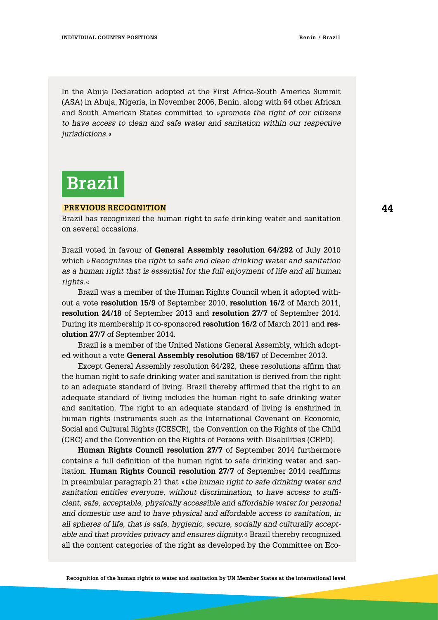In the Abuja Declaration adopted at the First Africa-South America Summit (ASA) in Abuja, Nigeria, in November 2006, Benin, along with 64 other African and South American States committed to »*promote the right of our citizens to have access to clean and safe water and sanitation within our respective jurisdictions.*«

# **Brazil**

#### **Previous Recognition**

Brazil has recognized the human right to safe drinking water and sanitation on several occasions.

Brazil voted in favour of **General Assembly resolution 64/292** of July 2010 which »*Recognizes the right to safe and clean drinking water and sanitation as a human right that is essential for the full enjoyment of life and all human rights*.«

Brazil was a member of the Human Rights Council when it adopted without a vote **resolution 15/9** of September 2010, **resolution 16/2** of March 2011, **resolution 24/18** of September 2013 and **resolution 27/7** of September 2014. During its membership it co-sponsored **resolution 16/2** of March 2011 and **resolution 27/7** of September 2014.

Brazil is a member of the United Nations General Assembly, which adopted without a vote **General Assembly resolution 68/157** of December 2013.

Except General Assembly resolution 64/292, these resolutions affirm that the human right to safe drinking water and sanitation is derived from the right to an adequate standard of living. Brazil thereby affirmed that the right to an adequate standard of living includes the human right to safe drinking water and sanitation. The right to an adequate standard of living is enshrined in human rights instruments such as the International Covenant on Economic, Social and Cultural Rights (ICESCR), the Convention on the Rights of the Child (CRC) and the Convention on the Rights of Persons with Disabilities (CRPD).

**Human Rights Council resolution 27/7** of September 2014 furthermore contains a full definition of the human right to safe drinking water and sanitation. **Human Rights Council resolution 27/7** of September 2014 reaffirms in preambular paragraph 21 that »*the human right to safe drinking water and sanitation entitles everyone, without discrimination, to have access to sufficient, safe, acceptable, physically accessible and affordable water for personal and domestic use and to have physical and affordable access to sanitation, in all spheres of life, that is safe, hygienic, secure, socially and culturally acceptable and that provides privacy and ensures dignity.*« Brazil thereby recognized all the content categories of the right as developed by the Committee on Eco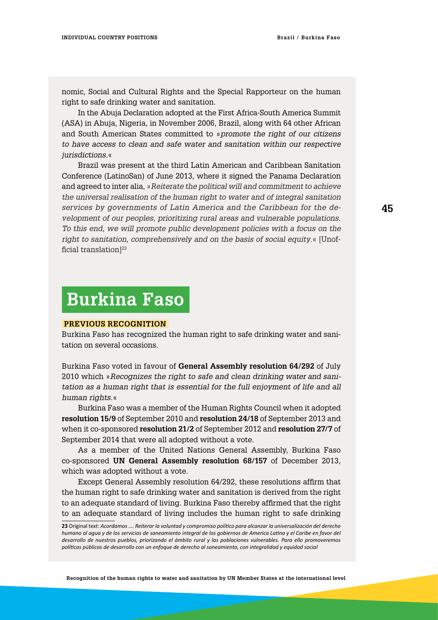nomic, Social and Cultural Rights and the Special Rapporteur on the human right to safe drinking water and sanitation.

In the Abuja Declaration adopted at the First Africa-South America Summit (ASA) in Abuja, Nigeria, in November 2006, Brazil, along with 64 other African and South American States committed to »*promote the right of our citizens to have access to clean and safe water and sanitation within our respective jurisdictions.*«

Brazil was present at the third Latin American and Caribbean Sanitation Conference (LatinoSan) of June 2013, where it signed the Panama Declaration and agreed to inter alia, »*Reiterate the political will and commitment to achieve the universal realisation of the human right to water and of integral sanitation services by governments of Latin America and the Caribbean for the development of our peoples, prioritizing rural areas and vulnerable populations. To this end, we will promote public development policies with a focus on the right to sanitation, comprehensively and on the basis of social equity*.« [Unofficial translation $]^{23}$ 

### **Burkina Faso**

#### **Previous Recognition**

Burkina Faso has recognized the human right to safe drinking water and sanitation on several occasions.

Burkina Faso voted in favour of **General Assembly resolution 64/292** of July 2010 which »*Recognizes the right to safe and clean drinking water and sanitation as a human right that is essential for the full enjoyment of life and all human rights*.«

Burkina Faso was a member of the Human Rights Council when it adopted **resolution 15/9** of September 2010 and **resolution 24/18** of September 2013 and when it co-sponsored **resolution 21/2** of September 2012 and **resolution 27/7** of September 2014 that were all adopted without a vote.

As a member of the United Nations General Assembly, Burkina Faso co-sponsored **UN General Assembly resolution 68/157** of December 2013, which was adopted without a vote.

Except General Assembly resolution 64/292, these resolutions affirm that the human right to safe drinking water and sanitation is derived from the right to an adequate standard of living. Burkina Faso thereby affirmed that the right to an adequate standard of living includes the human right to safe drinking

**Recognition of the human rights to water and sanitation by UN Member States at the international level**

**<sup>23</sup>** Original text: *Acordamos …. Reiterar la voluntad y compromiso político para alcanzar la universalización del derecho humano al agua y de los servicios de saneamiento integral de los gobiernos de America Latina y el Caribe en favor del desarrollo de nuestros pueblos, priorizando el ámbito rural y las poblaciones vulnerables. Para ello promoveremos políticas públicas de desarrollo con un enfoque de derecho al saneamiento, con integralidad y equidad social*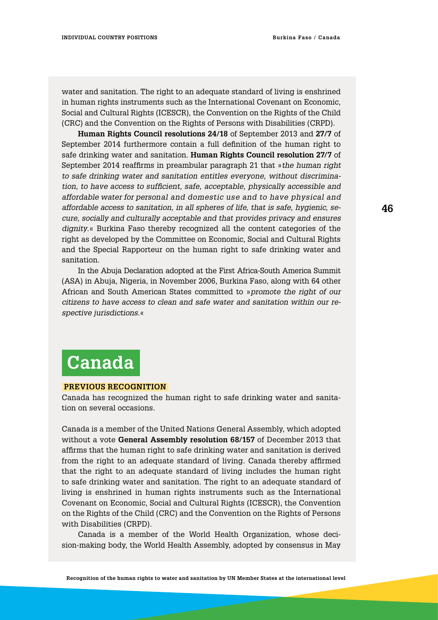water and sanitation. The right to an adequate standard of living is enshrined in human rights instruments such as the International Covenant on Economic, Social and Cultural Rights (ICESCR), the Convention on the Rights of the Child (CRC) and the Convention on the Rights of Persons with Disabilities (CRPD).

**Human Rights Council resolutions 24/18** of September 2013 and **27/7** of September 2014 furthermore contain a full definition of the human right to safe drinking water and sanitation. **Human Rights Council resolution 27/7** of September 2014 reaffirms in preambular paragraph 21 that »*the human right to safe drinking water and sanitation entitles everyone, without discrimination, to have access to sufficient, safe, acceptable, physically accessible and affordable water for personal and domestic use and to have physical and affordable access to sanitation, in all spheres of life, that is safe, hygienic, secure, socially and culturally acceptable and that provides privacy and ensures dignity*.« Burkina Faso thereby recognized all the content categories of the right as developed by the Committee on Economic, Social and Cultural Rights and the Special Rapporteur on the human right to safe drinking water and sanitation.

In the Abuja Declaration adopted at the First Africa-South America Summit (ASA) in Abuja, Nigeria, in November 2006, Burkina Faso, along with 64 other African and South American States committed to »*promote the right of our citizens to have access to clean and safe water and sanitation within our respective jurisdictions.*«

# **Canada**

#### **Previous Recognition**

Canada has recognized the human right to safe drinking water and sanitation on several occasions.

Canada is a member of the United Nations General Assembly, which adopted without a vote **General Assembly resolution 68/157** of December 2013 that affirms that the human right to safe drinking water and sanitation is derived from the right to an adequate standard of living. Canada thereby affirmed that the right to an adequate standard of living includes the human right to safe drinking water and sanitation. The right to an adequate standard of living is enshrined in human rights instruments such as the International Covenant on Economic, Social and Cultural Rights (ICESCR), the Convention on the Rights of the Child (CRC) and the Convention on the Rights of Persons with Disabilities (CRPD).

Canada is a member of the World Health Organization, whose decision-making body, the World Health Assembly, adopted by consensus in May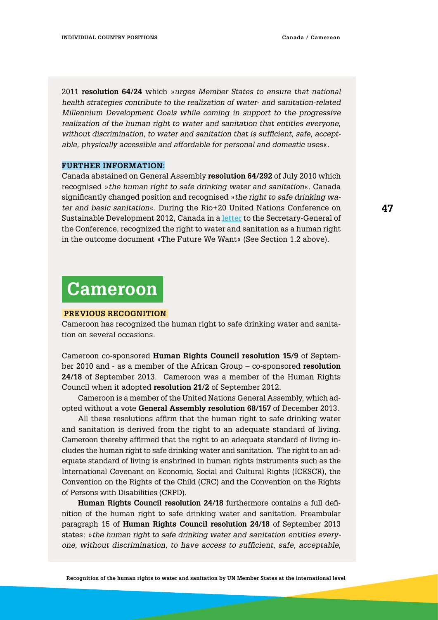2011 **resolution 64/24** which »*urges Member States to ensure that national health strategies contribute to the realization of water- and sanitation-related Millennium Development Goals while coming in support to the progressive realization of the human right to water and sanitation that entitles everyone, without discrimination, to water and sanitation that is sufficient, safe, acceptable, physically accessible and affordable for personal and domestic uses*«.

#### **Further Information:**

Canada abstained on General Assembly **resolution 64/292** of July 2010 which recognised »*the human right to safe drinking water and sanitation*«. Canada significantly changed position and recognised »*the right to safe drinking water and basic sanitation*«. During the Rio+20 United Nations Conference on Sustainable Development 2012, Canada in a [letter](http://www.un.org/ga/search/view_doc.asp?symbol=A/CONF.216/12) to the Secretary-General of the Conference, recognized the right to water and sanitation as a human right in the outcome document »The Future We Want« (See Section 1.2 above).

### **Cameroon**

#### **Previous Recognition**

Cameroon has recognized the human right to safe drinking water and sanitation on several occasions.

Cameroon co-sponsored **Human Rights Council resolution 15/9** of September 2010 and - as a member of the African Group – co-sponsored **resolution 24/18** of September 2013. Cameroon was a member of the Human Rights Council when it adopted **resolution 21/2** of September 2012.

Cameroon is a member of the United Nations General Assembly, which adopted without a vote **General Assembly resolution 68/157** of December 2013.

All these resolutions affirm that the human right to safe drinking water and sanitation is derived from the right to an adequate standard of living. Cameroon thereby affirmed that the right to an adequate standard of living includes the human right to safe drinking water and sanitation. The right to an adequate standard of living is enshrined in human rights instruments such as the International Covenant on Economic, Social and Cultural Rights (ICESCR), the Convention on the Rights of the Child (CRC) and the Convention on the Rights of Persons with Disabilities (CRPD).

**Human Rights Council resolution 24/18** furthermore contains a full definition of the human right to safe drinking water and sanitation. Preambular paragraph 15 of **Human Rights Council resolution 24/18** of September 2013 states: »*the human right to safe drinking water and sanitation entitles everyone, without discrimination, to have access to sufficient, safe, acceptable,*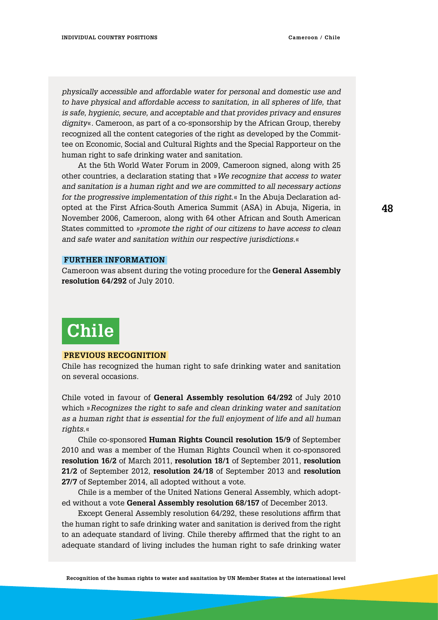*physically accessible and affordable water for personal and domestic use and to have physical and affordable access to sanitation, in all spheres of life, that is safe, hygienic, secure, and acceptable and that provides privacy and ensures dignity*«. Cameroon, as part of a co-sponsorship by the African Group, thereby recognized all the content categories of the right as developed by the Committee on Economic, Social and Cultural Rights and the Special Rapporteur on the human right to safe drinking water and sanitation.

At the 5th World Water Forum in 2009, Cameroon signed, along with 25 other countries, a declaration stating that »*We recognize that access to water and sanitation is a human right and we are committed to all necessary actions for the progressive implementation of this right*.« In the Abuja Declaration adopted at the First Africa-South America Summit (ASA) in Abuja, Nigeria, in November 2006, Cameroon, along with 64 other African and South American States committed to *»promote the right of our citizens to have access to clean and safe water and sanitation within our respective jurisdictions.*«

#### **Further information**

Cameroon was absent during the voting procedure for the **General Assembly resolution 64/292** of July 2010.

### **Chile**

#### **Previous Recognition**

Chile has recognized the human right to safe drinking water and sanitation on several occasions.

Chile voted in favour of **General Assembly resolution 64/292** of July 2010 which »*Recognizes the right to safe and clean drinking water and sanitation as a human right that is essential for the full enjoyment of life and all human rights*.«

Chile co-sponsored **Human Rights Council resolution 15/9** of September 2010 and was a member of the Human Rights Council when it co-sponsored **resolution 16/2** of March 2011, **resolution 18/1** of September 2011, **resolution 21/2** of September 2012, **resolution 24/18** of September 2013 and **resolution 27/7** of September 2014, all adopted without a vote.

Chile is a member of the United Nations General Assembly, which adopted without a vote **General Assembly resolution 68/157** of December 2013.

Except General Assembly resolution 64/292, these resolutions affirm that the human right to safe drinking water and sanitation is derived from the right to an adequate standard of living. Chile thereby affirmed that the right to an adequate standard of living includes the human right to safe drinking water

**48**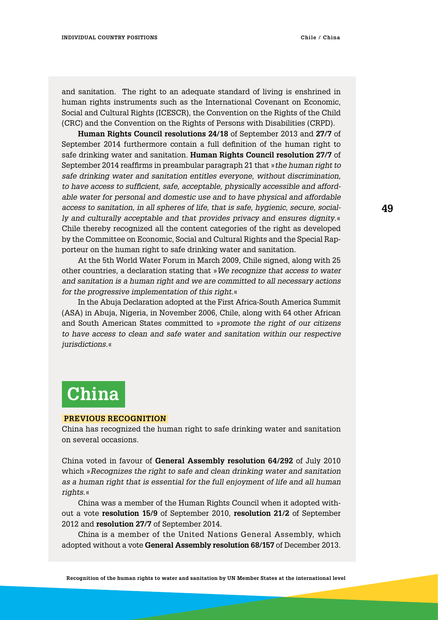and sanitation. The right to an adequate standard of living is enshrined in human rights instruments such as the International Covenant on Economic, Social and Cultural Rights (ICESCR), the Convention on the Rights of the Child (CRC) and the Convention on the Rights of Persons with Disabilities (CRPD).

**Human Rights Council resolutions 24/18** of September 2013 and **27/7** of September 2014 furthermore contain a full definition of the human right to safe drinking water and sanitation. **Human Rights Council resolution 27/7** of September 2014 reaffirms in preambular paragraph 21 that »*the human right to safe drinking water and sanitation entitles everyone, without discrimination, to have access to sufficient, safe, acceptable, physically accessible and affordable water for personal and domestic use and to have physical and affordable access to sanitation, in all spheres of life, that is safe, hygienic, secure, socially and culturally acceptable and that provides privacy and ensures dignity*.« Chile thereby recognized all the content categories of the right as developed by the Committee on Economic, Social and Cultural Rights and the Special Rapporteur on the human right to safe drinking water and sanitation.

At the 5th World Water Forum in March 2009, Chile signed, along with 25 other countries, a declaration stating that »*We recognize that access to water and sanitation is a human right and we are committed to all necessary actions for the progressive implementation of this right.*«

In the Abuja Declaration adopted at the First Africa-South America Summit (ASA) in Abuja, Nigeria, in November 2006, Chile, along with 64 other African and South American States committed to »*promote the right of our citizens*  to have access to clean and safe water and sanitation within our respective *jurisdictions.*«

# **China**

#### **Previous Recognition**

China has recognized the human right to safe drinking water and sanitation on several occasions.

China voted in favour of **General Assembly resolution 64/292** of July 2010 which »*Recognizes the right to safe and clean drinking water and sanitation as a human right that is essential for the full enjoyment of life and all human rights*.«

China was a member of the Human Rights Council when it adopted without a vote **resolution 15/9** of September 2010, **resolution 21/2** of September 2012 and **resolution 27/7** of September 2014.

China is a member of the United Nations General Assembly, which adopted without a vote **General Assembly resolution 68/157** of December 2013.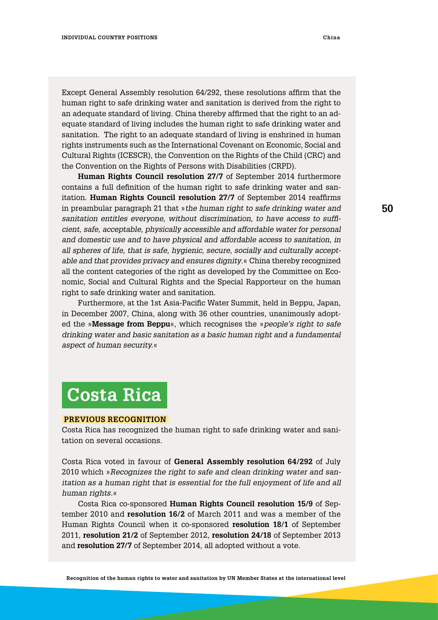Except General Assembly resolution 64/292, these resolutions affirm that the human right to safe drinking water and sanitation is derived from the right to an adequate standard of living. China thereby affirmed that the right to an adequate standard of living includes the human right to safe drinking water and sanitation. The right to an adequate standard of living is enshrined in human rights instruments such as the International Covenant on Economic, Social and Cultural Rights (ICESCR), the Convention on the Rights of the Child (CRC) and the Convention on the Rights of Persons with Disabilities (CRPD).

**Human Rights Council resolution 27/7** of September 2014 furthermore contains a full definition of the human right to safe drinking water and sanitation. **Human Rights Council resolution 27/7** of September 2014 reaffirms in preambular paragraph 21 that »*the human right to safe drinking water and sanitation entitles everyone, without discrimination, to have access to sufficient, safe, acceptable, physically accessible and affordable water for personal and domestic use and to have physical and affordable access to sanitation, in all spheres of life, that is safe, hygienic, secure, socially and culturally acceptable and that provides privacy and ensures dignity*.« China thereby recognized all the content categories of the right as developed by the Committee on Economic, Social and Cultural Rights and the Special Rapporteur on the human right to safe drinking water and sanitation.

Furthermore, at the 1st Asia-Pacific Water Summit, held in Beppu, Japan, in December 2007, China, along with 36 other countries, unanimously adopted the »**Message from Beppu**«, which recognises the »*people's right to safe drinking water and basic sanitation as a basic human right and a fundamental aspect of human security.*«

### **Costa Rica**

#### **Previous Recognition**

Costa Rica has recognized the human right to safe drinking water and sanitation on several occasions.

Costa Rica voted in favour of **General Assembly resolution 64/292** of July 2010 which »*Recognizes the right to safe and clean drinking water and sanitation as a human right that is essential for the full enjoyment of life and all human rights.*«

Costa Rica co-sponsored **Human Rights Council resolution 15/9** of September 2010 and **resolution 16/2** of March 2011 and was a member of the Human Rights Council when it co-sponsored **resolution 18/1** of September 2011, **resolution 21/2** of September 2012, **resolution 24/18** of September 2013 and **resolution 27/7** of September 2014, all adopted without a vote.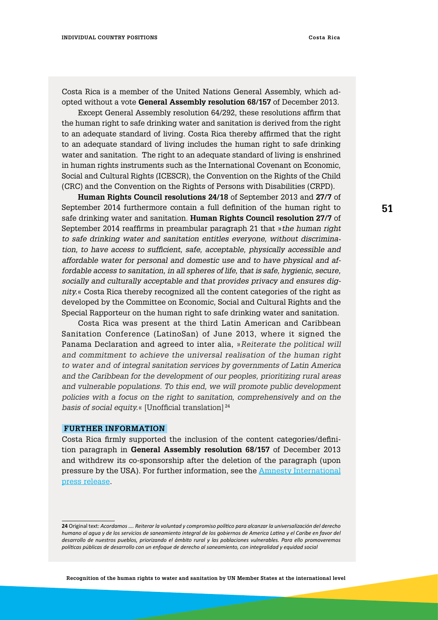Costa Rica is a member of the United Nations General Assembly, which adopted without a vote **General Assembly resolution 68/157** of December 2013.

Except General Assembly resolution 64/292, these resolutions affirm that the human right to safe drinking water and sanitation is derived from the right to an adequate standard of living. Costa Rica thereby affirmed that the right to an adequate standard of living includes the human right to safe drinking water and sanitation. The right to an adequate standard of living is enshrined in human rights instruments such as the International Covenant on Economic, Social and Cultural Rights (ICESCR), the Convention on the Rights of the Child (CRC) and the Convention on the Rights of Persons with Disabilities (CRPD).

**Human Rights Council resolutions 24/18** of September 2013 and **27/7** of September 2014 furthermore contain a full definition of the human right to safe drinking water and sanitation. **Human Rights Council resolution 27/7** of September 2014 reaffirms in preambular paragraph 21 that »*the human right to safe drinking water and sanitation entitles everyone, without discrimination, to have access to sufficient, safe, acceptable, physically accessible and affordable water for personal and domestic use and to have physical and affordable access to sanitation, in all spheres of life, that is safe, hygienic, secure, socially and culturally acceptable and that provides privacy and ensures dignity.*« Costa Rica thereby recognized all the content categories of the right as developed by the Committee on Economic, Social and Cultural Rights and the Special Rapporteur on the human right to safe drinking water and sanitation.

Costa Rica was present at the third Latin American and Caribbean Sanitation Conference (LatinoSan) of June 2013, where it signed the Panama Declaration and agreed to inter alia, »*Reiterate the political will and commitment to achieve the universal realisation of the human right to water and of integral sanitation services by governments of Latin America and the Caribbean for the development of our peoples, prioritizing rural areas and vulnerable populations. To this end, we will promote public development policies with a focus on the right to sanitation, comprehensively and on the basis of social equity.*« [Unofficial translation] <sup>24</sup>

#### **Further information**

Costa Rica firmly supported the inclusion of the content categories/definition paragraph in **General Assembly resolution 68/157** of December 2013 and withdrew its co-sponsorship after the deletion of the paragraph (upon pressure by the USA). For further information, see the [Amnesty International](http://www.right2water.eu/sites/water/files/AmnestyInt.PRhumanrighttowater.pdf) [press release](http://www.right2water.eu/sites/water/files/AmnestyInt.PRhumanrighttowater.pdf).

**<sup>24</sup>** Original text: *Acordamos …. Reiterar la voluntad y compromiso político para alcanzar la universalización del derecho humano al agua y de los servicios de saneamiento integral de los gobiernos de America Latina y el Caribe en favor del desarrollo de nuestros pueblos, priorizando el ámbito rural y las poblaciones vulnerables. Para ello promoveremos políticas públicas de desarrollo con un enfoque de derecho al saneamiento, con integralidad y equidad social*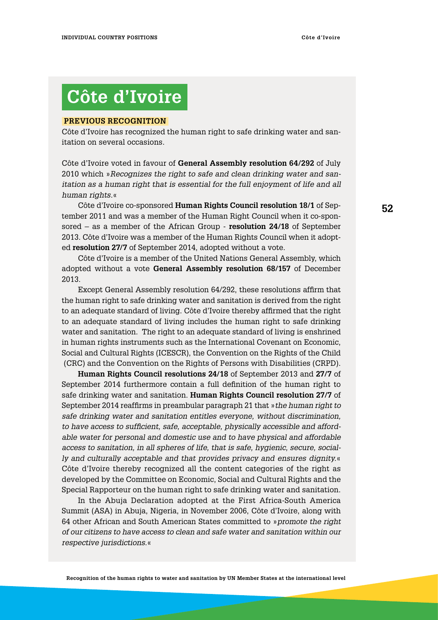# **Côte d'Ivoire**

#### **Previous Recognition**

Côte d'Ivoire has recognized the human right to safe drinking water and sanitation on several occasions.

Côte d'Ivoire voted in favour of **General Assembly resolution 64/292** of July 2010 which »*Recognizes the right to safe and clean drinking water and sanitation as a human right that is essential for the full enjoyment of life and all human rights.*«

Côte d'Ivoire co-sponsored **Human Rights Council resolution 18/1** of September 2011 and was a member of the Human Right Council when it co-sponsored – as a member of the African Group - **resolution 24/18** of September 2013. Côte d'Ivoire was a member of the Human Rights Council when it adopted **resolution 27/7** of September 2014, adopted without a vote.

Côte d'Ivoire is a member of the United Nations General Assembly, which adopted without a vote **General Assembly resolution 68/157** of December 2013.

Except General Assembly resolution 64/292, these resolutions affirm that the human right to safe drinking water and sanitation is derived from the right to an adequate standard of living. Côte d'Ivoire thereby affirmed that the right to an adequate standard of living includes the human right to safe drinking water and sanitation. The right to an adequate standard of living is enshrined in human rights instruments such as the International Covenant on Economic, Social and Cultural Rights (ICESCR), the Convention on the Rights of the Child (CRC) and the Convention on the Rights of Persons with Disabilities (CRPD).

**Human Rights Council resolutions 24/18** of September 2013 and **27/7** of September 2014 furthermore contain a full definition of the human right to safe drinking water and sanitation. **Human Rights Council resolution 27/7** of September 2014 reaffirms in preambular paragraph 21 that »*the human right to safe drinking water and sanitation entitles everyone, without discrimination, to have access to sufficient, safe, acceptable, physically accessible and affordable water for personal and domestic use and to have physical and affordable access to sanitation, in all spheres of life, that is safe, hygienic, secure, socially and culturally acceptable and that provides privacy and ensures dignity.*« Côte d'Ivoire thereby recognized all the content categories of the right as developed by the Committee on Economic, Social and Cultural Rights and the Special Rapporteur on the human right to safe drinking water and sanitation.

In the Abuja Declaration adopted at the First Africa-South America Summit (ASA) in Abuja, Nigeria, in November 2006, Côte d'Ivoire, along with 64 other African and South American States committed to »*promote the right of our citizens to have access to clean and safe water and sanitation within our respective jurisdictions.*«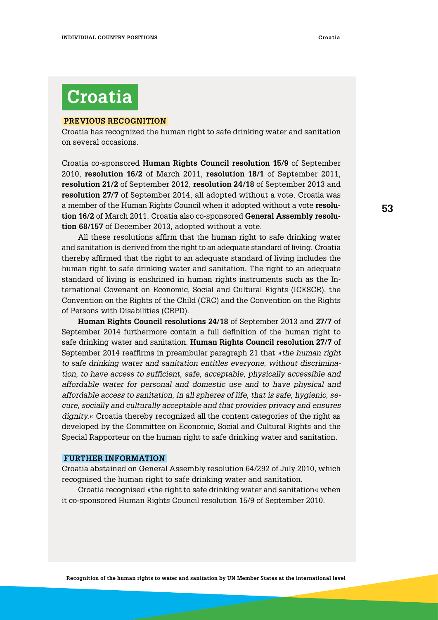### **Croatia**

#### **Previous Recognition**

Croatia has recognized the human right to safe drinking water and sanitation on several occasions.

Croatia co-sponsored **Human Rights Council resolution 15/9** of September 2010, **resolution 16/2** of March 2011, **resolution 18/1** of September 2011, **resolution 21/2** of September 2012, **resolution 24/18** of September 2013 and **resolution 27/7** of September 2014, all adopted without a vote. Croatia was a member of the Human Rights Council when it adopted without a vote **resolution 16/2** of March 2011. Croatia also co-sponsored **General Assembly resolution 68/157** of December 2013, adopted without a vote.

All these resolutions affirm that the human right to safe drinking water and sanitation is derived from the right to an adequate standard of living. Croatia thereby affirmed that the right to an adequate standard of living includes the human right to safe drinking water and sanitation. The right to an adequate standard of living is enshrined in human rights instruments such as the International Covenant on Economic, Social and Cultural Rights (ICESCR), the Convention on the Rights of the Child (CRC) and the Convention on the Rights of Persons with Disabilities (CRPD).

**Human Rights Council resolutions 24/18** of September 2013 and **27/7** of September 2014 furthermore contain a full definition of the human right to safe drinking water and sanitation. **Human Rights Council resolution 27/7** of September 2014 reaffirms in preambular paragraph 21 that »*the human right to safe drinking water and sanitation entitles everyone, without discrimination, to have access to sufficient, safe, acceptable, physically accessible and affordable water for personal and domestic use and to have physical and affordable access to sanitation, in all spheres of life, that is safe, hygienic, secure, socially and culturally acceptable and that provides privacy and ensures dignity.*« Croatia thereby recognized all the content categories of the right as developed by the Committee on Economic, Social and Cultural Rights and the Special Rapporteur on the human right to safe drinking water and sanitation.

#### **Further information**

Croatia abstained on General Assembly resolution 64/292 of July 2010, which recognised the human right to safe drinking water and sanitation.

Croatia recognised »the right to safe drinking water and sanitation« when it co-sponsored Human Rights Council resolution 15/9 of September 2010.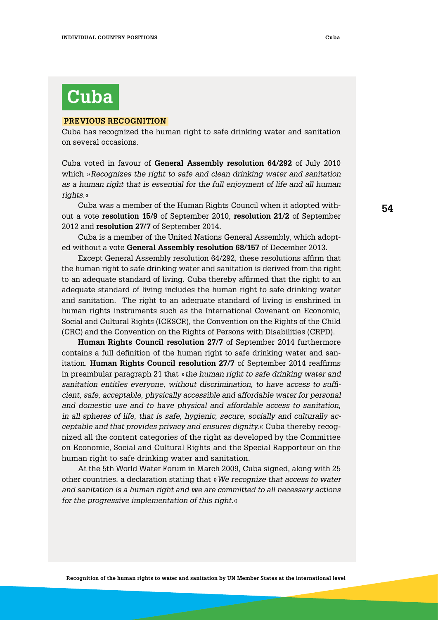# **Cuba**

#### **Previous Recognition**

Cuba has recognized the human right to safe drinking water and sanitation on several occasions.

Cuba voted in favour of **General Assembly resolution 64/292** of July 2010 which »*Recognizes the right to safe and clean drinking water and sanitation as a human right that is essential for the full enjoyment of life and all human rights.*«

Cuba was a member of the Human Rights Council when it adopted without a vote **resolution 15/9** of September 2010, **resolution 21/2** of September 2012 and **resolution 27/7** of September 2014.

Cuba is a member of the United Nations General Assembly, which adopted without a vote **General Assembly resolution 68/157** of December 2013.

Except General Assembly resolution 64/292, these resolutions affirm that the human right to safe drinking water and sanitation is derived from the right to an adequate standard of living. Cuba thereby affirmed that the right to an adequate standard of living includes the human right to safe drinking water and sanitation. The right to an adequate standard of living is enshrined in human rights instruments such as the International Covenant on Economic, Social and Cultural Rights (ICESCR), the Convention on the Rights of the Child (CRC) and the Convention on the Rights of Persons with Disabilities (CRPD).

**Human Rights Council resolution 27/7** of September 2014 furthermore contains a full definition of the human right to safe drinking water and sanitation. **Human Rights Council resolution 27/7** of September 2014 reaffirms in preambular paragraph 21 that »*the human right to safe drinking water and sanitation entitles everyone, without discrimination, to have access to sufficient, safe, acceptable, physically accessible and affordable water for personal and domestic use and to have physical and affordable access to sanitation, in all spheres of life, that is safe, hygienic, secure, socially and culturally acceptable and that provides privacy and ensures dignity.*« Cuba thereby recognized all the content categories of the right as developed by the Committee on Economic, Social and Cultural Rights and the Special Rapporteur on the human right to safe drinking water and sanitation.

At the 5th World Water Forum in March 2009, Cuba signed, along with 25 other countries, a declaration stating that »*We recognize that access to water and sanitation is a human right and we are committed to all necessary actions for the progressive implementation of this right.*«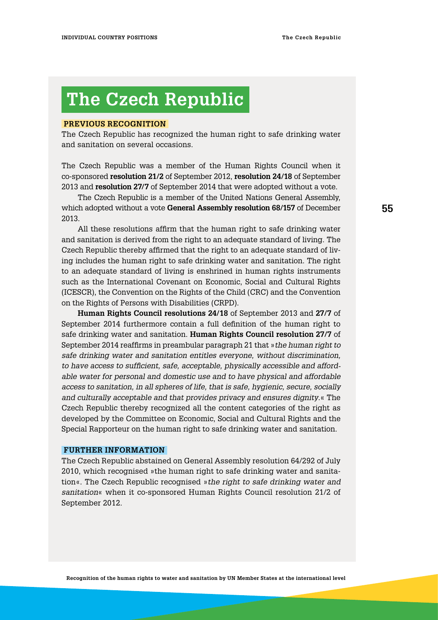# **The Czech Republic**

#### **Previous Recognition**

The Czech Republic has recognized the human right to safe drinking water and sanitation on several occasions.

The Czech Republic was a member of the Human Rights Council when it co-sponsored **resolution 21/2** of September 2012, **resolution 24/18** of September 2013 and **resolution 27/7** of September 2014 that were adopted without a vote.

The Czech Republic is a member of the United Nations General Assembly, which adopted without a vote **General Assembly resolution 68/157** of December 2013.

All these resolutions affirm that the human right to safe drinking water and sanitation is derived from the right to an adequate standard of living. The Czech Republic thereby affirmed that the right to an adequate standard of living includes the human right to safe drinking water and sanitation. The right to an adequate standard of living is enshrined in human rights instruments such as the International Covenant on Economic, Social and Cultural Rights (ICESCR), the Convention on the Rights of the Child (CRC) and the Convention on the Rights of Persons with Disabilities (CRPD).

**Human Rights Council resolutions 24/18** of September 2013 and **27/7** of September 2014 furthermore contain a full definition of the human right to safe drinking water and sanitation. **Human Rights Council resolution 27/7** of September 2014 reaffirms in preambular paragraph 21 that »*the human right to safe drinking water and sanitation entitles everyone, without discrimination, to have access to sufficient, safe, acceptable, physically accessible and affordable water for personal and domestic use and to have physical and affordable access to sanitation, in all spheres of life, that is safe, hygienic, secure, socially and culturally acceptable and that provides privacy and ensures dignity*.« The Czech Republic thereby recognized all the content categories of the right as developed by the Committee on Economic, Social and Cultural Rights and the Special Rapporteur on the human right to safe drinking water and sanitation.

#### **Further information**

The Czech Republic abstained on General Assembly resolution 64/292 of July 2010, which recognised »the human right to safe drinking water and sanitation«. The Czech Republic recognised »*the right to safe drinking water and sanitation*« when it co-sponsored Human Rights Council resolution 21/2 of September 2012.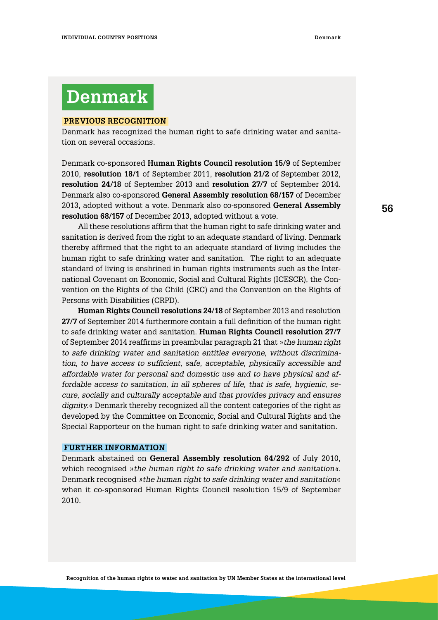# **Denmark**

#### **Previous Recognition**

Denmark has recognized the human right to safe drinking water and sanitation on several occasions.

Denmark co-sponsored **Human Rights Council resolution 15/9** of September 2010, **resolution 18/1** of September 2011, **resolution 21/2** of September 2012, **resolution 24/18** of September 2013 and **resolution 27/7** of September 2014. Denmark also co-sponsored **General Assembly resolution 68/157** of December 2013, adopted without a vote. Denmark also co-sponsored **General Assembly resolution 68/157** of December 2013, adopted without a vote.

All these resolutions affirm that the human right to safe drinking water and sanitation is derived from the right to an adequate standard of living. Denmark thereby affirmed that the right to an adequate standard of living includes the human right to safe drinking water and sanitation. The right to an adequate standard of living is enshrined in human rights instruments such as the International Covenant on Economic, Social and Cultural Rights (ICESCR), the Convention on the Rights of the Child (CRC) and the Convention on the Rights of Persons with Disabilities (CRPD).

**Human Rights Council resolutions 24/18** of September 2013 and resolution **27/7** of September 2014 furthermore contain a full definition of the human right to safe drinking water and sanitation. **Human Rights Council resolution 27/7** of September 2014 reaffirms in preambular paragraph 21 that »*the human right to safe drinking water and sanitation entitles everyone, without discrimination, to have access to sufficient, safe, acceptable, physically accessible and affordable water for personal and domestic use and to have physical and affordable access to sanitation, in all spheres of life, that is safe, hygienic, secure, socially and culturally acceptable and that provides privacy and ensures dignity.*« Denmark thereby recognized all the content categories of the right as developed by the Committee on Economic, Social and Cultural Rights and the Special Rapporteur on the human right to safe drinking water and sanitation.

#### **Further information**

Denmark abstained on **General Assembly resolution 64/292** of July 2010, which recognised »*the human right to safe drinking water and sanitation«.*  Denmark recognised *»the human right to safe drinking water and sanitation*« when it co-sponsored Human Rights Council resolution 15/9 of September 2010.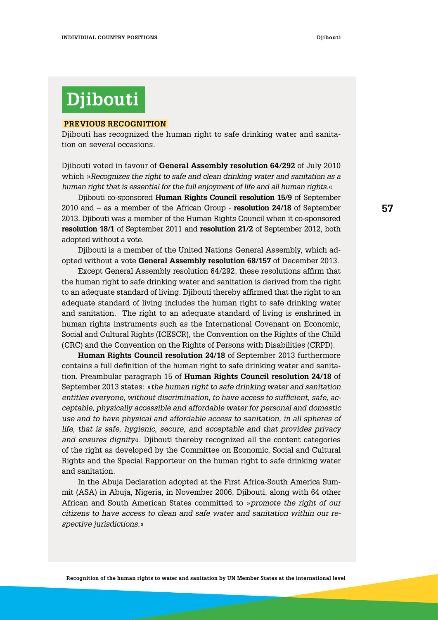# **Djibouti**

#### **Previous Recognition**

Djibouti has recognized the human right to safe drinking water and sanitation on several occasions.

Djibouti voted in favour of **General Assembly resolution 64/292** of July 2010 which »*Recognizes the right to safe and clean drinking water and sanitation as a human right that is essential for the full enjoyment of life and all human rights*.«

Djibouti co-sponsored **Human Rights Council resolution 15/9** of September 2010 and – as a member of the African Group - **resolution 24/18** of September 2013. Djibouti was a member of the Human Rights Council when it co-sponsored **resolution 18/1** of September 2011 and **resolution 21/2** of September 2012, both adopted without a vote.

Djibouti is a member of the United Nations General Assembly, which adopted without a vote **General Assembly resolution 68/157** of December 2013.

Except General Assembly resolution 64/292, these resolutions affirm that the human right to safe drinking water and sanitation is derived from the right to an adequate standard of living. Djibouti thereby affirmed that the right to an adequate standard of living includes the human right to safe drinking water and sanitation. The right to an adequate standard of living is enshrined in human rights instruments such as the International Covenant on Economic, Social and Cultural Rights (ICESCR), the Convention on the Rights of the Child (CRC) and the Convention on the Rights of Persons with Disabilities (CRPD).

**Human Rights Council resolution 24/18** of September 2013 furthermore contains a full definition of the human right to safe drinking water and sanitation. Preambular paragraph 15 of **Human Rights Council resolution 24/18** of September 2013 states: »*the human right to safe drinking water and sanitation entitles everyone, without discrimination, to have access to sufficient, safe, acceptable, physically accessible and affordable water for personal and domestic use and to have physical and affordable access to sanitation, in all spheres of life, that is safe, hygienic, secure, and acceptable and that provides privacy and ensures dignity*«. Djibouti thereby recognized all the content categories of the right as developed by the Committee on Economic, Social and Cultural Rights and the Special Rapporteur on the human right to safe drinking water and sanitation.

In the Abuja Declaration adopted at the First Africa-South America Summit (ASA) in Abuja, Nigeria, in November 2006, Djibouti, along with 64 other African and South American States committed to »*promote the right of our citizens to have access to clean and safe water and sanitation within our respective jurisdictions.*«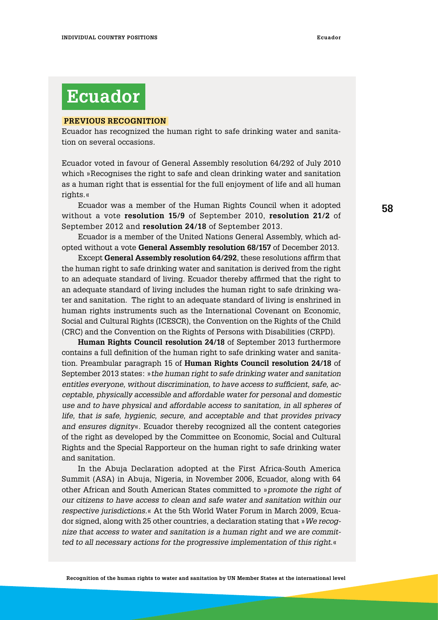### **Ecuador**

#### **Previous Recognition**

Ecuador has recognized the human right to safe drinking water and sanitation on several occasions.

Ecuador voted in favour of General Assembly resolution 64/292 of July 2010 which »Recognises the right to safe and clean drinking water and sanitation as a human right that is essential for the full enjoyment of life and all human rights.«

Ecuador was a member of the Human Rights Council when it adopted without a vote **resolution 15/9** of September 2010, **resolution 21/2** of September 2012 and **resolution 24/18** of September 2013.

Ecuador is a member of the United Nations General Assembly, which adopted without a vote **General Assembly resolution 68/157** of December 2013.

Except **General Assembly resolution 64/292**, these resolutions affirm that the human right to safe drinking water and sanitation is derived from the right to an adequate standard of living. Ecuador thereby affirmed that the right to an adequate standard of living includes the human right to safe drinking water and sanitation. The right to an adequate standard of living is enshrined in human rights instruments such as the International Covenant on Economic, Social and Cultural Rights (ICESCR), the Convention on the Rights of the Child (CRC) and the Convention on the Rights of Persons with Disabilities (CRPD).

**Human Rights Council resolution 24/18** of September 2013 furthermore contains a full definition of the human right to safe drinking water and sanitation. Preambular paragraph 15 of **Human Rights Council resolution 24/18** of September 2013 states: »*the human right to safe drinking water and sanitation entitles everyone, without discrimination, to have access to sufficient, safe, acceptable, physically accessible and affordable water for personal and domestic use and to have physical and affordable access to sanitation, in all spheres of life, that is safe, hygienic, secure, and acceptable and that provides privacy and ensures dignity*«. Ecuador thereby recognized all the content categories of the right as developed by the Committee on Economic, Social and Cultural Rights and the Special Rapporteur on the human right to safe drinking water and sanitation.

In the Abuja Declaration adopted at the First Africa-South America Summit (ASA) in Abuja, Nigeria, in November 2006, Ecuador, along with 64 other African and South American States committed to »*promote the right of our citizens to have access to clean and safe water and sanitation within our respective jurisdictions.*« At the 5th World Water Forum in March 2009, Ecuador signed, along with 25 other countries, a declaration stating that »*We recognize that access to water and sanitation is a human right and we are committed to all necessary actions for the progressive implementation of this right*.«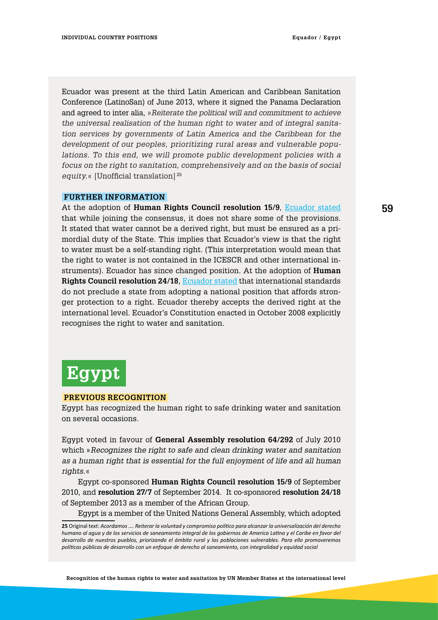Ecuador was present at the third Latin American and Caribbean Sanitation Conference (LatinoSan) of June 2013, where it signed the Panama Declaration and agreed to inter alia, »*Reiterate the political will and commitment to achieve the universal realisation of the human right to water and of integral sanitation services by governments of Latin America and the Caribbean for the development of our peoples, prioritizing rural areas and vulnerable populations. To this end, we will promote public development policies with a focus on the right to sanitation, comprehensively and on the basis of social equity.*« [Unofficial translation] <sup>25</sup>

#### **Further information**

At the adoption of **Human Rights Council resolution 15/9**, [Ecuador stated](http://www.un.org/webcast/unhrc/archive.asp?go=100930) that while joining the consensus, it does not share some of the provisions. It stated that water cannot be a derived right, but must be ensured as a primordial duty of the State. This implies that Ecuador's view is that the right to water must be a self-standing right. (This interpretation would mean that the right to water is not contained in the ICESCR and other international instruments). Ecuador has since changed position. At the adoption of **Human Rights Council resolution 24/18**, [Ecuador stated](https://extranet.ohchr.org/sites/hrc/HRCSessions/RegularSessions/24thSession/Resolutions/The%20human%20right%20to%20safe%20drinking%20water%20and%20sanitation/General%20comments%20-%20Ecuador.pdf) that international standards do not preclude a state from adopting a national position that affords stronger protection to a right. Ecuador thereby accepts the derived right at the international level. Ecuador's Constitution enacted in October 2008 explicitly recognises the right to water and sanitation.



#### **Previous Recognition**

Egypt has recognized the human right to safe drinking water and sanitation on several occasions.

Egypt voted in favour of **General Assembly resolution 64/292** of July 2010 which »*Recognizes the right to safe and clean drinking water and sanitation as a human right that is essential for the full enjoyment of life and all human rights.*«

Egypt co-sponsored **Human Rights Council resolution 15/9** of September 2010, and **resolution 27/7** of September 2014. It co-sponsored **resolution 24/18** of September 2013 as a member of the African Group.

Egypt is a member of the United Nations General Assembly, which adopted

**<sup>25</sup>** Original text: *Acordamos …. Reiterar la voluntad y compromiso político para alcanzar la universalización del derecho humano al agua y de los servicios de saneamiento integral de los gobiernos de America Latina y el Caribe en favor del desarrollo de nuestros pueblos, priorizando el ámbito rural y las poblaciones vulnerables. Para ello promoveremos políticas públicas de desarrollo con un enfoque de derecho al saneamiento, con integralidad y equidad social*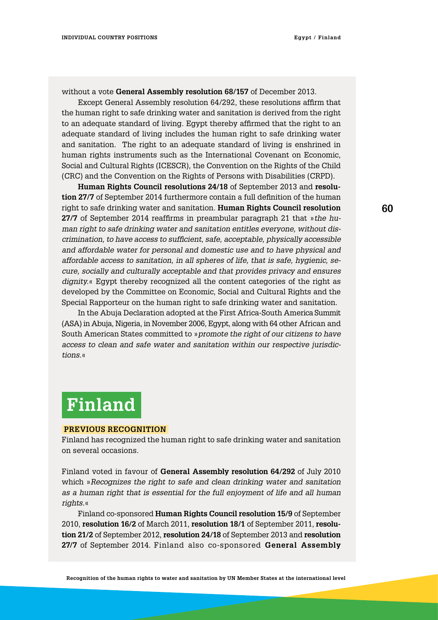without a vote **General Assembly resolution 68/157** of December 2013.

Except General Assembly resolution 64/292, these resolutions affirm that the human right to safe drinking water and sanitation is derived from the right to an adequate standard of living. Egypt thereby affirmed that the right to an adequate standard of living includes the human right to safe drinking water and sanitation. The right to an adequate standard of living is enshrined in human rights instruments such as the International Covenant on Economic, Social and Cultural Rights (ICESCR), the Convention on the Rights of the Child (CRC) and the Convention on the Rights of Persons with Disabilities (CRPD).

**Human Rights Council resolutions 24/18** of September 2013 and **resolution 27/7** of September 2014 furthermore contain a full definition of the human right to safe drinking water and sanitation. **Human Rights Council resolution 27/7** of September 2014 reaffirms in preambular paragraph 21 that »*the human right to safe drinking water and sanitation entitles everyone, without discrimination, to have access to sufficient, safe, acceptable, physically accessible and affordable water for personal and domestic use and to have physical and affordable access to sanitation, in all spheres of life, that is safe, hygienic, secure, socially and culturally acceptable and that provides privacy and ensures dignity.*« Egypt thereby recognized all the content categories of the right as developed by the Committee on Economic, Social and Cultural Rights and the Special Rapporteur on the human right to safe drinking water and sanitation.

In the Abuja Declaration adopted at the First Africa-South America Summit (ASA) in Abuja, Nigeria, in November 2006, Egypt, along with 64 other African and South American States committed to »*promote the right of our citizens to have access to clean and safe water and sanitation within our respective jurisdictions.*«

# **Finland**

#### **Previous Recognition**

Finland has recognized the human right to safe drinking water and sanitation on several occasions.

Finland voted in favour of **General Assembly resolution 64/292** of July 2010 which »*Recognizes the right to safe and clean drinking water and sanitation as a human right that is essential for the full enjoyment of life and all human rights.*«

Finland co-sponsored **Human Rights Council resolution 15/9** of September 2010, **resolution 16/2** of March 2011, **resolution 18/1** of September 2011, **resolution 21/2** of September 2012, **resolution 24/18** of September 2013 and **resolution 27/7** of September 2014. Finland also co-sponsored **General Assembly**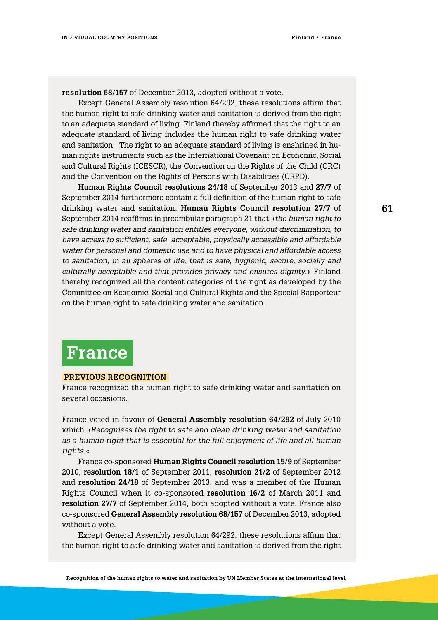**resolution 68/157** of December 2013, adopted without a vote.

Except General Assembly resolution 64/292, these resolutions affirm that the human right to safe drinking water and sanitation is derived from the right to an adequate standard of living. Finland thereby affirmed that the right to an adequate standard of living includes the human right to safe drinking water and sanitation. The right to an adequate standard of living is enshrined in human rights instruments such as the International Covenant on Economic, Social and Cultural Rights (ICESCR), the Convention on the Rights of the Child (CRC) and the Convention on the Rights of Persons with Disabilities (CRPD).

**Human Rights Council resolutions 24/18** of September 2013 and **27/7** of September 2014 furthermore contain a full definition of the human right to safe drinking water and sanitation. **Human Rights Council resolution 27/7** of September 2014 reaffirms in preambular paragraph 21 that »*the human right to safe drinking water and sanitation entitles everyone, without discrimination, to have access to sufficient, safe, acceptable, physically accessible and affordable water for personal and domestic use and to have physical and affordable access to sanitation, in all spheres of life, that is safe, hygienic, secure, socially and culturally acceptable and that provides privacy and ensures dignity*.« Finland thereby recognized all the content categories of the right as developed by the Committee on Economic, Social and Cultural Rights and the Special Rapporteur on the human right to safe drinking water and sanitation.

### **France**

#### **Previous Recognition**

France recognized the human right to safe drinking water and sanitation on several occasions.

France voted in favour of **General Assembly resolution 64/292** of July 2010 which »*Recognises the right to safe and clean drinking water and sanitation as a human right that is essential for the full enjoyment of life and all human rights.*«

France co-sponsored **Human Rights Council resolution 15/9** of September 2010, **resolution 18/1** of September 2011, **resolution 21/2** of September 2012 and **resolution 24/18** of September 2013, and was a member of the Human Rights Council when it co-sponsored **resolution 16/2** of March 2011 and **resolution 27/7** of September 2014, both adopted without a vote. France also co-sponsored **General Assembly resolution 68/157** of December 2013, adopted without a vote.

Except General Assembly resolution 64/292, these resolutions affirm that the human right to safe drinking water and sanitation is derived from the right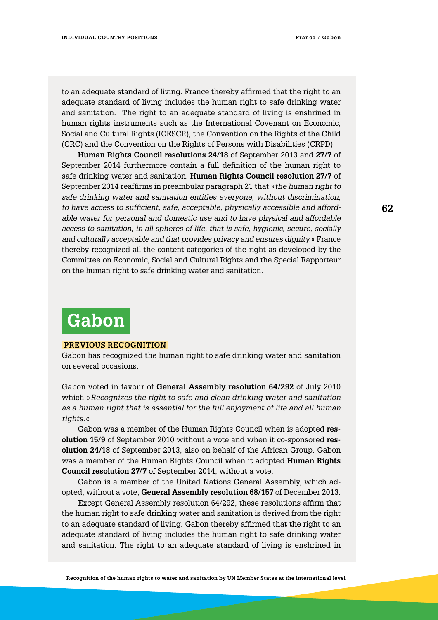to an adequate standard of living. France thereby affirmed that the right to an adequate standard of living includes the human right to safe drinking water and sanitation. The right to an adequate standard of living is enshrined in human rights instruments such as the International Covenant on Economic, Social and Cultural Rights (ICESCR), the Convention on the Rights of the Child (CRC) and the Convention on the Rights of Persons with Disabilities (CRPD).

**Human Rights Council resolutions 24/18** of September 2013 and **27/7** of September 2014 furthermore contain a full definition of the human right to safe drinking water and sanitation. **Human Rights Council resolution 27/7** of September 2014 reaffirms in preambular paragraph 21 that »*the human right to safe drinking water and sanitation entitles everyone, without discrimination, to have access to sufficient, safe, acceptable, physically accessible and affordable water for personal and domestic use and to have physical and affordable access to sanitation, in all spheres of life, that is safe, hygienic, secure, socially and culturally acceptable and that provides privacy and ensures dignity.*« France thereby recognized all the content categories of the right as developed by the Committee on Economic, Social and Cultural Rights and the Special Rapporteur on the human right to safe drinking water and sanitation.

# **Gabon**

#### **Previous Recognition**

Gabon has recognized the human right to safe drinking water and sanitation on several occasions.

Gabon voted in favour of **General Assembly resolution 64/292** of July 2010 which »*Recognizes the right to safe and clean drinking water and sanitation as a human right that is essential for the full enjoyment of life and all human rights*.«

Gabon was a member of the Human Rights Council when is adopted **resolution 15/9** of September 2010 without a vote and when it co-sponsored **resolution 24/18** of September 2013, also on behalf of the African Group. Gabon was a member of the Human Rights Council when it adopted **Human Rights Council resolution 27/7** of September 2014, without a vote.

Gabon is a member of the United Nations General Assembly, which adopted, without a vote, **General Assembly resolution 68/157** of December 2013.

Except General Assembly resolution 64/292, these resolutions affirm that the human right to safe drinking water and sanitation is derived from the right to an adequate standard of living. Gabon thereby affirmed that the right to an adequate standard of living includes the human right to safe drinking water and sanitation. The right to an adequate standard of living is enshrined in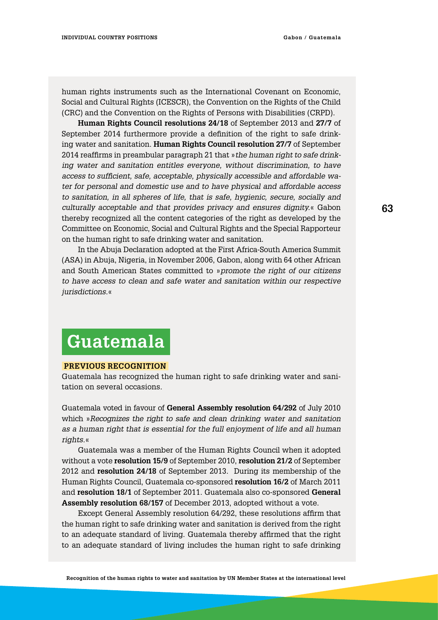human rights instruments such as the International Covenant on Economic, Social and Cultural Rights (ICESCR), the Convention on the Rights of the Child (CRC) and the Convention on the Rights of Persons with Disabilities (CRPD).

**Human Rights Council resolutions 24/18** of September 2013 and **27/7** of September 2014 furthermore provide a definition of the right to safe drinking water and sanitation. **Human Rights Council resolution 27/7** of September 2014 reaffirms in preambular paragraph 21 that »*the human right to safe drinking water and sanitation entitles everyone, without discrimination, to have access to sufficient, safe, acceptable, physically accessible and affordable water for personal and domestic use and to have physical and affordable access to sanitation, in all spheres of life, that is safe, hygienic, secure, socially and culturally acceptable and that provides privacy and ensures dignity.*« Gabon thereby recognized all the content categories of the right as developed by the Committee on Economic, Social and Cultural Rights and the Special Rapporteur on the human right to safe drinking water and sanitation.

In the Abuja Declaration adopted at the First Africa-South America Summit (ASA) in Abuja, Nigeria, in November 2006, Gabon, along with 64 other African and South American States committed to »*promote the right of our citizens to have access to clean and safe water and sanitation within our respective jurisdictions.*«

### **Guatemala**

#### **Previous Recognition**

Guatemala has recognized the human right to safe drinking water and sanitation on several occasions.

Guatemala voted in favour of **General Assembly resolution 64/292** of July 2010 which »*Recognizes the right to safe and clean drinking water and sanitation as a human right that is essential for the full enjoyment of life and all human rights.*«

Guatemala was a member of the Human Rights Council when it adopted without a vote **resolution 15/9** of September 2010, **resolution 21/2** of September 2012 and **resolution 24/18** of September 2013. During its membership of the Human Rights Council, Guatemala co-sponsored **resolution 16/2** of March 2011 and **resolution 18/1** of September 2011. Guatemala also co-sponsored **General Assembly resolution 68/157** of December 2013, adopted without a vote.

Except General Assembly resolution 64/292, these resolutions affirm that the human right to safe drinking water and sanitation is derived from the right to an adequate standard of living. Guatemala thereby affirmed that the right to an adequate standard of living includes the human right to safe drinking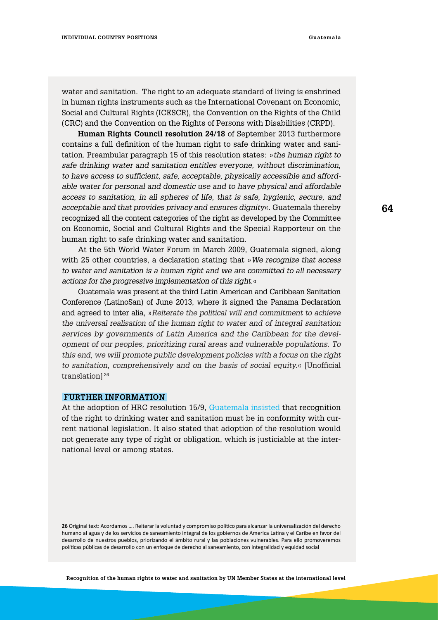water and sanitation. The right to an adequate standard of living is enshrined in human rights instruments such as the International Covenant on Economic, Social and Cultural Rights (ICESCR), the Convention on the Rights of the Child (CRC) and the Convention on the Rights of Persons with Disabilities (CRPD).

**Human Rights Council resolution 24/18** of September 2013 furthermore contains a full definition of the human right to safe drinking water and sanitation. Preambular paragraph 15 of this resolution states: »*the human right to safe drinking water and sanitation entitles everyone, without discrimination, to have access to sufficient, safe, acceptable, physically accessible and affordable water for personal and domestic use and to have physical and affordable access to sanitation, in all spheres of life, that is safe, hygienic, secure, and acceptable and that provides privacy and ensures dignity*«. Guatemala thereby recognized all the content categories of the right as developed by the Committee on Economic, Social and Cultural Rights and the Special Rapporteur on the human right to safe drinking water and sanitation.

At the 5th World Water Forum in March 2009, Guatemala signed, along with 25 other countries, a declaration stating that »*We recognize that access to water and sanitation is a human right and we are committed to all necessary actions for the progressive implementation of this right.*«

Guatemala was present at the third Latin American and Caribbean Sanitation Conference (LatinoSan) of June 2013, where it signed the Panama Declaration and agreed to inter alia, »*Reiterate the political will and commitment to achieve the universal realisation of the human right to water and of integral sanitation services by governments of Latin America and the Caribbean for the development of our peoples, prioritizing rural areas and vulnerable populations. To this end, we will promote public development policies with a focus on the right to sanitation, comprehensively and on the basis of social equity.*« [Unofficial translation] <sup>26</sup>

#### **Further information**

At the adoption of HRC resolution 15/9, [Guatemala insisted](http://www.un.org/webcast/unhrc/archive.asp?go=100930) that recognition of the right to drinking water and sanitation must be in conformity with current national legislation. It also stated that adoption of the resolution would not generate any type of right or obligation, which is justiciable at the international level or among states.

**<sup>26</sup>** Original text: Acordamos …. Reiterar la voluntad y compromiso político para alcanzar la universalización del derecho humano al agua y de los servicios de saneamiento integral de los gobiernos de America Latina y el Caribe en favor del desarrollo de nuestros pueblos, priorizando el ámbito rural y las poblaciones vulnerables. Para ello promoveremos políticas públicas de desarrollo con un enfoque de derecho al saneamiento, con integralidad y equidad social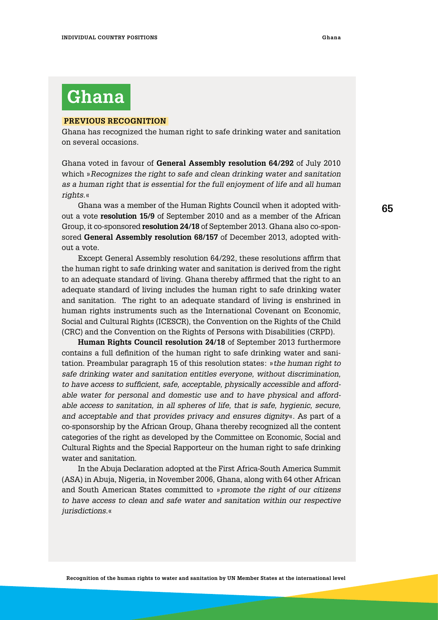# **Ghana**

#### **Previous Recognition**

Ghana has recognized the human right to safe drinking water and sanitation on several occasions.

Ghana voted in favour of **General Assembly resolution 64/292** of July 2010 which »*Recognizes the right to safe and clean drinking water and sanitation as a human right that is essential for the full enjoyment of life and all human rights.*«

Ghana was a member of the Human Rights Council when it adopted without a vote **resolution 15/9** of September 2010 and as a member of the African Group, it co-sponsored **resolution 24/18** of September 2013. Ghana also co-sponsored **General Assembly resolution 68/157** of December 2013, adopted without a vote.

Except General Assembly resolution 64/292, these resolutions affirm that the human right to safe drinking water and sanitation is derived from the right to an adequate standard of living. Ghana thereby affirmed that the right to an adequate standard of living includes the human right to safe drinking water and sanitation. The right to an adequate standard of living is enshrined in human rights instruments such as the International Covenant on Economic, Social and Cultural Rights (ICESCR), the Convention on the Rights of the Child (CRC) and the Convention on the Rights of Persons with Disabilities (CRPD).

**Human Rights Council resolution 24/18** of September 2013 furthermore contains a full definition of the human right to safe drinking water and sanitation. Preambular paragraph 15 of this resolution states: »*the human right to safe drinking water and sanitation entitles everyone, without discrimination, to have access to sufficient, safe, acceptable, physically accessible and affordable water for personal and domestic use and to have physical and affordable access to sanitation, in all spheres of life, that is safe, hygienic, secure, and acceptable and that provides privacy and ensures dignity*«. As part of a co-sponsorship by the African Group, Ghana thereby recognized all the content categories of the right as developed by the Committee on Economic, Social and Cultural Rights and the Special Rapporteur on the human right to safe drinking water and sanitation.

In the Abuja Declaration adopted at the First Africa-South America Summit (ASA) in Abuja, Nigeria, in November 2006, Ghana, along with 64 other African and South American States committed to »*promote the right of our citizens to have access to clean and safe water and sanitation within our respective jurisdictions.*«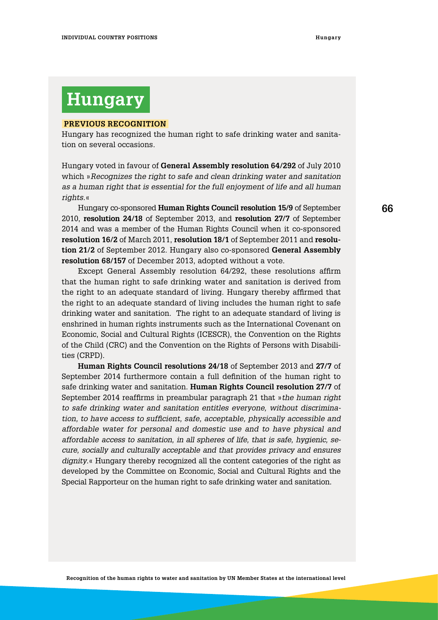### **Hungary**

#### **Previous Recognition**

Hungary has recognized the human right to safe drinking water and sanitation on several occasions.

Hungary voted in favour of **General Assembly resolution 64/292** of July 2010 which »*Recognizes the right to safe and clean drinking water and sanitation as a human right that is essential for the full enjoyment of life and all human rights.*«

Hungary co-sponsored **Human Rights Council resolution 15/9** of September 2010, **resolution 24/18** of September 2013, and **resolution 27/7** of September 2014 and was a member of the Human Rights Council when it co-sponsored **resolution 16/2** of March 2011, **resolution 18/1** of September 2011 and **resolution 21/2** of September 2012. Hungary also co-sponsored **General Assembly resolution 68/157** of December 2013, adopted without a vote.

Except General Assembly resolution 64/292, these resolutions affirm that the human right to safe drinking water and sanitation is derived from the right to an adequate standard of living. Hungary thereby affirmed that the right to an adequate standard of living includes the human right to safe drinking water and sanitation. The right to an adequate standard of living is enshrined in human rights instruments such as the International Covenant on Economic, Social and Cultural Rights (ICESCR), the Convention on the Rights of the Child (CRC) and the Convention on the Rights of Persons with Disabilities (CRPD).

**Human Rights Council resolutions 24/18** of September 2013 and **27/7** of September 2014 furthermore contain a full definition of the human right to safe drinking water and sanitation. **Human Rights Council resolution 27/7** of September 2014 reaffirms in preambular paragraph 21 that »*the human right to safe drinking water and sanitation entitles everyone, without discrimination, to have access to sufficient, safe, acceptable, physically accessible and affordable water for personal and domestic use and to have physical and affordable access to sanitation, in all spheres of life, that is safe, hygienic, secure, socially and culturally acceptable and that provides privacy and ensures dignity*.« Hungary thereby recognized all the content categories of the right as developed by the Committee on Economic, Social and Cultural Rights and the Special Rapporteur on the human right to safe drinking water and sanitation.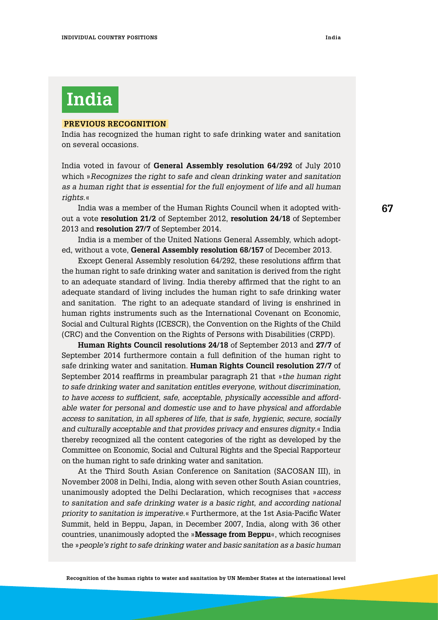# **India**

#### **Previous Recognition**

India has recognized the human right to safe drinking water and sanitation on several occasions.

India voted in favour of **General Assembly resolution 64/292** of July 2010 which »*Recognizes the right to safe and clean drinking water and sanitation as a human right that is essential for the full enjoyment of life and all human rights*.«

India was a member of the Human Rights Council when it adopted without a vote **resolution 21/2** of September 2012, **resolution 24/18** of September 2013 and **resolution 27/7** of September 2014.

India is a member of the United Nations General Assembly, which adopted, without a vote, **General Assembly resolution 68/157** of December 2013.

Except General Assembly resolution 64/292, these resolutions affirm that the human right to safe drinking water and sanitation is derived from the right to an adequate standard of living. India thereby affirmed that the right to an adequate standard of living includes the human right to safe drinking water and sanitation. The right to an adequate standard of living is enshrined in human rights instruments such as the International Covenant on Economic, Social and Cultural Rights (ICESCR), the Convention on the Rights of the Child (CRC) and the Convention on the Rights of Persons with Disabilities (CRPD).

**Human Rights Council resolutions 24/18** of September 2013 and **27/7** of September 2014 furthermore contain a full definition of the human right to safe drinking water and sanitation. **Human Rights Council resolution 27/7** of September 2014 reaffirms in preambular paragraph 21 that »*the human right to safe drinking water and sanitation entitles everyone, without discrimination, to have access to sufficient, safe, acceptable, physically accessible and affordable water for personal and domestic use and to have physical and affordable access to sanitation, in all spheres of life, that is safe, hygienic, secure, socially and culturally acceptable and that provides privacy and ensures dignity*.« India thereby recognized all the content categories of the right as developed by the Committee on Economic, Social and Cultural Rights and the Special Rapporteur on the human right to safe drinking water and sanitation.

At the Third South Asian Conference on Sanitation (SACOSAN III), in November 2008 in Delhi, India, along with seven other South Asian countries, unanimously adopted the Delhi Declaration, which recognises that »*access*  to sanitation and safe drinking water is a basic right, and according national *priority to sanitation is imperative.*« Furthermore, at the 1st Asia-Pacific Water Summit, held in Beppu, Japan, in December 2007, India, along with 36 other countries, unanimously adopted the »**Message from Beppu**«, which recognises the »*people's right to safe drinking water and basic sanitation as a basic human*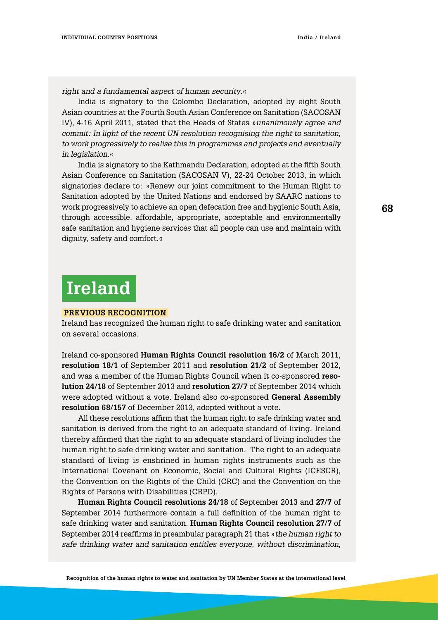*right and a fundamental aspect of human security*.«

India is signatory to the Colombo Declaration, adopted by eight South Asian countries at the Fourth South Asian Conference on Sanitation (SACOSAN IV), 4-16 April 2011, stated that the Heads of States »*unanimously agree and commit: In light of the recent UN resolution recognising the right to sanitation, to work progressively to realise this in programmes and projects and eventually in legislation.*«

India is signatory to the Kathmandu Declaration, adopted at the fifth South Asian Conference on Sanitation (SACOSAN V), 22-24 October 2013, in which signatories declare to: »Renew our joint commitment to the Human Right to Sanitation adopted by the United Nations and endorsed by SAARC nations to work progressively to achieve an open defecation free and hygienic South Asia, through accessible, affordable, appropriate, acceptable and environmentally safe sanitation and hygiene services that all people can use and maintain with dignity, safety and comfort.«

### **Ireland**

#### **Previous Recognition**

Ireland has recognized the human right to safe drinking water and sanitation on several occasions.

Ireland co-sponsored **Human Rights Council resolution 16/2** of March 2011, **resolution 18/1** of September 2011 and **resolution 21/2** of September 2012, and was a member of the Human Rights Council when it co-sponsored **resolution 24/18** of September 2013 and **resolution 27/7** of September 2014 which were adopted without a vote. Ireland also co-sponsored **General Assembly resolution 68/157** of December 2013, adopted without a vote.

All these resolutions affirm that the human right to safe drinking water and sanitation is derived from the right to an adequate standard of living. Ireland thereby affirmed that the right to an adequate standard of living includes the human right to safe drinking water and sanitation. The right to an adequate standard of living is enshrined in human rights instruments such as the International Covenant on Economic, Social and Cultural Rights (ICESCR), the Convention on the Rights of the Child (CRC) and the Convention on the Rights of Persons with Disabilities (CRPD).

**Human Rights Council resolutions 24/18** of September 2013 and **27/7** of September 2014 furthermore contain a full definition of the human right to safe drinking water and sanitation. **Human Rights Council resolution 27/7** of September 2014 reaffirms in preambular paragraph 21 that »*the human right to safe drinking water and sanitation entitles everyone, without discrimination,*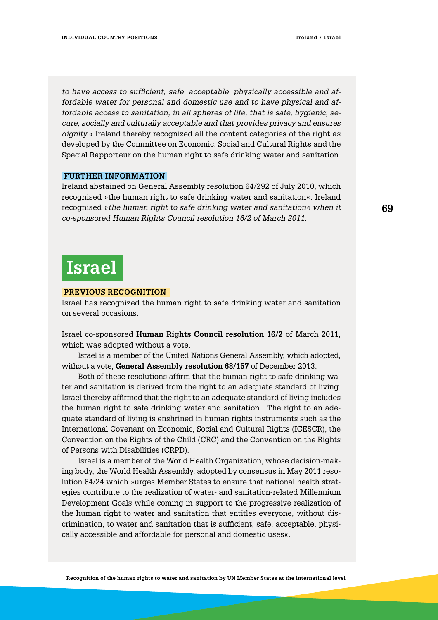*to have access to sufficient, safe, acceptable, physically accessible and affordable water for personal and domestic use and to have physical and affordable access to sanitation, in all spheres of life, that is safe, hygienic, secure, socially and culturally acceptable and that provides privacy and ensures dignity.*« Ireland thereby recognized all the content categories of the right as developed by the Committee on Economic, Social and Cultural Rights and the Special Rapporteur on the human right to safe drinking water and sanitation.

#### **Further information**

Ireland abstained on General Assembly resolution 64/292 of July 2010, which recognised »the human right to safe drinking water and sanitation«. Ireland recognised »*the human right to safe drinking water and sanitation« when it co-sponsored Human Rights Council resolution 16/2 of March 2011.*

### **Israel**

#### **Previous Recognition**

Israel has recognized the human right to safe drinking water and sanitation on several occasions.

Israel co-sponsored **Human Rights Council resolution 16/2** of March 2011, which was adopted without a vote.

Israel is a member of the United Nations General Assembly, which adopted, without a vote, **General Assembly resolution 68/157** of December 2013.

Both of these resolutions affirm that the human right to safe drinking water and sanitation is derived from the right to an adequate standard of living. Israel thereby affirmed that the right to an adequate standard of living includes the human right to safe drinking water and sanitation. The right to an adequate standard of living is enshrined in human rights instruments such as the International Covenant on Economic, Social and Cultural Rights (ICESCR), the Convention on the Rights of the Child (CRC) and the Convention on the Rights of Persons with Disabilities (CRPD).

Israel is a member of the World Health Organization, whose decision-making body, the World Health Assembly, adopted by consensus in May 2011 resolution 64/24 which »urges Member States to ensure that national health strategies contribute to the realization of water- and sanitation-related Millennium Development Goals while coming in support to the progressive realization of the human right to water and sanitation that entitles everyone, without discrimination, to water and sanitation that is sufficient, safe, acceptable, physically accessible and affordable for personal and domestic uses«.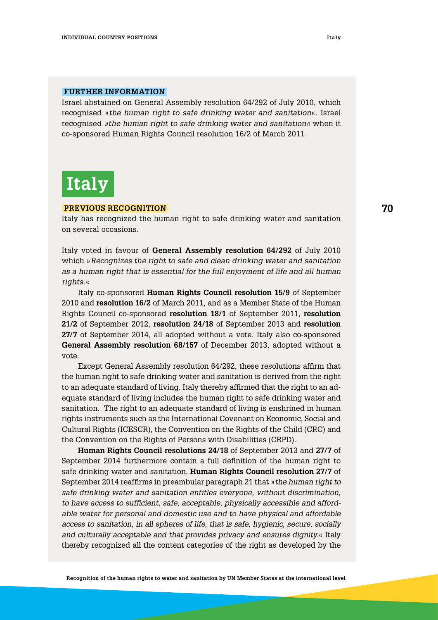#### **Further information**

Israel abstained on General Assembly resolution 64/292 of July 2010, which recognised »*the human right to safe drinking water and sanitation*«. Israel recognised *»the human right to safe drinking water and sanitation«* when it co-sponsored Human Rights Council resolution 16/2 of March 2011.

# **Italy**

#### **Previous RecognitioN**

Italy has recognized the human right to safe drinking water and sanitation on several occasions.

Italy voted in favour of **General Assembly resolution 64/292** of July 2010 which »*Recognizes the right to safe and clean drinking water and sanitation as a human right that is essential for the full enjoyment of life and all human rights.*«

Italy co-sponsored **Human Rights Council resolution 15/9** of September 2010 and **resolution 16/2** of March 2011, and as a Member State of the Human Rights Council co-sponsored **resolution 18/1** of September 2011, **resolution 21/2** of September 2012, **resolution 24/18** of September 2013 and **resolution 27/7** of September 2014, all adopted without a vote. Italy also co-sponsored **General Assembly resolution 68/157** of December 2013, adopted without a vote.

Except General Assembly resolution 64/292, these resolutions affirm that the human right to safe drinking water and sanitation is derived from the right to an adequate standard of living. Italy thereby affirmed that the right to an adequate standard of living includes the human right to safe drinking water and sanitation. The right to an adequate standard of living is enshrined in human rights instruments such as the International Covenant on Economic, Social and Cultural Rights (ICESCR), the Convention on the Rights of the Child (CRC) and the Convention on the Rights of Persons with Disabilities (CRPD).

**Human Rights Council resolutions 24/18** of September 2013 and **27/7** of September 2014 furthermore contain a full definition of the human right to safe drinking water and sanitation. **Human Rights Council resolution 27/7** of September 2014 reaffirms in preambular paragraph 21 that »*the human right to safe drinking water and sanitation entitles everyone, without discrimination, to have access to sufficient, safe, acceptable, physically accessible and affordable water for personal and domestic use and to have physical and affordable access to sanitation, in all spheres of life, that is safe, hygienic, secure, socially and culturally acceptable and that provides privacy and ensures dignity.*« Italy thereby recognized all the content categories of the right as developed by the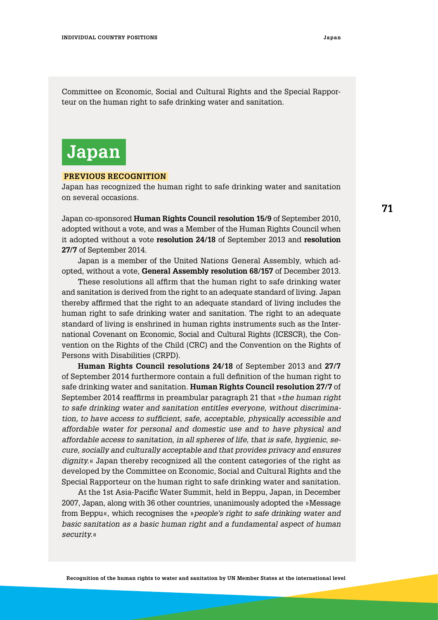Committee on Economic, Social and Cultural Rights and the Special Rapporteur on the human right to safe drinking water and sanitation.

### **Japan**

#### **Previous Recognition**

Japan has recognized the human right to safe drinking water and sanitation on several occasions.

Japan co-sponsored **Human Rights Council resolution 15/9** of September 2010, adopted without a vote, and was a Member of the Human Rights Council when it adopted without a vote **resolution 24/18** of September 2013 and **resolution 27/7** of September 2014.

Japan is a member of the United Nations General Assembly, which adopted, without a vote, **General Assembly resolution 68/157** of December 2013.

These resolutions all affirm that the human right to safe drinking water and sanitation is derived from the right to an adequate standard of living. Japan thereby affirmed that the right to an adequate standard of living includes the human right to safe drinking water and sanitation. The right to an adequate standard of living is enshrined in human rights instruments such as the International Covenant on Economic, Social and Cultural Rights (ICESCR), the Convention on the Rights of the Child (CRC) and the Convention on the Rights of Persons with Disabilities (CRPD).

**Human Rights Council resolutions 24/18** of September 2013 and **27/7** of September 2014 furthermore contain a full definition of the human right to safe drinking water and sanitation. **Human Rights Council resolution 27/7** of September 2014 reaffirms in preambular paragraph 21 that »*the human right to safe drinking water and sanitation entitles everyone, without discrimination, to have access to sufficient, safe, acceptable, physically accessible and affordable water for personal and domestic use and to have physical and affordable access to sanitation, in all spheres of life, that is safe, hygienic, secure, socially and culturally acceptable and that provides privacy and ensures dignity.*« Japan thereby recognized all the content categories of the right as developed by the Committee on Economic, Social and Cultural Rights and the Special Rapporteur on the human right to safe drinking water and sanitation.

At the 1st Asia-Pacific Water Summit, held in Beppu, Japan, in December 2007, Japan, along with 36 other countries, unanimously adopted the »Message from Beppu«, which recognises the »*people's right to safe drinking water and basic sanitation as a basic human right and a fundamental aspect of human security.*«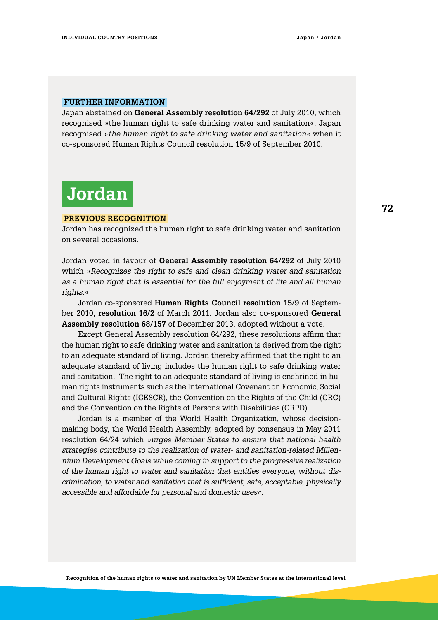#### **Further information**

Japan abstained on **General Assembly resolution 64/292** of July 2010, which recognised »the human right to safe drinking water and sanitation«. Japan recognised »*the human right to safe drinking water and sanitation«* when it co-sponsored Human Rights Council resolution 15/9 of September 2010.

# **Jordan**

#### **Previous Recognition**

Jordan has recognized the human right to safe drinking water and sanitation on several occasions.

Jordan voted in favour of **General Assembly resolution 64/292** of July 2010 which »*Recognizes the right to safe and clean drinking water and sanitation as a human right that is essential for the full enjoyment of life and all human rights.*«

Jordan co-sponsored **Human Rights Council resolution 15/9** of September 2010, **resolution 16/2** of March 2011. Jordan also co-sponsored **General Assembly resolution 68/157** of December 2013, adopted without a vote.

Except General Assembly resolution 64/292, these resolutions affirm that the human right to safe drinking water and sanitation is derived from the right to an adequate standard of living. Jordan thereby affirmed that the right to an adequate standard of living includes the human right to safe drinking water and sanitation. The right to an adequate standard of living is enshrined in human rights instruments such as the International Covenant on Economic, Social and Cultural Rights (ICESCR), the Convention on the Rights of the Child (CRC) and the Convention on the Rights of Persons with Disabilities (CRPD).

Jordan is a member of the World Health Organization, whose decisionmaking body, the World Health Assembly, adopted by consensus in May 2011 resolution 64/24 which *»urges Member States to ensure that national health strategies contribute to the realization of water- and sanitation-related Millennium Development Goals while coming in support to the progressive realization of the human right to water and sanitation that entitles everyone, without discrimination, to water and sanitation that is sufficient, safe, acceptable, physically accessible and affordable for personal and domestic uses«*.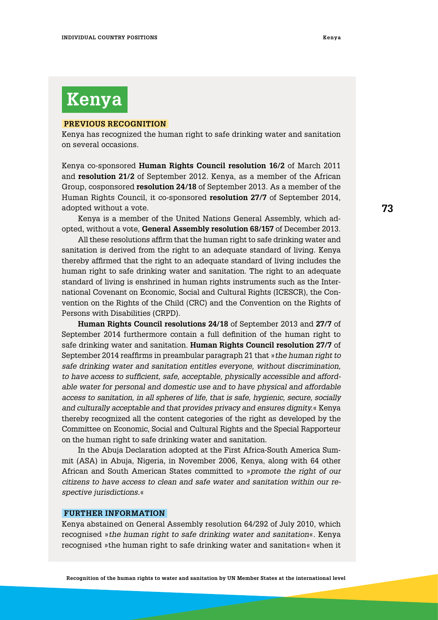# **Kenya**

#### **Previous Recognition**

Kenya has recognized the human right to safe drinking water and sanitation on several occasions.

Kenya co-sponsored **Human Rights Council resolution 16/2** of March 2011 and **resolution 21/2** of September 2012. Kenya, as a member of the African Group, cosponsored **resolution 24/18** of September 2013. As a member of the Human Rights Council, it co-sponsored **resolution 27/7** of September 2014, adopted without a vote.

Kenya is a member of the United Nations General Assembly, which adopted, without a vote, **General Assembly resolution 68/157** of December 2013.

All these resolutions affirm that the human right to safe drinking water and sanitation is derived from the right to an adequate standard of living. Kenya thereby affirmed that the right to an adequate standard of living includes the human right to safe drinking water and sanitation. The right to an adequate standard of living is enshrined in human rights instruments such as the International Covenant on Economic, Social and Cultural Rights (ICESCR), the Convention on the Rights of the Child (CRC) and the Convention on the Rights of Persons with Disabilities (CRPD).

**Human Rights Council resolutions 24/18** of September 2013 and **27/7** of September 2014 furthermore contain a full definition of the human right to safe drinking water and sanitation. **Human Rights Council resolution 27/7** of September 2014 reaffirms in preambular paragraph 21 that »*the human right to safe drinking water and sanitation entitles everyone, without discrimination, to have access to sufficient, safe, acceptable, physically accessible and affordable water for personal and domestic use and to have physical and affordable access to sanitation, in all spheres of life, that is safe, hygienic, secure, socially and culturally acceptable and that provides privacy and ensures dignity.*« Kenya thereby recognized all the content categories of the right as developed by the Committee on Economic, Social and Cultural Rights and the Special Rapporteur on the human right to safe drinking water and sanitation.

In the Abuja Declaration adopted at the First Africa-South America Summit (ASA) in Abuja, Nigeria, in November 2006, Kenya, along with 64 other African and South American States committed to »*promote the right of our citizens to have access to clean and safe water and sanitation within our respective jurisdictions.*«

### **Further information**

Kenya abstained on General Assembly resolution 64/292 of July 2010, which recognised »*the human right to safe drinking water and sanitation*«. Kenya recognised »the human right to safe drinking water and sanitation« when it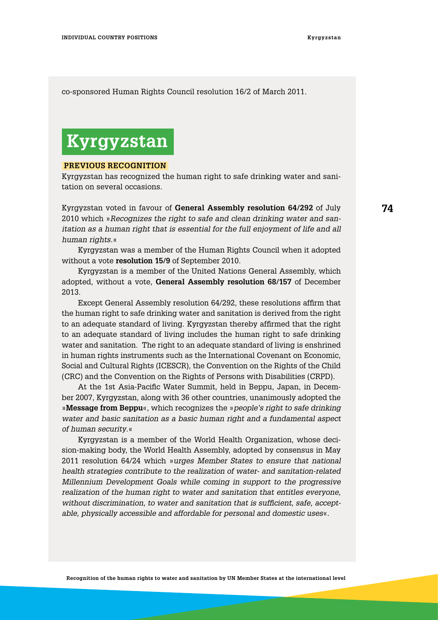co-sponsored Human Rights Council resolution 16/2 of March 2011.

## **Kyrgyzstan**

### **Previous Recognition**

Kyrgyzstan has recognized the human right to safe drinking water and sanitation on several occasions.

Kyrgyzstan voted in favour of **General Assembly resolution 64/292** of July 2010 which »*Recognizes the right to safe and clean drinking water and sanitation as a human right that is essential for the full enjoyment of life and all human rights*.«

Kyrgyzstan was a member of the Human Rights Council when it adopted without a vote **resolution 15/9** of September 2010.

Kyrgyzstan is a member of the United Nations General Assembly, which adopted, without a vote, **General Assembly resolution 68/157** of December 2013.

Except General Assembly resolution 64/292, these resolutions affirm that the human right to safe drinking water and sanitation is derived from the right to an adequate standard of living. Kyrgyzstan thereby affirmed that the right to an adequate standard of living includes the human right to safe drinking water and sanitation. The right to an adequate standard of living is enshrined in human rights instruments such as the International Covenant on Economic, Social and Cultural Rights (ICESCR), the Convention on the Rights of the Child (CRC) and the Convention on the Rights of Persons with Disabilities (CRPD).

At the 1st Asia-Pacific Water Summit, held in Beppu, Japan, in December 2007, Kyrgyzstan, along with 36 other countries, unanimously adopted the »**Message from Beppu**«, which recognizes the »*people's right to safe drinking water and basic sanitation as a basic human right and a fundamental aspect of human security*.«

Kyrgyzstan is a member of the World Health Organization, whose decision-making body, the World Health Assembly, adopted by consensus in May 2011 resolution 64/24 which »*urges Member States to ensure that national health strategies contribute to the realization of water- and sanitation-related Millennium Development Goals while coming in support to the progressive realization of the human right to water and sanitation that entitles everyone, without discrimination, to water and sanitation that is sufficient, safe, acceptable, physically accessible and affordable for personal and domestic uses*«.

**74**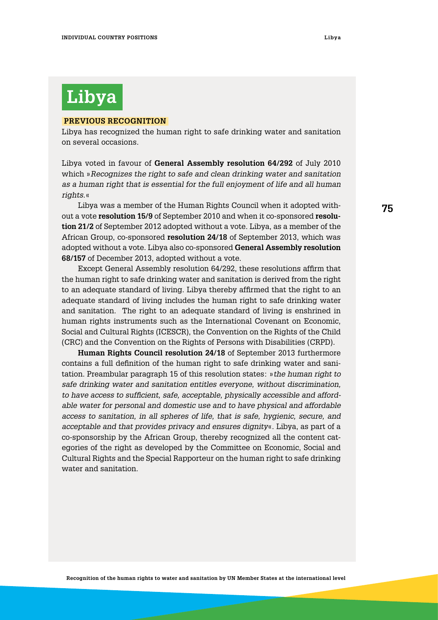# **Libya**

#### **Previous Recognition**

Libya has recognized the human right to safe drinking water and sanitation on several occasions.

Libya voted in favour of **General Assembly resolution 64/292** of July 2010 which »*Recognizes the right to safe and clean drinking water and sanitation as a human right that is essential for the full enjoyment of life and all human rights*.«

Libya was a member of the Human Rights Council when it adopted without a vote **resolution 15/9** of September 2010 and when it co-sponsored **resolution 21/2** of September 2012 adopted without a vote. Libya, as a member of the African Group, co-sponsored **resolution 24/18** of September 2013, which was adopted without a vote. Libya also co-sponsored **General Assembly resolution 68/157** of December 2013, adopted without a vote.

Except General Assembly resolution 64/292, these resolutions affirm that the human right to safe drinking water and sanitation is derived from the right to an adequate standard of living. Libya thereby affirmed that the right to an adequate standard of living includes the human right to safe drinking water and sanitation. The right to an adequate standard of living is enshrined in human rights instruments such as the International Covenant on Economic, Social and Cultural Rights (ICESCR), the Convention on the Rights of the Child (CRC) and the Convention on the Rights of Persons with Disabilities (CRPD).

**Human Rights Council resolution 24/18** of September 2013 furthermore contains a full definition of the human right to safe drinking water and sanitation. Preambular paragraph 15 of this resolution states: »*the human right to safe drinking water and sanitation entitles everyone, without discrimination, to have access to sufficient, safe, acceptable, physically accessible and affordable water for personal and domestic use and to have physical and affordable access to sanitation, in all spheres of life, that is safe, hygienic, secure, and acceptable and that provides privacy and ensures dignity*«. Libya, as part of a co-sponsorship by the African Group, thereby recognized all the content categories of the right as developed by the Committee on Economic, Social and Cultural Rights and the Special Rapporteur on the human right to safe drinking water and sanitation.

**75**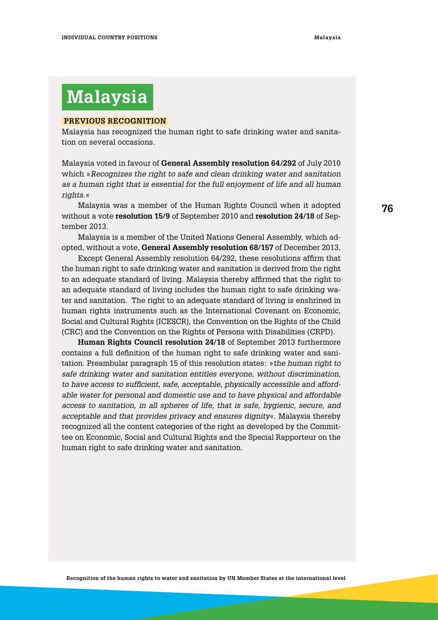# **Malaysia**

### **Previous Recognition**

Malaysia has recognized the human right to safe drinking water and sanitation on several occasions.

Malaysia voted in favour of **General Assembly resolution 64/292** of July 2010 which »*Recognizes the right to safe and clean drinking water and sanitation as a human right that is essential for the full enjoyment of life and all human rights.*«

Malaysia was a member of the Human Rights Council when it adopted without a vote **resolution 15/9** of September 2010 and **resolution 24/18** of September 2013.

Malaysia is a member of the United Nations General Assembly, which adopted, without a vote, **General Assembly resolution 68/157** of December 2013.

Except General Assembly resolution 64/292, these resolutions affirm that the human right to safe drinking water and sanitation is derived from the right to an adequate standard of living. Malaysia thereby affirmed that the right to an adequate standard of living includes the human right to safe drinking water and sanitation. The right to an adequate standard of living is enshrined in human rights instruments such as the International Covenant on Economic, Social and Cultural Rights (ICESCR), the Convention on the Rights of the Child (CRC) and the Convention on the Rights of Persons with Disabilities (CRPD).

**Human Rights Council resolution 24/18** of September 2013 furthermore contains a full definition of the human right to safe drinking water and sanitation. Preambular paragraph 15 of this resolution states: »*the human right to safe drinking water and sanitation entitles everyone, without discrimination, to have access to sufficient, safe, acceptable, physically accessible and affordable water for personal and domestic use and to have physical and affordable access to sanitation, in all spheres of life, that is safe, hygienic, secure, and acceptable and that provides privacy and ensures dignity*«. Malaysia thereby recognized all the content categories of the right as developed by the Committee on Economic, Social and Cultural Rights and the Special Rapporteur on the human right to safe drinking water and sanitation.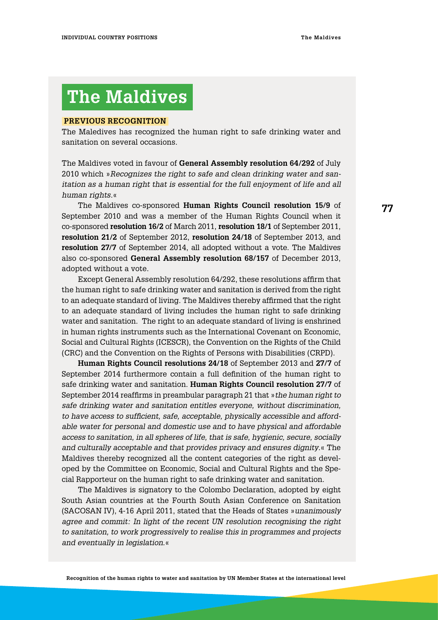## **The Maldives**

#### **Previous Recognition**

The Maledives has recognized the human right to safe drinking water and sanitation on several occasions.

The Maldives voted in favour of **General Assembly resolution 64/292** of July 2010 which »*Recognizes the right to safe and clean drinking water and sanitation as a human right that is essential for the full enjoyment of life and all human rights.*«

The Maldives co-sponsored **Human Rights Council resolution 15/9** of September 2010 and was a member of the Human Rights Council when it co-sponsored **resolution 16/2** of March 2011, **resolution 18/1** of September 2011, **resolution 21/2** of September 2012, **resolution 24/18** of September 2013, and **resolution 27/7** of September 2014, all adopted without a vote. The Maldives also co-sponsored **General Assembly resolution 68/157** of December 2013, adopted without a vote.

Except General Assembly resolution 64/292, these resolutions affirm that the human right to safe drinking water and sanitation is derived from the right to an adequate standard of living. The Maldives thereby affirmed that the right to an adequate standard of living includes the human right to safe drinking water and sanitation. The right to an adequate standard of living is enshrined in human rights instruments such as the International Covenant on Economic, Social and Cultural Rights (ICESCR), the Convention on the Rights of the Child (CRC) and the Convention on the Rights of Persons with Disabilities (CRPD).

**Human Rights Council resolutions 24/18** of September 2013 and **27/7** of September 2014 furthermore contain a full definition of the human right to safe drinking water and sanitation. **Human Rights Council resolution 27/7** of September 2014 reaffirms in preambular paragraph 21 that »*the human right to safe drinking water and sanitation entitles everyone, without discrimination, to have access to sufficient, safe, acceptable, physically accessible and affordable water for personal and domestic use and to have physical and affordable access to sanitation, in all spheres of life, that is safe, hygienic, secure, socially and culturally acceptable and that provides privacy and ensures dignity*.« The Maldives thereby recognized all the content categories of the right as developed by the Committee on Economic, Social and Cultural Rights and the Special Rapporteur on the human right to safe drinking water and sanitation.

The Maldives is signatory to the Colombo Declaration, adopted by eight South Asian countries at the Fourth South Asian Conference on Sanitation (SACOSAN IV), 4-16 April 2011, stated that the Heads of States »*unanimously agree and commit: In light of the recent UN resolution recognising the right to sanitation, to work progressively to realise this in programmes and projects and eventually in legislation.*«

**77**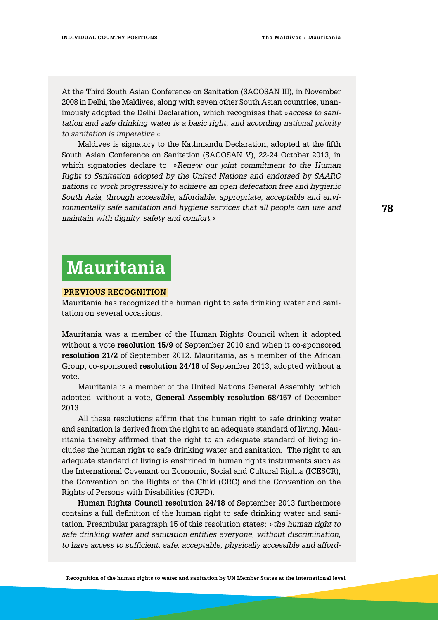At the Third South Asian Conference on Sanitation (SACOSAN III), in November 2008 in Delhi, the Maldives, along with seven other South Asian countries, unanimously adopted the Delhi Declaration, which recognises that »*access to sanitation and safe drinking water is a basic right, and according national priority to sanitation is imperative.*«

Maldives is signatory to the Kathmandu Declaration, adopted at the fifth South Asian Conference on Sanitation (SACOSAN V), 22-24 October 2013, in which signatories declare to: »*Renew our joint commitment to the Human Right to Sanitation adopted by the United Nations and endorsed by SAARC nations to work progressively to achieve an open defecation free and hygienic South Asia, through accessible, affordable, appropriate, acceptable and environmentally safe sanitation and hygiene services that all people can use and maintain with dignity, safety and comfort.*«

### **Mauritania**

#### **Previous Recognition**

Mauritania has recognized the human right to safe drinking water and sanitation on several occasions.

Mauritania was a member of the Human Rights Council when it adopted without a vote **resolution 15/9** of September 2010 and when it co-sponsored **resolution 21/2** of September 2012. Mauritania, as a member of the African Group, co-sponsored **resolution 24/18** of September 2013, adopted without a vote.

Mauritania is a member of the United Nations General Assembly, which adopted, without a vote, **General Assembly resolution 68/157** of December 2013.

All these resolutions affirm that the human right to safe drinking water and sanitation is derived from the right to an adequate standard of living. Mauritania thereby affirmed that the right to an adequate standard of living includes the human right to safe drinking water and sanitation. The right to an adequate standard of living is enshrined in human rights instruments such as the International Covenant on Economic, Social and Cultural Rights (ICESCR), the Convention on the Rights of the Child (CRC) and the Convention on the Rights of Persons with Disabilities (CRPD).

**Human Rights Council resolution 24/18** of September 2013 furthermore contains a full definition of the human right to safe drinking water and sanitation. Preambular paragraph 15 of this resolution states: »*the human right to safe drinking water and sanitation entitles everyone, without discrimination, to have access to sufficient, safe, acceptable, physically accessible and afford-*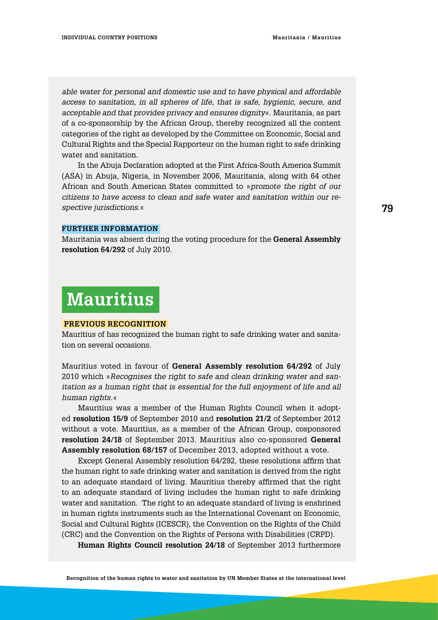*able water for personal and domestic use and to have physical and affordable access to sanitation, in all spheres of life, that is safe, hygienic, secure, and acceptable and that provides privacy and ensures dignity*«. Mauritania, as part of a co-sponsorship by the African Group, thereby recognized all the content categories of the right as developed by the Committee on Economic, Social and Cultural Rights and the Special Rapporteur on the human right to safe drinking water and sanitation.

In the Abuja Declaration adopted at the First Africa-South America Summit (ASA) in Abuja, Nigeria, in November 2006, Mauritania, along with 64 other African and South American States committed to »*promote the right of our citizens to have access to clean and safe water and sanitation within our respective jurisdictions.*«

#### **Further information**

Mauritania was absent during the voting procedure for the **General Assembly resolution 64/292** of July 2010.

## **Mauritius**

#### **Previous Recognition**

Mauritius of has recognized the human right to safe drinking water and sanitation on several occasions.

Mauritius voted in favour of **General Assembly resolution 64/292** of July 2010 which »*Recognises the right to safe and clean drinking water and sanitation as a human right that is essential for the full enjoyment of life and all human rights.*«

Mauritius was a member of the Human Rights Council when it adopted **resolution 15/9** of September 2010 and **resolution 21/2** of September 2012 without a vote. Mauritius, as a member of the African Group, cosponsored **resolution 24/18** of September 2013. Mauritius also co-sponsored **General Assembly resolution 68/157** of December 2013, adopted without a vote.

Except General Assembly resolution 64/292, these resolutions affirm that the human right to safe drinking water and sanitation is derived from the right to an adequate standard of living. Mauritius thereby affirmed that the right to an adequate standard of living includes the human right to safe drinking water and sanitation. The right to an adequate standard of living is enshrined in human rights instruments such as the International Covenant on Economic, Social and Cultural Rights (ICESCR), the Convention on the Rights of the Child (CRC) and the Convention on the Rights of Persons with Disabilities (CRPD).

**Human Rights Council resolution 24/18** of September 2013 furthermore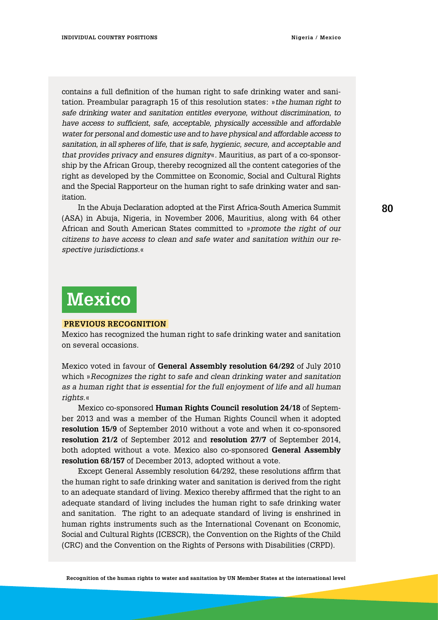contains a full definition of the human right to safe drinking water and sanitation. Preambular paragraph 15 of this resolution states: »*the human right to safe drinking water and sanitation entitles everyone, without discrimination, to have access to sufficient, safe, acceptable, physically accessible and affordable water for personal and domestic use and to have physical and affordable access to sanitation, in all spheres of life, that is safe, hygienic, secure, and acceptable and that provides privacy and ensures dignity*«. Mauritius, as part of a co-sponsorship by the African Group, thereby recognized all the content categories of the right as developed by the Committee on Economic, Social and Cultural Rights and the Special Rapporteur on the human right to safe drinking water and sanitation.

In the Abuja Declaration adopted at the First Africa-South America Summit (ASA) in Abuja, Nigeria, in November 2006, Mauritius, along with 64 other African and South American States committed to »*promote the right of our citizens to have access to clean and safe water and sanitation within our respective jurisdictions.*«

## **Mexico**

### **Previous Recognition**

Mexico has recognized the human right to safe drinking water and sanitation on several occasions.

Mexico voted in favour of **General Assembly resolution 64/292** of July 2010 which »*Recognizes the right to safe and clean drinking water and sanitation as a human right that is essential for the full enjoyment of life and all human rights.*«

Mexico co-sponsored **Human Rights Council resolution 24/18** of September 2013 and was a member of the Human Rights Council when it adopted **resolution 15/9** of September 2010 without a vote and when it co-sponsored **resolution 21/2** of September 2012 and **resolution 27/7** of September 2014, both adopted without a vote. Mexico also co-sponsored **General Assembly resolution 68/157** of December 2013, adopted without a vote.

Except General Assembly resolution 64/292, these resolutions affirm that the human right to safe drinking water and sanitation is derived from the right to an adequate standard of living. Mexico thereby affirmed that the right to an adequate standard of living includes the human right to safe drinking water and sanitation. The right to an adequate standard of living is enshrined in human rights instruments such as the International Covenant on Economic, Social and Cultural Rights (ICESCR), the Convention on the Rights of the Child (CRC) and the Convention on the Rights of Persons with Disabilities (CRPD).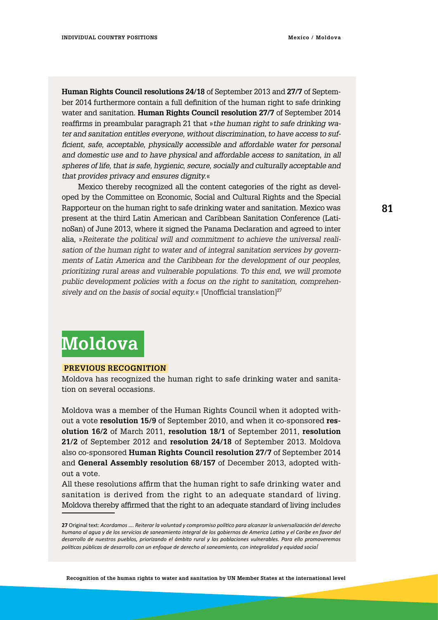**Human Rights Council resolutions 24/18** of September 2013 and **27/7** of September 2014 furthermore contain a full definition of the human right to safe drinking water and sanitation. **Human Rights Council resolution 27/7** of September 2014 reaffirms in preambular paragraph 21 that »*the human right to safe drinking water and sanitation entitles everyone, without discrimination, to have access to sufficient, safe, acceptable, physically accessible and affordable water for personal and domestic use and to have physical and affordable access to sanitation, in all spheres of life, that is safe, hygienic, secure, socially and culturally acceptable and that provides privacy and ensures dignity.*«

Mexico thereby recognized all the content categories of the right as developed by the Committee on Economic, Social and Cultural Rights and the Special Rapporteur on the human right to safe drinking water and sanitation. Mexico was present at the third Latin American and Caribbean Sanitation Conference (LatinoSan) of June 2013, where it signed the Panama Declaration and agreed to inter alia, »*Reiterate the political will and commitment to achieve the universal realisation of the human right to water and of integral sanitation services by governments of Latin America and the Caribbean for the development of our peoples, prioritizing rural areas and vulnerable populations. To this end, we will promote public development policies with a focus on the right to sanitation, comprehen*sively and on the basis of social equity.« [Unofficial translation]<sup>27</sup>

# **Moldova**

#### **Previous Recognition**

Moldova has recognized the human right to safe drinking water and sanitation on several occasions.

Moldova was a member of the Human Rights Council when it adopted without a vote **resolution 15/9** of September 2010, and when it co-sponsored **resolution 16/2** of March 2011, **resolution 18/1** of September 2011, **resolution 21/2** of September 2012 and **resolution 24/18** of September 2013. Moldova also co-sponsored **Human Rights Council resolution 27/7** of September 2014 and **General Assembly resolution 68/157** of December 2013, adopted without a vote.

All these resolutions affirm that the human right to safe drinking water and sanitation is derived from the right to an adequate standard of living. Moldova thereby affirmed that the right to an adequate standard of living includes

**<sup>27</sup>** Original text: *Acordamos …. Reiterar la voluntad y compromiso político para alcanzar la universalización del derecho humano al agua y de los servicios de saneamiento integral de los gobiernos de America Latina y el Caribe en favor del desarrollo de nuestros pueblos, priorizando el ámbito rural y las poblaciones vulnerables. Para ello promoveremos políticas públicas de desarrollo con un enfoque de derecho al saneamiento, con integralidad y equidad social*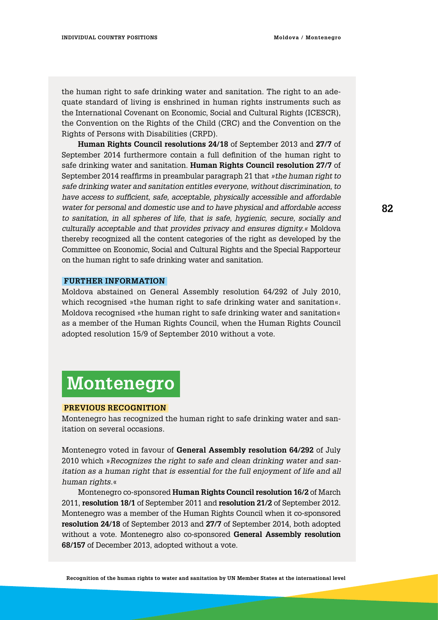the human right to safe drinking water and sanitation. The right to an adequate standard of living is enshrined in human rights instruments such as the International Covenant on Economic, Social and Cultural Rights (ICESCR), the Convention on the Rights of the Child (CRC) and the Convention on the Rights of Persons with Disabilities (CRPD).

**Human Rights Council resolutions 24/18** of September 2013 and **27/7** of September 2014 furthermore contain a full definition of the human right to safe drinking water and sanitation. **Human Rights Council resolution 27/7** of September 2014 reaffirms in preambular paragraph 21 that *»the human right to safe drinking water and sanitation entitles everyone, without discrimination, to have access to sufficient, safe, acceptable, physically accessible and affordable water for personal and domestic use and to have physical and affordable access to sanitation, in all spheres of life, that is safe, hygienic, secure, socially and culturally acceptable and that provides privacy and ensures dignity.«* Moldova thereby recognized all the content categories of the right as developed by the Committee on Economic, Social and Cultural Rights and the Special Rapporteur on the human right to safe drinking water and sanitation.

#### **Further information**

Moldova abstained on General Assembly resolution 64/292 of July 2010, which recognised »the human right to safe drinking water and sanitation«. Moldova recognised »the human right to safe drinking water and sanitation« as a member of the Human Rights Council, when the Human Rights Council adopted resolution 15/9 of September 2010 without a vote.

### **Montenegro**

#### **Previous Recognition**

Montenegro has recognized the human right to safe drinking water and sanitation on several occasions.

Montenegro voted in favour of **General Assembly resolution 64/292** of July 2010 which »*Recognizes the right to safe and clean drinking water and sanitation as a human right that is essential for the full enjoyment of life and all human rights.*«

Montenegro co-sponsored **Human Rights Council resolution 16/2** of March 2011, **resolution 18/1** of September 2011 and **resolution 21/2** of September 2012. Montenegro was a member of the Human Rights Council when it co-sponsored **resolution 24/18** of September 2013 and **27/7** of September 2014, both adopted without a vote. Montenegro also co-sponsored **General Assembly resolution 68/157** of December 2013, adopted without a vote.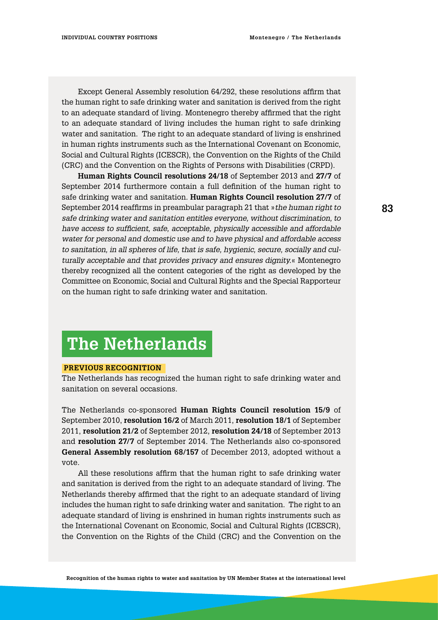Except General Assembly resolution 64/292, these resolutions affirm that the human right to safe drinking water and sanitation is derived from the right to an adequate standard of living. Montenegro thereby affirmed that the right to an adequate standard of living includes the human right to safe drinking water and sanitation. The right to an adequate standard of living is enshrined in human rights instruments such as the International Covenant on Economic, Social and Cultural Rights (ICESCR), the Convention on the Rights of the Child (CRC) and the Convention on the Rights of Persons with Disabilities (CRPD).

**Human Rights Council resolutions 24/18** of September 2013 and **27/7** of September 2014 furthermore contain a full definition of the human right to safe drinking water and sanitation. **Human Rights Council resolution 27/7** of September 2014 reaffirms in preambular paragraph 21 that »*the human right to safe drinking water and sanitation entitles everyone, without discrimination, to have access to sufficient, safe, acceptable, physically accessible and affordable water for personal and domestic use and to have physical and affordable access to sanitation, in all spheres of life, that is safe, hygienic, secure, socially and culturally acceptable and that provides privacy and ensures dignity.*« Montenegro thereby recognized all the content categories of the right as developed by the Committee on Economic, Social and Cultural Rights and the Special Rapporteur on the human right to safe drinking water and sanitation.

## **The Netherlands**

#### **Previous Recognition**

The Netherlands has recognized the human right to safe drinking water and sanitation on several occasions.

The Netherlands co-sponsored **Human Rights Council resolution 15/9** of September 2010, **resolution 16/2** of March 2011, **resolution 18/1** of September 2011, **resolution 21/2** of September 2012, **resolution 24/18** of September 2013 and **resolution 27/7** of September 2014. The Netherlands also co-sponsored **General Assembly resolution 68/157** of December 2013, adopted without a vote.

All these resolutions affirm that the human right to safe drinking water and sanitation is derived from the right to an adequate standard of living. The Netherlands thereby affirmed that the right to an adequate standard of living includes the human right to safe drinking water and sanitation. The right to an adequate standard of living is enshrined in human rights instruments such as the International Covenant on Economic, Social and Cultural Rights (ICESCR), the Convention on the Rights of the Child (CRC) and the Convention on the

**Recognition of the human rights to water and sanitation by UN Member States at the international level**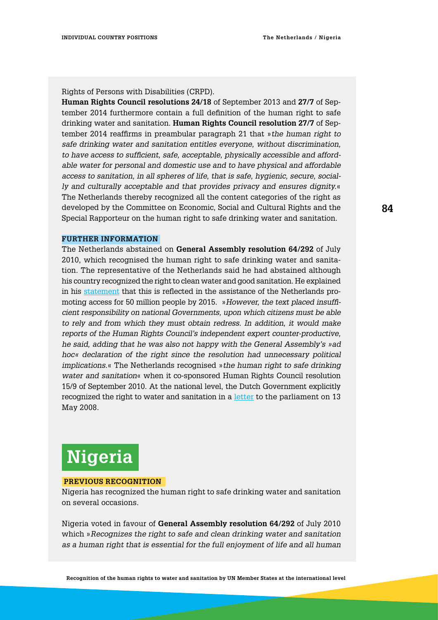Rights of Persons with Disabilities (CRPD).

**Human Rights Council resolutions 24/18** of September 2013 and **27/7** of September 2014 furthermore contain a full definition of the human right to safe drinking water and sanitation. **Human Rights Council resolution 27/7** of September 2014 reaffirms in preambular paragraph 21 that »*the human right to safe drinking water and sanitation entitles everyone, without discrimination, to have access to sufficient, safe, acceptable, physically accessible and affordable water for personal and domestic use and to have physical and affordable access to sanitation, in all spheres of life, that is safe, hygienic, secure, socially and culturally acceptable and that provides privacy and ensures dignity.*« The Netherlands thereby recognized all the content categories of the right as developed by the Committee on Economic, Social and Cultural Rights and the Special Rapporteur on the human right to safe drinking water and sanitation.

### **Further information**

The Netherlands abstained on **General Assembly resolution 64/292** of July 2010, which recognised the human right to safe drinking water and sanitation. The representative of the Netherlands said he had abstained although his country recognized the right to clean water and good sanitation. He explained in his [statement](http://www.un.org/press/en/2010/ga10967.doc.htm) that this is reflected in the assistance of the Netherlands promoting access for 50 million people by 2015. »*However, the text placed insufficient responsibility on national Governments, upon which citizens must be able*  to rely and from which they must obtain redress. In addition, it would make *reports of the Human Rights Council's independent expert counter-productive, he said, adding that he was also not happy with the General Assembly's »ad hoc« declaration of the right since the resolution had unnecessary political implications*.« The Netherlands recognised »*the human right to safe drinking water and sanitation*« when it co-sponsored Human Rights Council resolution 15/9 of September 2010. At the national level, the Dutch Government explicitly recognized the right to water and sanitation in a [letter](https://zoek.officielebekendmakingen.nl/dossier/31250/kst-31250-15?resultIndex=135&sorttype=1&sortorder=4) to the parliament on 13 May 2008.

## **Nigeria**

#### **Previous Recognition**

Nigeria has recognized the human right to safe drinking water and sanitation on several occasions.

Nigeria voted in favour of **General Assembly resolution 64/292** of July 2010 which »*Recognizes the right to safe and clean drinking water and sanitation as a human right that is essential for the full enjoyment of life and all human*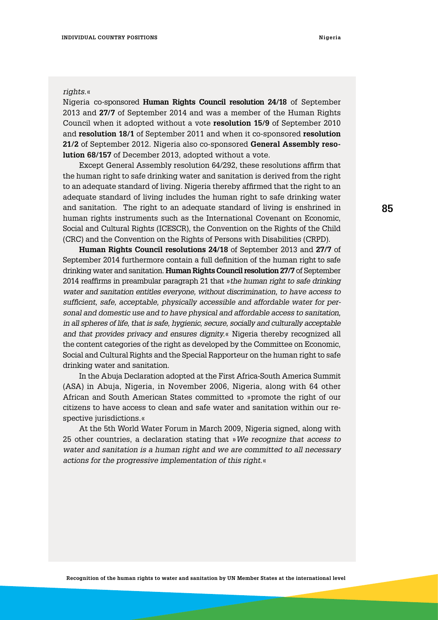#### *rights*.«

Nigeria co-sponsored **Human Rights Council resolution 24/18** of September 2013 and **27/7** of September 2014 and was a member of the Human Rights Council when it adopted without a vote **resolution 15/9** of September 2010 and **resolution 18/1** of September 2011 and when it co-sponsored **resolution 21/2** of September 2012. Nigeria also co-sponsored **General Assembly resolution 68/157** of December 2013, adopted without a vote.

Except General Assembly resolution 64/292, these resolutions affirm that the human right to safe drinking water and sanitation is derived from the right to an adequate standard of living. Nigeria thereby affirmed that the right to an adequate standard of living includes the human right to safe drinking water and sanitation. The right to an adequate standard of living is enshrined in human rights instruments such as the International Covenant on Economic, Social and Cultural Rights (ICESCR), the Convention on the Rights of the Child (CRC) and the Convention on the Rights of Persons with Disabilities (CRPD).

**Human Rights Council resolutions 24/18** of September 2013 and **27/7** of September 2014 furthermore contain a full definition of the human right to safe drinking water and sanitation. **Human Rights Council resolution 27/7** of September 2014 reaffirms in preambular paragraph 21 that »*the human right to safe drinking water and sanitation entitles everyone, without discrimination, to have access to sufficient, safe, acceptable, physically accessible and affordable water for personal and domestic use and to have physical and affordable access to sanitation, in all spheres of life, that is safe, hygienic, secure, socially and culturally acceptable and that provides privacy and ensures dignity.*« Nigeria thereby recognized all the content categories of the right as developed by the Committee on Economic, Social and Cultural Rights and the Special Rapporteur on the human right to safe drinking water and sanitation.

In the Abuja Declaration adopted at the First Africa-South America Summit (ASA) in Abuja, Nigeria, in November 2006, Nigeria, along with 64 other African and South American States committed to »promote the right of our citizens to have access to clean and safe water and sanitation within our respective jurisdictions.«

At the 5th World Water Forum in March 2009, Nigeria signed, along with 25 other countries, a declaration stating that »*We recognize that access to water and sanitation is a human right and we are committed to all necessary actions for the progressive implementation of this right.*«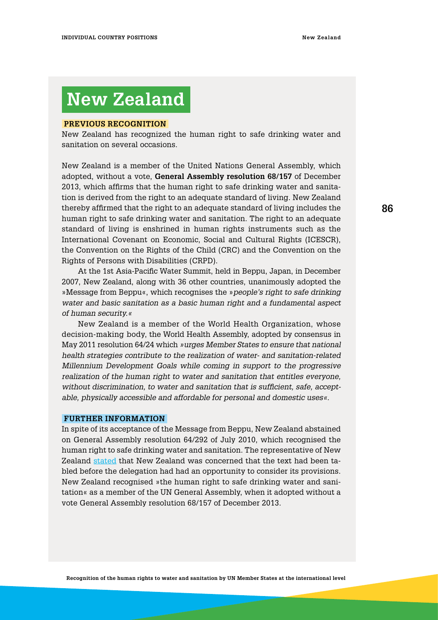## **New Zealand**

#### **Previous Recognition**

New Zealand has recognized the human right to safe drinking water and sanitation on several occasions.

New Zealand is a member of the United Nations General Assembly, which adopted, without a vote, **General Assembly resolution 68/157** of December 2013, which affirms that the human right to safe drinking water and sanitation is derived from the right to an adequate standard of living. New Zealand thereby affirmed that the right to an adequate standard of living includes the human right to safe drinking water and sanitation. The right to an adequate standard of living is enshrined in human rights instruments such as the International Covenant on Economic, Social and Cultural Rights (ICESCR), the Convention on the Rights of the Child (CRC) and the Convention on the Rights of Persons with Disabilities (CRPD).

At the 1st Asia-Pacific Water Summit, held in Beppu, Japan, in December 2007, New Zealand, along with 36 other countries, unanimously adopted the »Message from Beppu«, which recognises the »*people's right to safe drinking water and basic sanitation as a basic human right and a fundamental aspect of human security.«*

New Zealand is a member of the World Health Organization, whose decision-making body, the World Health Assembly, adopted by consensus in May 2011 resolution 64/24 which *»urges Member States to ensure that national health strategies contribute to the realization of water- and sanitation-related Millennium Development Goals while coming in support to the progressive realization of the human right to water and sanitation that entitles everyone, without discrimination, to water and sanitation that is sufficient, safe, acceptable, physically accessible and affordable for personal and domestic uses«*.

### **Further information**

In spite of its acceptance of the Message from Beppu, New Zealand abstained on General Assembly resolution 64/292 of July 2010, which recognised the human right to safe drinking water and sanitation. The representative of New Zealand [stated](http://www.un.org/press/en/2010/ga10967.doc.htm) that New Zealand was concerned that the text had been tabled before the delegation had had an opportunity to consider its provisions. New Zealand recognised »the human right to safe drinking water and sanitation« as a member of the UN General Assembly, when it adopted without a vote General Assembly resolution 68/157 of December 2013.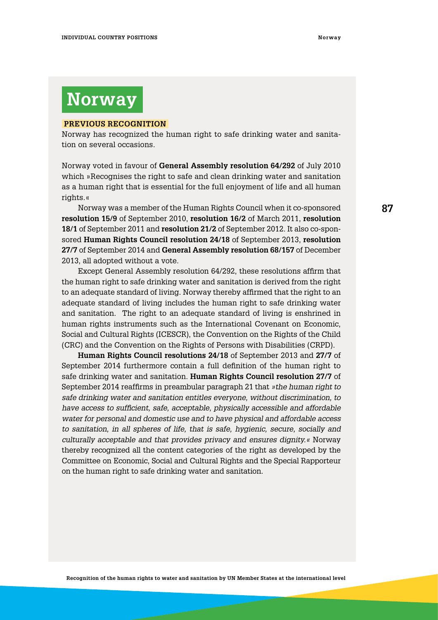## **Norway**

#### **Previous Recognition**

Norway has recognized the human right to safe drinking water and sanitation on several occasions.

Norway voted in favour of **General Assembly resolution 64/292** of July 2010 which »Recognises the right to safe and clean drinking water and sanitation as a human right that is essential for the full enjoyment of life and all human rights.«

Norway was a member of the Human Rights Council when it co-sponsored **resolution 15/9** of September 2010, **resolution 16/2** of March 2011, **resolution 18/1** of September 2011 and **resolution 21/2** of September 2012. It also co-sponsored **Human Rights Council resolution 24/18** of September 2013, **resolution 27/7** of September 2014 and **General Assembly resolution 68/157** of December 2013, all adopted without a vote.

Except General Assembly resolution 64/292, these resolutions affirm that the human right to safe drinking water and sanitation is derived from the right to an adequate standard of living. Norway thereby affirmed that the right to an adequate standard of living includes the human right to safe drinking water and sanitation. The right to an adequate standard of living is enshrined in human rights instruments such as the International Covenant on Economic, Social and Cultural Rights (ICESCR), the Convention on the Rights of the Child (CRC) and the Convention on the Rights of Persons with Disabilities (CRPD).

**Human Rights Council resolutions 24/18** of September 2013 and **27/7** of September 2014 furthermore contain a full definition of the human right to safe drinking water and sanitation. **Human Rights Council resolution 27/7** of September 2014 reaffirms in preambular paragraph 21 that *»the human right to safe drinking water and sanitation entitles everyone, without discrimination, to have access to sufficient, safe, acceptable, physically accessible and affordable water for personal and domestic use and to have physical and affordable access to sanitation, in all spheres of life, that is safe, hygienic, secure, socially and culturally acceptable and that provides privacy and ensures dignity.«* Norway thereby recognized all the content categories of the right as developed by the Committee on Economic, Social and Cultural Rights and the Special Rapporteur on the human right to safe drinking water and sanitation.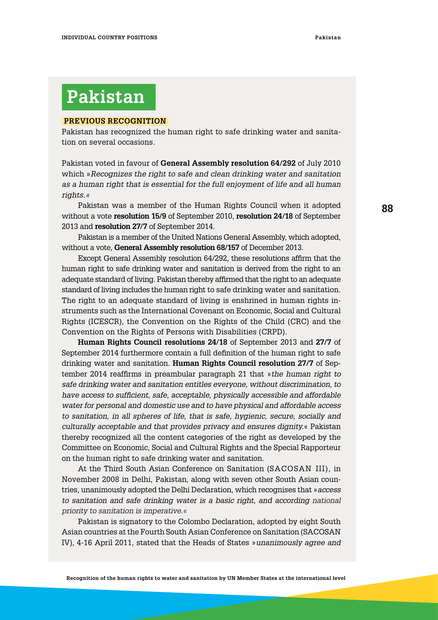# **Pakistan**

#### **Previous Recognition**

Pakistan has recognized the human right to safe drinking water and sanitation on several occasions.

Pakistan voted in favour of **General Assembly resolution 64/292** of July 2010 which »*Recognizes the right to safe and clean drinking water and sanitation as a human right that is essential for the full enjoyment of life and all human rights.«* 

Pakistan was a member of the Human Rights Council when it adopted without a vote **resolution 15/9** of September 2010, **resolution 24/18** of September 2013 and **resolution 27/7** of September 2014.

Pakistan is a member of the United Nations General Assembly, which adopted, without a vote, **General Assembly resolution 68/157** of December 2013.

Except General Assembly resolution 64/292, these resolutions affirm that the human right to safe drinking water and sanitation is derived from the right to an adequate standard of living. Pakistan thereby affirmed that the right to an adequate standard of living includes the human right to safe drinking water and sanitation. The right to an adequate standard of living is enshrined in human rights instruments such as the International Covenant on Economic, Social and Cultural Rights (ICESCR), the Convention on the Rights of the Child (CRC) and the Convention on the Rights of Persons with Disabilities (CRPD).

**Human Rights Council resolutions 24/18** of September 2013 and **27/7** of September 2014 furthermore contain a full definition of the human right to safe drinking water and sanitation. **Human Rights Council resolution 27/7** of September 2014 reaffirms in preambular paragraph 21 that »*the human right to safe drinking water and sanitation entitles everyone, without discrimination, to have access to sufficient, safe, acceptable, physically accessible and affordable water for personal and domestic use and to have physical and affordable access to sanitation, in all spheres of life, that is safe, hygienic, secure, socially and culturally acceptable and that provides privacy and ensures dignity.*« Pakistan thereby recognized all the content categories of the right as developed by the Committee on Economic, Social and Cultural Rights and the Special Rapporteur on the human right to safe drinking water and sanitation.

At the Third South Asian Conference on Sanitation (SACOSAN III), in November 2008 in Delhi, Pakistan, along with seven other South Asian countries, unanimously adopted the Delhi Declaration, which recognises that »*access*  to sanitation and safe drinking water is a basic right, and according national *priority to sanitation is imperative.*«

Pakistan is signatory to the Colombo Declaration, adopted by eight South Asian countries at the Fourth South Asian Conference on Sanitation (SACOSAN IV), 4-16 April 2011, stated that the Heads of States »*unanimously agree and*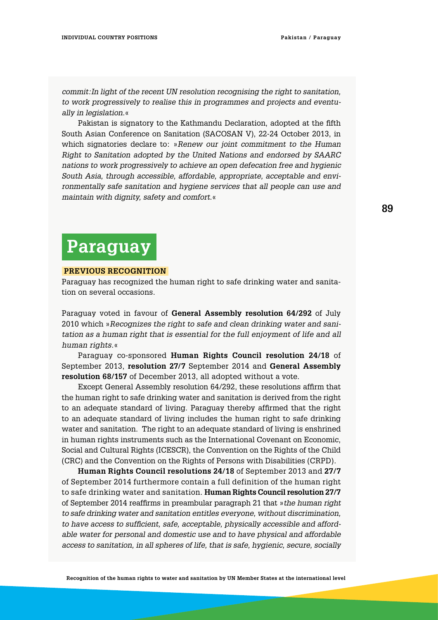*commit:In light of the recent UN resolution recognising the right to sanitation, to work progressively to realise this in programmes and projects and eventually in legislation.*«

Pakistan is signatory to the Kathmandu Declaration, adopted at the fifth South Asian Conference on Sanitation (SACOSAN V), 22-24 October 2013, in which signatories declare to: »*Renew our joint commitment to the Human Right to Sanitation adopted by the United Nations and endorsed by SAARC nations to work progressively to achieve an open defecation free and hygienic South Asia, through accessible, affordable, appropriate, acceptable and environmentally safe sanitation and hygiene services that all people can use and maintain with dignity, safety and comfort.*«

## **Paraguay**

#### **Previous Recognition**

Paraguay has recognized the human right to safe drinking water and sanitation on several occasions.

Paraguay voted in favour of **General Assembly resolution 64/292** of July 2010 which »*Recognizes the right to safe and clean drinking water and sanitation as a human right that is essential for the full enjoyment of life and all human rights*.«

Paraguay co-sponsored **Human Rights Council resolution 24/18** of September 2013, **resolution 27/7** September 2014 and **General Assembly resolution 68/157** of December 2013, all adopted without a vote.

Except General Assembly resolution 64/292, these resolutions affirm that the human right to safe drinking water and sanitation is derived from the right to an adequate standard of living. Paraguay thereby affirmed that the right to an adequate standard of living includes the human right to safe drinking water and sanitation. The right to an adequate standard of living is enshrined in human rights instruments such as the International Covenant on Economic, Social and Cultural Rights (ICESCR), the Convention on the Rights of the Child (CRC) and the Convention on the Rights of Persons with Disabilities (CRPD).

**Human Rights Council resolutions 24/18** of September 2013 and **27/7** of September 2014 furthermore contain a full definition of the human right to safe drinking water and sanitation. **Human Rights Council resolution 27/7**  of September 2014 reaffirms in preambular paragraph 21 that »*the human right to safe drinking water and sanitation entitles everyone, without discrimination, to have access to sufficient, safe, acceptable, physically accessible and affordable water for personal and domestic use and to have physical and affordable access to sanitation, in all spheres of life, that is safe, hygienic, secure, socially*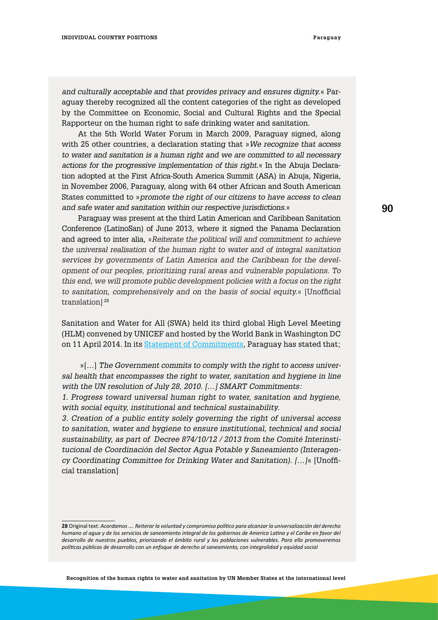*and culturally acceptable and that provides privacy and ensures dignity.*« Paraguay thereby recognized all the content categories of the right as developed by the Committee on Economic, Social and Cultural Rights and the Special Rapporteur on the human right to safe drinking water and sanitation.

At the 5th World Water Forum in March 2009, Paraguay signed, along with 25 other countries, a declaration stating that »*We recognize that access to water and sanitation is a human right and we are committed to all necessary actions for the progressive implementation of this right*.« In the Abuja Declaration adopted at the First Africa-South America Summit (ASA) in Abuja, Nigeria, in November 2006, Paraguay, along with 64 other African and South American States committed to »*promote the right of our citizens to have access to clean and safe water and sanitation within our respective jurisdictions*.«

Paraguay was present at the third Latin American and Caribbean Sanitation Conference (LatinoSan) of June 2013, where it signed the Panama Declaration and agreed to inter alia, »*Reiterate the political will and commitment to achieve the universal realisation of the human right to water and of integral sanitation services by governments of Latin America and the Caribbean for the development of our peoples, prioritizing rural areas and vulnerable populations. To this end, we will promote public development policies with a focus on the right to sanitation, comprehensively and on the basis of social equity.*« [Unofficial translation<sup>[28</sup>]

Sanitation and Water for All (SWA) held its third global High Level Meeting (HLM) convened by UNICEF and hosted by the World Bank in Washington DC on 11 April 2014. In its [Statement of Commitments,](http://sanitationandwaterforall.org/priority-areas/political-prioritization/2014-hlm/statements-and-evidence) Paraguay has stated that;

 »[…] *The Government commits to comply with the right to access universal health that encompasses the right to water, sanitation and hygiene in line with the UN resolution of July 28, 2010. […] SMART Commitments:* 

*1. Progress toward universal human right to water, sanitation and hygiene, with social equity, institutional and technical sustainability.*

*3. Creation of a public entity solely governing the right of universal access to sanitation, water and hygiene to ensure institutional, technical and social sustainability, as part of Decree 874/10/12 / 2013 from the Comité Interinstitucional de Coordinación del Sector Agua Potable y Saneamiento (Interagency Coordinating Committee for Drinking Water and Sanitation). […]*« [Unofficial translation]

**<sup>28</sup>** Original text: *Acordamos …. Reiterar la voluntad y compromiso político para alcanzar la universalización del derecho humano al agua y de los servicios de saneamiento integral de los gobiernos de America Latina y el Caribe en favor del desarrollo de nuestros pueblos, priorizando el ámbito rural y las poblaciones vulnerables. Para ello promoveremos políticas públicas de desarrollo con un enfoque de derecho al saneamiento, con integralidad y equidad social*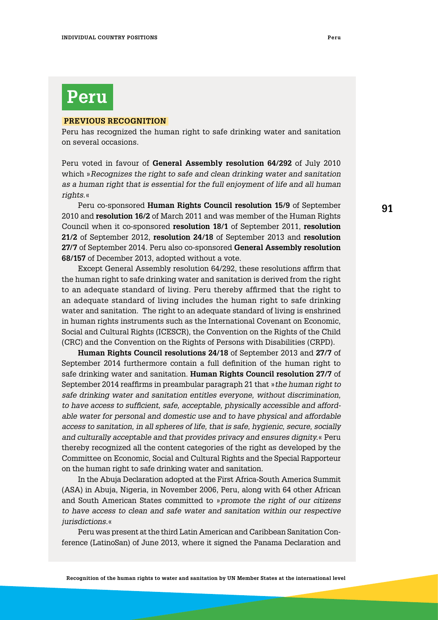#### **Previous Recognition**

Peru has recognized the human right to safe drinking water and sanitation on several occasions.

Peru voted in favour of **General Assembly resolution 64/292** of July 2010 which »*Recognizes the right to safe and clean drinking water and sanitation as a human right that is essential for the full enjoyment of life and all human rights*.«

Peru co-sponsored **Human Rights Council resolution 15/9** of September 2010 and **resolution 16/2** of March 2011 and was member of the Human Rights Council when it co-sponsored **resolution 18/1** of September 2011, **resolution 21/2** of September 2012, **resolution 24/18** of September 2013 and **resolution 27/7** of September 2014. Peru also co-sponsored **General Assembly resolution 68/157** of December 2013, adopted without a vote.

Except General Assembly resolution 64/292, these resolutions affirm that the human right to safe drinking water and sanitation is derived from the right to an adequate standard of living. Peru thereby affirmed that the right to an adequate standard of living includes the human right to safe drinking water and sanitation. The right to an adequate standard of living is enshrined in human rights instruments such as the International Covenant on Economic, Social and Cultural Rights (ICESCR), the Convention on the Rights of the Child (CRC) and the Convention on the Rights of Persons with Disabilities (CRPD).

**Human Rights Council resolutions 24/18** of September 2013 and **27/7** of September 2014 furthermore contain a full definition of the human right to safe drinking water and sanitation. **Human Rights Council resolution 27/7** of September 2014 reaffirms in preambular paragraph 21 that »*the human right to safe drinking water and sanitation entitles everyone, without discrimination, to have access to sufficient, safe, acceptable, physically accessible and affordable water for personal and domestic use and to have physical and affordable access to sanitation, in all spheres of life, that is safe, hygienic, secure, socially and culturally acceptable and that provides privacy and ensures dignity.*« Peru thereby recognized all the content categories of the right as developed by the Committee on Economic, Social and Cultural Rights and the Special Rapporteur on the human right to safe drinking water and sanitation.

In the Abuja Declaration adopted at the First Africa-South America Summit (ASA) in Abuja, Nigeria, in November 2006, Peru, along with 64 other African and South American States committed to »*promote the right of our citizens*  to have access to clean and safe water and sanitation within our respective *jurisdictions.*«

Peru was present at the third Latin American and Caribbean Sanitation Conference (LatinoSan) of June 2013, where it signed the Panama Declaration and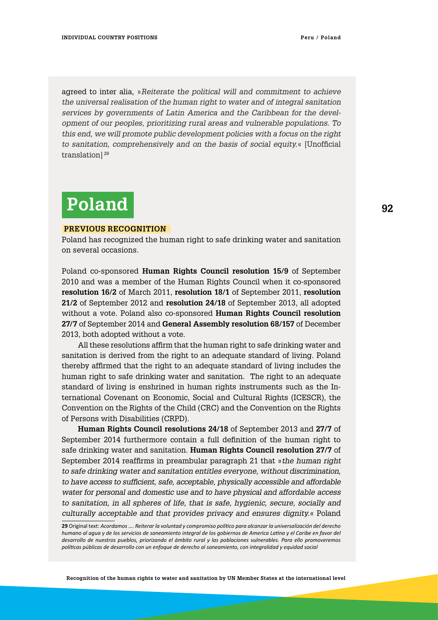agreed to inter alia, »*Reiterate the political will and commitment to achieve the universal realisation of the human right to water and of integral sanitation services by governments of Latin America and the Caribbean for the development of our peoples, prioritizing rural areas and vulnerable populations. To this end, we will promote public development policies with a focus on the right to sanitation, comprehensively and on the basis of social equity.*« [Unofficial translation]<sup>29</sup>

# **Poland**

#### **Previous Recognition**

Poland has recognized the human right to safe drinking water and sanitation on several occasions.

Poland co-sponsored **Human Rights Council resolution 15/9** of September 2010 and was a member of the Human Rights Council when it co-sponsored **resolution 16/2** of March 2011, **resolution 18/1** of September 2011, **resolution 21/2** of September 2012 and **resolution 24/18** of September 2013, all adopted without a vote. Poland also co-sponsored **Human Rights Council resolution 27/7** of September 2014 and **General Assembly resolution 68/157** of December 2013, both adopted without a vote.

All these resolutions affirm that the human right to safe drinking water and sanitation is derived from the right to an adequate standard of living. Poland thereby affirmed that the right to an adequate standard of living includes the human right to safe drinking water and sanitation. The right to an adequate standard of living is enshrined in human rights instruments such as the International Covenant on Economic, Social and Cultural Rights (ICESCR), the Convention on the Rights of the Child (CRC) and the Convention on the Rights of Persons with Disabilities (CRPD).

**Human Rights Council resolutions 24/18** of September 2013 and **27/7** of September 2014 furthermore contain a full definition of the human right to safe drinking water and sanitation. **Human Rights Council resolution 27/7** of September 2014 reaffirms in preambular paragraph 21 that »*the human right to safe drinking water and sanitation entitles everyone, without discrimination, to have access to sufficient, safe, acceptable, physically accessible and affordable water for personal and domestic use and to have physical and affordable access to sanitation, in all spheres of life, that is safe, hygienic, secure, socially and culturally acceptable and that provides privacy and ensures dignity.*« Poland

**Recognition of the human rights to water and sanitation by UN Member States at the international level**

**<sup>29</sup>** Original text: *Acordamos …. Reiterar la voluntad y compromiso político para alcanzar la universalización del derecho humano al agua y de los servicios de saneamiento integral de los gobiernos de America Latina y el Caribe en favor del desarrollo de nuestros pueblos, priorizando el ámbito rural y las poblaciones vulnerables. Para ello promoveremos políticas públicas de desarrollo con un enfoque de derecho al saneamiento, con integralidad y equidad social*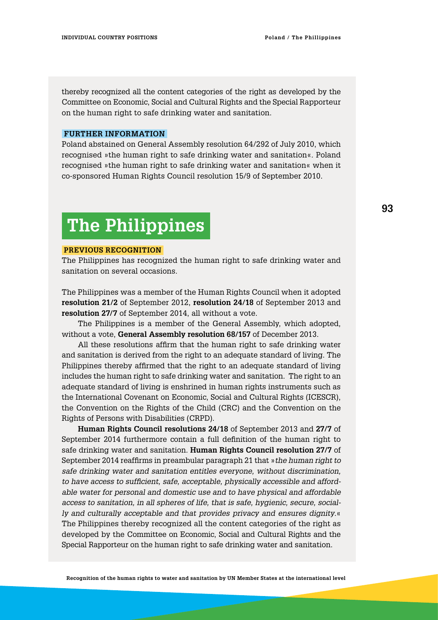thereby recognized all the content categories of the right as developed by the Committee on Economic, Social and Cultural Rights and the Special Rapporteur on the human right to safe drinking water and sanitation.

### **Further information**

Poland abstained on General Assembly resolution 64/292 of July 2010, which recognised »the human right to safe drinking water and sanitation«. Poland recognised »the human right to safe drinking water and sanitation« when it co-sponsored Human Rights Council resolution 15/9 of September 2010.

# **The Philippines**

#### **Previous Recognition**

The Philippines has recognized the human right to safe drinking water and sanitation on several occasions.

The Philippines was a member of the Human Rights Council when it adopted **resolution 21/2** of September 2012, **resolution 24/18** of September 2013 and **resolution 27/7** of September 2014, all without a vote.

The Philippines is a member of the General Assembly, which adopted, without a vote, **General Assembly resolution 68/157** of December 2013.

All these resolutions affirm that the human right to safe drinking water and sanitation is derived from the right to an adequate standard of living. The Philippines thereby affirmed that the right to an adequate standard of living includes the human right to safe drinking water and sanitation. The right to an adequate standard of living is enshrined in human rights instruments such as the International Covenant on Economic, Social and Cultural Rights (ICESCR), the Convention on the Rights of the Child (CRC) and the Convention on the Rights of Persons with Disabilities (CRPD).

**Human Rights Council resolutions 24/18** of September 2013 and **27/7** of September 2014 furthermore contain a full definition of the human right to safe drinking water and sanitation. **Human Rights Council resolution 27/7** of September 2014 reaffirms in preambular paragraph 21 that »*the human right to safe drinking water and sanitation entitles everyone, without discrimination, to have access to sufficient, safe, acceptable, physically accessible and affordable water for personal and domestic use and to have physical and affordable access to sanitation, in all spheres of life, that is safe, hygienic, secure, socially and culturally acceptable and that provides privacy and ensures dignity*.« The Philippines thereby recognized all the content categories of the right as developed by the Committee on Economic, Social and Cultural Rights and the Special Rapporteur on the human right to safe drinking water and sanitation.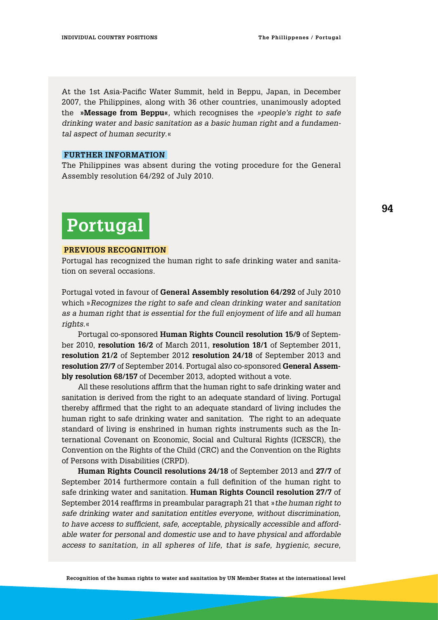At the 1st Asia-Pacific Water Summit, held in Beppu, Japan, in December 2007, the Philippines, along with 36 other countries, unanimously adopted the **»Message from Beppu«***,* which recognises the *»people's right to safe drinking water and basic sanitation as a basic human right and a fundamental aspect of human security*.«

#### **Further information**

The Philippines was absent during the voting procedure for the General Assembly resolution 64/292 of July 2010.

## **Portugal**

#### **Previous Recognition**

Portugal has recognized the human right to safe drinking water and sanitation on several occasions.

Portugal voted in favour of **General Assembly resolution 64/292** of July 2010 which »*Recognizes the right to safe and clean drinking water and sanitation as a human right that is essential for the full enjoyment of life and all human rights.*«

Portugal co-sponsored **Human Rights Council resolution 15/9** of September 2010, **resolution 16/2** of March 2011, **resolution 18/1** of September 2011, **resolution 21/2** of September 2012 **resolution 24/18** of September 2013 and **resolution 27/7** of September 2014. Portugal also co-sponsored **General Assembly resolution 68/157** of December 2013, adopted without a vote.

All these resolutions affirm that the human right to safe drinking water and sanitation is derived from the right to an adequate standard of living. Portugal thereby affirmed that the right to an adequate standard of living includes the human right to safe drinking water and sanitation. The right to an adequate standard of living is enshrined in human rights instruments such as the International Covenant on Economic, Social and Cultural Rights (ICESCR), the Convention on the Rights of the Child (CRC) and the Convention on the Rights of Persons with Disabilities (CRPD).

**Human Rights Council resolutions 24/18** of September 2013 and **27/7** of September 2014 furthermore contain a full definition of the human right to safe drinking water and sanitation. **Human Rights Council resolution 27/7** of September 2014 reaffirms in preambular paragraph 21 that »*the human right to safe drinking water and sanitation entitles everyone, without discrimination, to have access to sufficient, safe, acceptable, physically accessible and affordable water for personal and domestic use and to have physical and affordable access to sanitation, in all spheres of life, that is safe, hygienic, secure,* 

**94**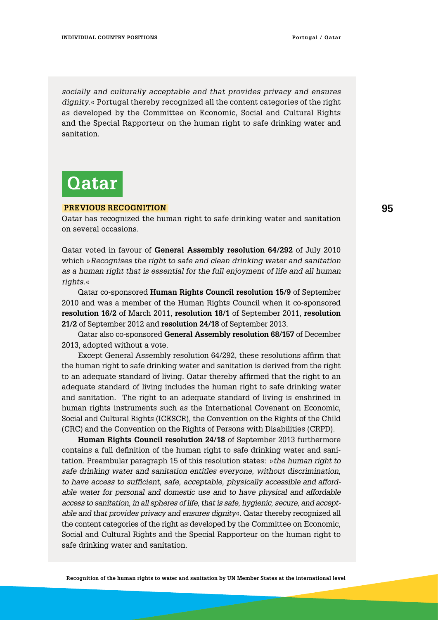*socially and culturally acceptable and that provides privacy and ensures dignity.*« Portugal thereby recognized all the content categories of the right as developed by the Committee on Economic, Social and Cultural Rights and the Special Rapporteur on the human right to safe drinking water and sanitation.

# **Qatar**

#### **Previous Recognition**

Qatar has recognized the human right to safe drinking water and sanitation on several occasions.

Qatar voted in favour of **General Assembly resolution 64/292** of July 2010 which »*Recognises the right to safe and clean drinking water and sanitation as a human right that is essential for the full enjoyment of life and all human rights*.«

Qatar co-sponsored **Human Rights Council resolution 15/9** of September 2010 and was a member of the Human Rights Council when it co-sponsored **resolution 16/2** of March 2011, **resolution 18/1** of September 2011, **resolution 21/2** of September 2012 and **resolution 24/18** of September 2013.

Qatar also co-sponsored **General Assembly resolution 68/157** of December 2013, adopted without a vote.

Except General Assembly resolution 64/292, these resolutions affirm that the human right to safe drinking water and sanitation is derived from the right to an adequate standard of living. Qatar thereby affirmed that the right to an adequate standard of living includes the human right to safe drinking water and sanitation. The right to an adequate standard of living is enshrined in human rights instruments such as the International Covenant on Economic, Social and Cultural Rights (ICESCR), the Convention on the Rights of the Child (CRC) and the Convention on the Rights of Persons with Disabilities (CRPD).

**Human Rights Council resolution 24/18** of September 2013 furthermore contains a full definition of the human right to safe drinking water and sanitation. Preambular paragraph 15 of this resolution states: »*the human right to safe drinking water and sanitation entitles everyone, without discrimination, to have access to sufficient, safe, acceptable, physically accessible and affordable water for personal and domestic use and to have physical and affordable access to sanitation, in all spheres of life, that is safe, hygienic, secure, and acceptable and that provides privacy and ensures dignity*«. Qatar thereby recognized all the content categories of the right as developed by the Committee on Economic, Social and Cultural Rights and the Special Rapporteur on the human right to safe drinking water and sanitation.

**Recognition of the human rights to water and sanitation by UN Member States at the international level**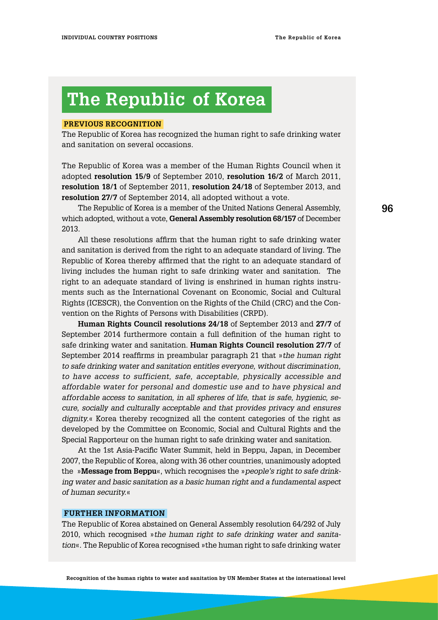# **The Republic of Korea**

### **Previous RecognitioN**

The Republic of Korea has recognized the human right to safe drinking water and sanitation on several occasions.

The Republic of Korea was a member of the Human Rights Council when it adopted **resolution 15/9** of September 2010, **resolution 16/2** of March 2011, **resolution 18/1** of September 2011, **resolution 24/18** of September 2013, and **resolution 27/7** of September 2014, all adopted without a vote.

The Republic of Korea is a member of the United Nations General Assembly, which adopted, without a vote, **General Assembly resolution 68/157** of December 2013.

All these resolutions affirm that the human right to safe drinking water and sanitation is derived from the right to an adequate standard of living. The Republic of Korea thereby affirmed that the right to an adequate standard of living includes the human right to safe drinking water and sanitation. The right to an adequate standard of living is enshrined in human rights instruments such as the International Covenant on Economic, Social and Cultural Rights (ICESCR), the Convention on the Rights of the Child (CRC) and the Convention on the Rights of Persons with Disabilities (CRPD).

**Human Rights Council resolutions 24/18** of September 2013 and **27/7** of September 2014 furthermore contain a full definition of the human right to safe drinking water and sanitation. **Human Rights Council resolution 27/7** of September 2014 reaffirms in preambular paragraph 21 that »*the human right to safe drinking water and sanitation entitles everyone, without discrimination, to have access to sufficient, safe, acceptable, physically accessible and affordable water for personal and domestic use and to have physical and affordable access to sanitation, in all spheres of life, that is safe, hygienic, secure, socially and culturally acceptable and that provides privacy and ensures dignity.*« Korea thereby recognized all the content categories of the right as developed by the Committee on Economic, Social and Cultural Rights and the Special Rapporteur on the human right to safe drinking water and sanitation.

At the 1st Asia-Pacific Water Summit, held in Beppu, Japan, in December 2007, the Republic of Korea, along with 36 other countries, unanimously adopted the »**Message from Beppu**«, which recognises the »*people's right to safe drinking water and basic sanitation as a basic human right and a fundamental aspect of human security.*«

### **Further information**

The Republic of Korea abstained on General Assembly resolution 64/292 of July 2010, which recognised »*the human right to safe drinking water and sanitation*«. The Republic of Korea recognised »the human right to safe drinking water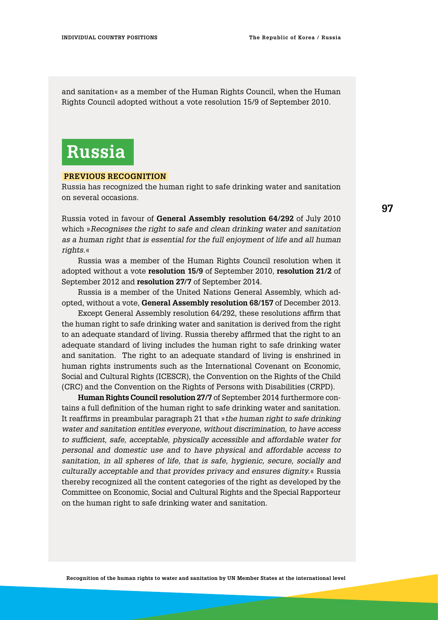and sanitation« as a member of the Human Rights Council, when the Human Rights Council adopted without a vote resolution 15/9 of September 2010.

# **Russia**

#### **Previous Recognition**

Russia has recognized the human right to safe drinking water and sanitation on several occasions.

Russia voted in favour of **General Assembly resolution 64/292** of July 2010 which »*Recognises the right to safe and clean drinking water and sanitation as a human right that is essential for the full enjoyment of life and all human rights.*«

Russia was a member of the Human Rights Council resolution when it adopted without a vote **resolution 15/9** of September 2010, **resolution 21/2** of September 2012 and **resolution 27/7** of September 2014.

Russia is a member of the United Nations General Assembly, which adopted, without a vote, **General Assembly resolution 68/157** of December 2013.

Except General Assembly resolution 64/292, these resolutions affirm that the human right to safe drinking water and sanitation is derived from the right to an adequate standard of living. Russia thereby affirmed that the right to an adequate standard of living includes the human right to safe drinking water and sanitation. The right to an adequate standard of living is enshrined in human rights instruments such as the International Covenant on Economic, Social and Cultural Rights (ICESCR), the Convention on the Rights of the Child (CRC) and the Convention on the Rights of Persons with Disabilities (CRPD).

**Human Rights Council resolution 27/7** of September 2014 furthermore contains a full definition of the human right to safe drinking water and sanitation. It reaffirms in preambular paragraph 21 that »*the human right to safe drinking water and sanitation entitles everyone, without discrimination, to have access to sufficient, safe, acceptable, physically accessible and affordable water for personal and domestic use and to have physical and affordable access to sanitation, in all spheres of life, that is safe, hygienic, secure, socially and culturally acceptable and that provides privacy and ensures dignity.*« Russia thereby recognized all the content categories of the right as developed by the Committee on Economic, Social and Cultural Rights and the Special Rapporteur on the human right to safe drinking water and sanitation.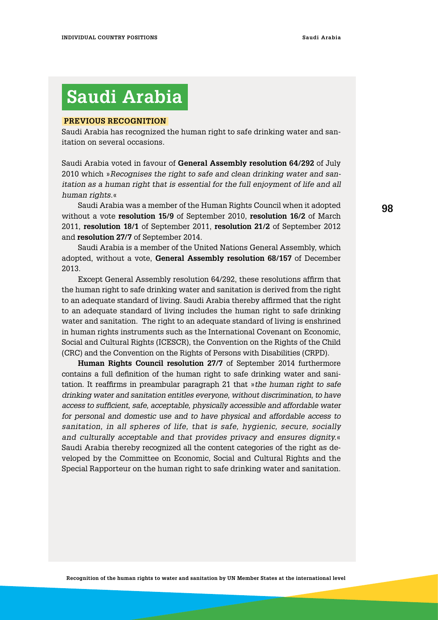# **Saudi Arabia**

#### **Previous Recognition**

Saudi Arabia has recognized the human right to safe drinking water and sanitation on several occasions.

Saudi Arabia voted in favour of **General Assembly resolution 64/292** of July 2010 which »*Recognises the right to safe and clean drinking water and sanitation as a human right that is essential for the full enjoyment of life and all human rights.*«

Saudi Arabia was a member of the Human Rights Council when it adopted without a vote **resolution 15/9** of September 2010, **resolution 16/2** of March 2011, **resolution 18/1** of September 2011, **resolution 21/2** of September 2012 and **resolution 27/7** of September 2014.

Saudi Arabia is a member of the United Nations General Assembly, which adopted, without a vote, **General Assembly resolution 68/157** of December 2013.

Except General Assembly resolution 64/292, these resolutions affirm that the human right to safe drinking water and sanitation is derived from the right to an adequate standard of living. Saudi Arabia thereby affirmed that the right to an adequate standard of living includes the human right to safe drinking water and sanitation. The right to an adequate standard of living is enshrined in human rights instruments such as the International Covenant on Economic, Social and Cultural Rights (ICESCR), the Convention on the Rights of the Child (CRC) and the Convention on the Rights of Persons with Disabilities (CRPD).

**Human Rights Council resolution 27/7** of September 2014 furthermore contains a full definition of the human right to safe drinking water and sanitation. It reaffirms in preambular paragraph 21 that »*the human right to safe drinking water and sanitation entitles everyone, without discrimination, to have access to sufficient, safe, acceptable, physically accessible and affordable water for personal and domestic use and to have physical and affordable access to sanitation, in all spheres of life, that is safe, hygienic, secure, socially and culturally acceptable and that provides privacy and ensures dignity.*« Saudi Arabia thereby recognized all the content categories of the right as developed by the Committee on Economic, Social and Cultural Rights and the Special Rapporteur on the human right to safe drinking water and sanitation.

**98**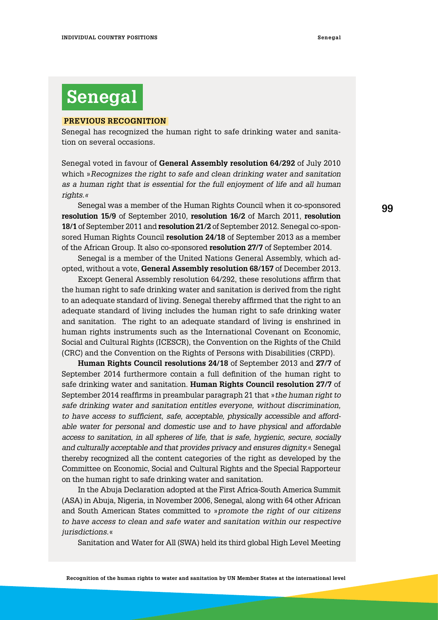# **Senegal**

### **Previous Recognition**

Senegal has recognized the human right to safe drinking water and sanitation on several occasions.

Senegal voted in favour of **General Assembly resolution 64/292** of July 2010 which »*Recognizes the right to safe and clean drinking water and sanitation as a human right that is essential for the full enjoyment of life and all human rights.«*

Senegal was a member of the Human Rights Council when it co-sponsored **resolution 15/9** of September 2010, **resolution 16/2** of March 2011, **resolution 18/1** of September 2011 and **resolution 21/2** of September 2012. Senegal co-sponsored Human Rights Council **resolution 24/18** of September 2013 as a member of the African Group. It also co-sponsored **resolution 27/7** of September 2014.

Senegal is a member of the United Nations General Assembly, which adopted, without a vote, **General Assembly resolution 68/157** of December 2013.

Except General Assembly resolution 64/292, these resolutions affirm that the human right to safe drinking water and sanitation is derived from the right to an adequate standard of living. Senegal thereby affirmed that the right to an adequate standard of living includes the human right to safe drinking water and sanitation. The right to an adequate standard of living is enshrined in human rights instruments such as the International Covenant on Economic, Social and Cultural Rights (ICESCR), the Convention on the Rights of the Child (CRC) and the Convention on the Rights of Persons with Disabilities (CRPD).

**Human Rights Council resolutions 24/18** of September 2013 and **27/7** of September 2014 furthermore contain a full definition of the human right to safe drinking water and sanitation. **Human Rights Council resolution 27/7** of September 2014 reaffirms in preambular paragraph 21 that »*the human right to safe drinking water and sanitation entitles everyone, without discrimination, to have access to sufficient, safe, acceptable, physically accessible and affordable water for personal and domestic use and to have physical and affordable access to sanitation, in all spheres of life, that is safe, hygienic, secure, socially and culturally acceptable and that provides privacy and ensures dignity.*« Senegal thereby recognized all the content categories of the right as developed by the Committee on Economic, Social and Cultural Rights and the Special Rapporteur on the human right to safe drinking water and sanitation.

In the Abuja Declaration adopted at the First Africa-South America Summit (ASA) in Abuja, Nigeria, in November 2006, Senegal, along with 64 other African and South American States committed to »*promote the right of our citizens to have access to clean and safe water and sanitation within our respective jurisdictions*.«

Sanitation and Water for All (SWA) held its third global High Level Meeting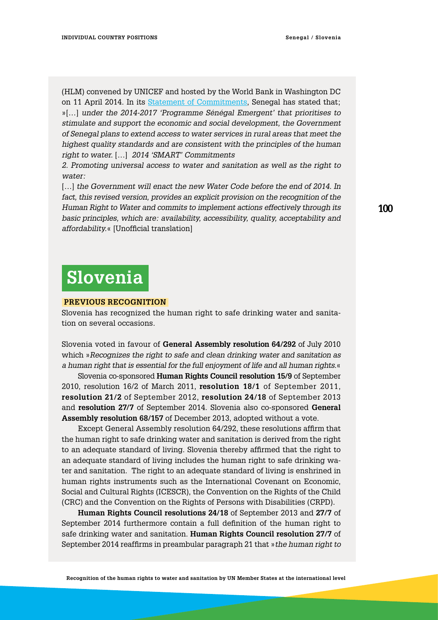(HLM) convened by UNICEF and hosted by the World Bank in Washington DC on 11 April 2014. In its [Statement of Commitments](http://sanitationandwaterforall.org/priority-areas/political-prioritization/2014-hlm/statements-and-evidence), Senegal has stated that; »[…] *under the 2014-2017 'Programme Sénégal Emergent' that prioritises to stimulate and support the economic and social development, the Government of Senegal plans to extend access to water services in rural areas that meet the highest quality standards and are consistent with the principles of the human right to water.* […] *2014 'SMART' Commitments* 

*2. Promoting universal access to water and sanitation as well as the right to water:*

[...] the Government will enact the new Water Code before the end of 2014. In fact, this revised version, provides an explicit provision on the recognition of the *Human Right to Water and commits to implement actions effectively through its basic principles, which are: availability, accessibility, quality, acceptability and affordability.*« [Unofficial translation]

## **Slovenia**

### **Previous Recognition**

Slovenia has recognized the human right to safe drinking water and sanitation on several occasions.

Slovenia voted in favour of **General Assembly resolution 64/292** of July 2010 which »*Recognizes the right to safe and clean drinking water and sanitation as a human right that is essential for the full enjoyment of life and all human rights*.«

Slovenia co-sponsored **Human Rights Council resolution 15/9** of September 2010, resolution 16/2 of March 2011, **resolution 18/1** of September 2011, **resolution 21/2** of September 2012, **resolution 24/18** of September 2013 and **resolution 27/7** of September 2014. Slovenia also co-sponsored **General Assembly resolution 68/157** of December 2013, adopted without a vote.

Except General Assembly resolution 64/292, these resolutions affirm that the human right to safe drinking water and sanitation is derived from the right to an adequate standard of living. Slovenia thereby affirmed that the right to an adequate standard of living includes the human right to safe drinking water and sanitation. The right to an adequate standard of living is enshrined in human rights instruments such as the International Covenant on Economic, Social and Cultural Rights (ICESCR), the Convention on the Rights of the Child (CRC) and the Convention on the Rights of Persons with Disabilities (CRPD).

**Human Rights Council resolutions 24/18** of September 2013 and **27/7** of September 2014 furthermore contain a full definition of the human right to safe drinking water and sanitation. **Human Rights Council resolution 27/7** of September 2014 reaffirms in preambular paragraph 21 that »*the human right to*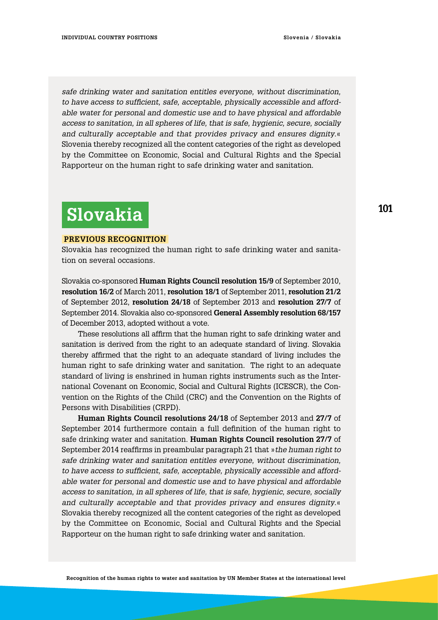*safe drinking water and sanitation entitles everyone, without discrimination, to have access to sufficient, safe, acceptable, physically accessible and affordable water for personal and domestic use and to have physical and affordable access to sanitation, in all spheres of life, that is safe, hygienic, secure, socially and culturally acceptable and that provides privacy and ensures dignity*.« Slovenia thereby recognized all the content categories of the right as developed by the Committee on Economic, Social and Cultural Rights and the Special Rapporteur on the human right to safe drinking water and sanitation.

# **Slovakia**

### **Previous Recognition**

Slovakia has recognized the human right to safe drinking water and sanitation on several occasions.

Slovakia co-sponsored **Human Rights Council resolution 15/9** of September 2010, **resolution 16/2** of March 2011, **resolution 18/1** of September 2011, **resolution 21/2** of September 2012, **resolution 24/18** of September 2013 and **resolution 27/7** of September 2014. Slovakia also co-sponsored **General Assembly resolution 68/157** of December 2013, adopted without a vote.

These resolutions all affirm that the human right to safe drinking water and sanitation is derived from the right to an adequate standard of living. Slovakia thereby affirmed that the right to an adequate standard of living includes the human right to safe drinking water and sanitation. The right to an adequate standard of living is enshrined in human rights instruments such as the International Covenant on Economic, Social and Cultural Rights (ICESCR), the Convention on the Rights of the Child (CRC) and the Convention on the Rights of Persons with Disabilities (CRPD).

**Human Rights Council resolutions 24/18** of September 2013 and **27/7** of September 2014 furthermore contain a full definition of the human right to safe drinking water and sanitation. **Human Rights Council resolution 27/7** of September 2014 reaffirms in preambular paragraph 21 that »*the human right to safe drinking water and sanitation entitles everyone, without discrimination, to have access to sufficient, safe, acceptable, physically accessible and affordable water for personal and domestic use and to have physical and affordable access to sanitation, in all spheres of life, that is safe, hygienic, secure, socially and culturally acceptable and that provides privacy and ensures dignity*.« Slovakia thereby recognized all the content categories of the right as developed by the Committee on Economic, Social and Cultural Rights and the Special Rapporteur on the human right to safe drinking water and sanitation.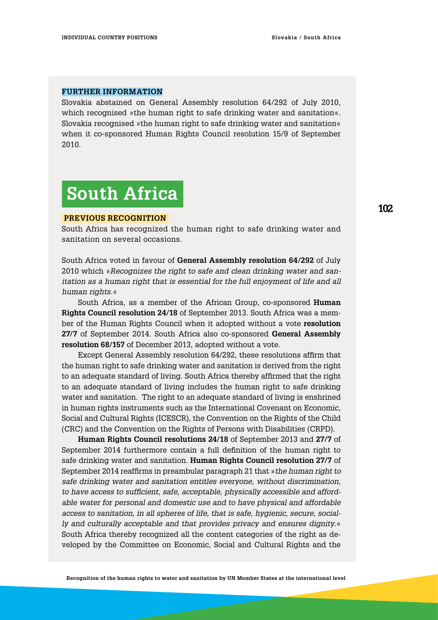#### **Further information**

Slovakia abstained on General Assembly resolution 64/292 of July 2010, which recognised »the human right to safe drinking water and sanitation«. Slovakia recognised »the human right to safe drinking water and sanitation« when it co-sponsored Human Rights Council resolution 15/9 of September 2010.

# **South Africa**

#### **Previous Recognition**

South Africa has recognized the human right to safe drinking water and sanitation on several occasions.

South Africa voted in favour of **General Assembly resolution 64/292** of July 2010 which »*Recognizes the right to safe and clean drinking water and sanitation as a human right that is essential for the full enjoyment of life and all human rights.*«

South Africa, as a member of the African Group, co-sponsored **Human Rights Council resolution 24/18** of September 2013. South Africa was a member of the Human Rights Council when it adopted without a vote **resolution 27/7** of September 2014. South Africa also co-sponsored **General Assembly resolution 68/157** of December 2013, adopted without a vote.

Except General Assembly resolution 64/292, these resolutions affirm that the human right to safe drinking water and sanitation is derived from the right to an adequate standard of living. South Africa thereby affirmed that the right to an adequate standard of living includes the human right to safe drinking water and sanitation. The right to an adequate standard of living is enshrined in human rights instruments such as the International Covenant on Economic, Social and Cultural Rights (ICESCR), the Convention on the Rights of the Child (CRC) and the Convention on the Rights of Persons with Disabilities (CRPD).

**Human Rights Council resolutions 24/18** of September 2013 and **27/7** of September 2014 furthermore contain a full definition of the human right to safe drinking water and sanitation. **Human Rights Council resolution 27/7** of September 2014 reaffirms in preambular paragraph 21 that »*the human right to safe drinking water and sanitation entitles everyone, without discrimination, to have access to sufficient, safe, acceptable, physically accessible and affordable water for personal and domestic use and to have physical and affordable access to sanitation, in all spheres of life, that is safe, hygienic, secure, socially and culturally acceptable and that provides privacy and ensures dignity*.« South Africa thereby recognized all the content categories of the right as developed by the Committee on Economic, Social and Cultural Rights and the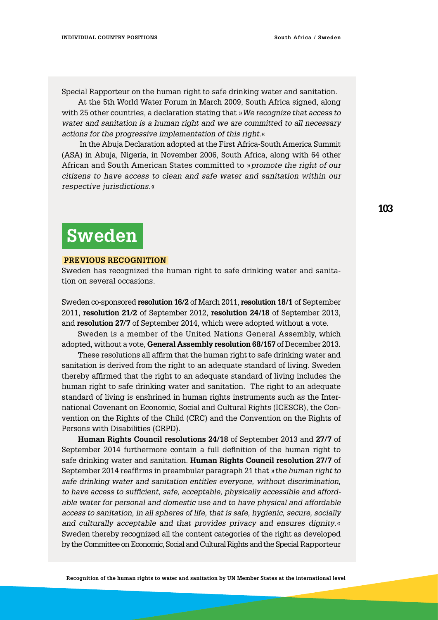Special Rapporteur on the human right to safe drinking water and sanitation.

At the 5th World Water Forum in March 2009, South Africa signed, along with 25 other countries, a declaration stating that »*We recognize that access to water and sanitation is a human right and we are committed to all necessary actions for the progressive implementation of this right*.«

 In the Abuja Declaration adopted at the First Africa-South America Summit (ASA) in Abuja, Nigeria, in November 2006, South Africa, along with 64 other African and South American States committed to »*promote the right of our citizens to have access to clean and safe water and sanitation within our respective jurisdictions.*«

### **103**

## **Sweden**

#### **Previous Recognition**

Sweden has recognized the human right to safe drinking water and sanitation on several occasions.

Sweden co-sponsored **resolution 16/2** of March 2011, **resolution 18/1** of September 2011, **resolution 21/2** of September 2012, **resolution 24/18** of September 2013, and **resolution 27/7** of September 2014, which were adopted without a vote.

Sweden is a member of the United Nations General Assembly, which adopted, without a vote, **General Assembly resolution 68/157** of December 2013.

These resolutions all affirm that the human right to safe drinking water and sanitation is derived from the right to an adequate standard of living. Sweden thereby affirmed that the right to an adequate standard of living includes the human right to safe drinking water and sanitation. The right to an adequate standard of living is enshrined in human rights instruments such as the International Covenant on Economic, Social and Cultural Rights (ICESCR), the Convention on the Rights of the Child (CRC) and the Convention on the Rights of Persons with Disabilities (CRPD).

**Human Rights Council resolutions 24/18** of September 2013 and **27/7** of September 2014 furthermore contain a full definition of the human right to safe drinking water and sanitation. **Human Rights Council resolution 27/7** of September 2014 reaffirms in preambular paragraph 21 that »*the human right to safe drinking water and sanitation entitles everyone, without discrimination, to have access to sufficient, safe, acceptable, physically accessible and affordable water for personal and domestic use and to have physical and affordable access to sanitation, in all spheres of life, that is safe, hygienic, secure, socially and culturally acceptable and that provides privacy and ensures dignity*.« Sweden thereby recognized all the content categories of the right as developed by the Committee on Economic, Social and Cultural Rights and the Special Rapporteur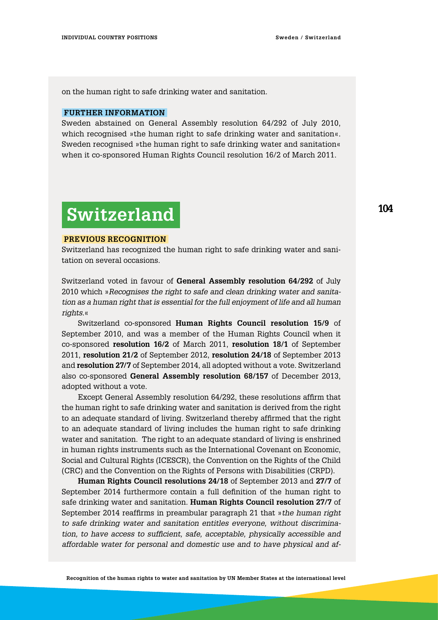on the human right to safe drinking water and sanitation.

### **Further information**

Sweden abstained on General Assembly resolution 64/292 of July 2010, which recognised »the human right to safe drinking water and sanitation«. Sweden recognised »the human right to safe drinking water and sanitation« when it co-sponsored Human Rights Council resolution 16/2 of March 2011.

# **Switzerland**

### **Previous Recognition**

Switzerland has recognized the human right to safe drinking water and sanitation on several occasions.

Switzerland voted in favour of **General Assembly resolution 64/292** of July 2010 which »*Recognises the right to safe and clean drinking water and sanitation as a human right that is essential for the full enjoyment of life and all human rights*.«

Switzerland co-sponsored **Human Rights Council resolution 15/9** of September 2010, and was a member of the Human Rights Council when it co-sponsored **resolution 16/2** of March 2011, **resolution 18/1** of September 2011, **resolution 21/2** of September 2012, **resolution 24/18** of September 2013 and **resolution 27/7** of September 2014, all adopted without a vote. Switzerland also co-sponsored **General Assembly resolution 68/157** of December 2013, adopted without a vote.

Except General Assembly resolution 64/292, these resolutions affirm that the human right to safe drinking water and sanitation is derived from the right to an adequate standard of living. Switzerland thereby affirmed that the right to an adequate standard of living includes the human right to safe drinking water and sanitation. The right to an adequate standard of living is enshrined in human rights instruments such as the International Covenant on Economic, Social and Cultural Rights (ICESCR), the Convention on the Rights of the Child (CRC) and the Convention on the Rights of Persons with Disabilities (CRPD).

**Human Rights Council resolutions 24/18** of September 2013 and **27/7** of September 2014 furthermore contain a full definition of the human right to safe drinking water and sanitation. **Human Rights Council resolution 27/7** of September 2014 reaffirms in preambular paragraph 21 that »*the human right to safe drinking water and sanitation entitles everyone, without discrimination, to have access to sufficient, safe, acceptable, physically accessible and affordable water for personal and domestic use and to have physical and af-*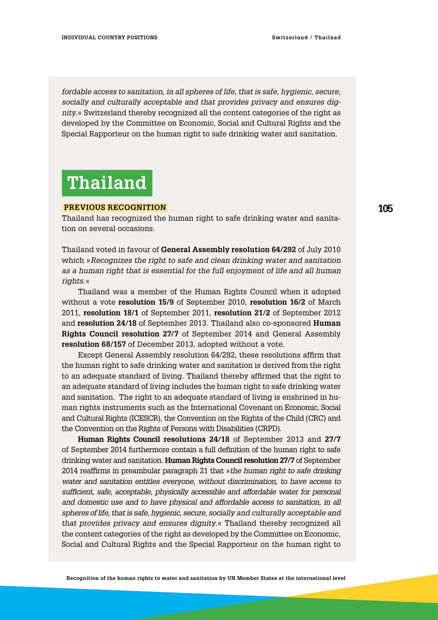*fordable access to sanitation, in all spheres of life, that is safe, hygienic, secure, socially and culturally acceptable and that provides privacy and ensures dignity*.« Switzerland thereby recognized all the content categories of the right as developed by the Committee on Economic, Social and Cultural Rights and the Special Rapporteur on the human right to safe drinking water and sanitation.

# **Thailand**

### **Previous Recognition**

Thailand has recognized the human right to safe drinking water and sanitation on several occasions.

Thailand voted in favour of **General Assembly resolution 64/292** of July 2010 which »*Recognizes the right to safe and clean drinking water and sanitation as a human right that is essential for the full enjoyment of life and all human rights.*«

Thailand was a member of the Human Rights Council when it adopted without a vote **resolution 15/9** of September 2010, **resolution 16/2** of March 2011, **resolution 18/1** of September 2011, **resolution 21/2** of September 2012 and **resolution 24/18** of September 2013. Thailand also co-sponsored **Human Rights Council resolution 27/7** of September 2014 and General Assembly **resolution 68/157** of December 2013, adopted without a vote.

Except General Assembly resolution 64/292, these resolutions affirm that the human right to safe drinking water and sanitation is derived from the right to an adequate standard of living. Thailand thereby affirmed that the right to an adequate standard of living includes the human right to safe drinking water and sanitation. The right to an adequate standard of living is enshrined in human rights instruments such as the International Covenant on Economic, Social and Cultural Rights (ICESCR), the Convention on the Rights of the Child (CRC) and the Convention on the Rights of Persons with Disabilities (CRPD).

**Human Rights Council resolutions 24/18** of September 2013 and **27/7** of September 2014 furthermore contain a full definition of the human right to safe drinking water and sanitation. **Human Rights Council resolution 27/7** of September 2014 reaffirms in preambular paragraph 21 that »*the human right to safe drinking water and sanitation entitles everyone, without discrimination, to have access to sufficient, safe, acceptable, physically accessible and affordable water for personal and domestic use and to have physical and affordable access to sanitation, in all spheres of life, that is safe, hygienic, secure, socially and culturally acceptable and that provides privacy and ensures dignity*.« Thailand thereby recognized all the content categories of the right as developed by the Committee on Economic, Social and Cultural Rights and the Special Rapporteur on the human right to

**105**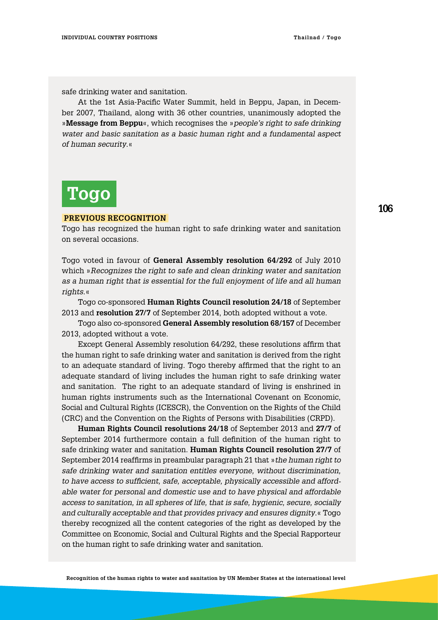safe drinking water and sanitation.

At the 1st Asia-Pacific Water Summit, held in Beppu, Japan, in December 2007, Thailand, along with 36 other countries, unanimously adopted the »**Message from Beppu**«, which recognises the »*people's right to safe drinking water and basic sanitation as a basic human right and a fundamental aspect of human security*.«

# **Togo**

#### **Previous Recognition**

Togo has recognized the human right to safe drinking water and sanitation on several occasions.

Togo voted in favour of **General Assembly resolution 64/292** of July 2010 which »*Recognizes the right to safe and clean drinking water and sanitation as a human right that is essential for the full enjoyment of life and all human rights*.«

Togo co-sponsored **Human Rights Council resolution 24/18** of September 2013 and **resolution 27/7** of September 2014, both adopted without a vote.

Togo also co-sponsored **General Assembly resolution 68/157** of December 2013, adopted without a vote.

Except General Assembly resolution 64/292, these resolutions affirm that the human right to safe drinking water and sanitation is derived from the right to an adequate standard of living. Togo thereby affirmed that the right to an adequate standard of living includes the human right to safe drinking water and sanitation. The right to an adequate standard of living is enshrined in human rights instruments such as the International Covenant on Economic, Social and Cultural Rights (ICESCR), the Convention on the Rights of the Child (CRC) and the Convention on the Rights of Persons with Disabilities (CRPD).

**Human Rights Council resolutions 24/18** of September 2013 and **27/7** of September 2014 furthermore contain a full definition of the human right to safe drinking water and sanitation. **Human Rights Council resolution 27/7** of September 2014 reaffirms in preambular paragraph 21 that »*the human right to safe drinking water and sanitation entitles everyone, without discrimination, to have access to sufficient, safe, acceptable, physically accessible and affordable water for personal and domestic use and to have physical and affordable access to sanitation, in all spheres of life, that is safe, hygienic, secure, socially and culturally acceptable and that provides privacy and ensures dignity*.« Togo thereby recognized all the content categories of the right as developed by the Committee on Economic, Social and Cultural Rights and the Special Rapporteur on the human right to safe drinking water and sanitation.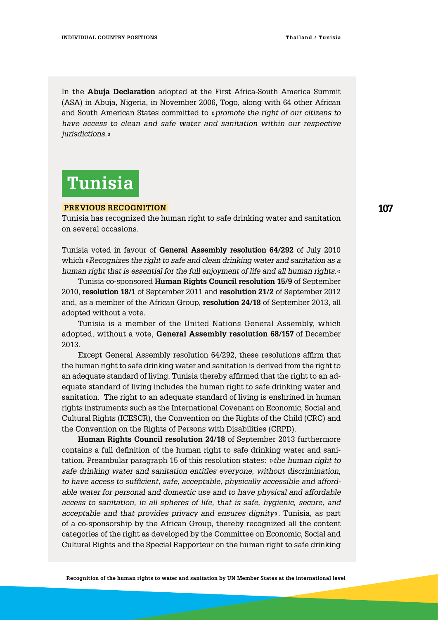In the **Abuja Declaration** adopted at the First Africa-South America Summit (ASA) in Abuja, Nigeria, in November 2006, Togo, along with 64 other African and South American States committed to »*promote the right of our citizens to have access to clean and safe water and sanitation within our respective jurisdictions.*«

## **Tunisia**

### **Previous Recognition**

Tunisia has recognized the human right to safe drinking water and sanitation on several occasions.

Tunisia voted in favour of **General Assembly resolution 64/292** of July 2010 which »*Recognizes the right to safe and clean drinking water and sanitation as a human right that is essential for the full enjoyment of life and all human rights.*«

Tunisia co-sponsored **Human Rights Council resolution 15/9** of September 2010, **resolution 18/1** of September 2011 and **resolution 21/2** of September 2012 and, as a member of the African Group, **resolution 24/18** of September 2013, all adopted without a vote.

Tunisia is a member of the United Nations General Assembly, which adopted, without a vote, **General Assembly resolution 68/157** of December 2013.

Except General Assembly resolution 64/292, these resolutions affirm that the human right to safe drinking water and sanitation is derived from the right to an adequate standard of living. Tunisia thereby affirmed that the right to an adequate standard of living includes the human right to safe drinking water and sanitation. The right to an adequate standard of living is enshrined in human rights instruments such as the International Covenant on Economic, Social and Cultural Rights (ICESCR), the Convention on the Rights of the Child (CRC) and the Convention on the Rights of Persons with Disabilities (CRPD).

**Human Rights Council resolution 24/18** of September 2013 furthermore contains a full definition of the human right to safe drinking water and sanitation. Preambular paragraph 15 of this resolution states: »*the human right to safe drinking water and sanitation entitles everyone, without discrimination, to have access to sufficient, safe, acceptable, physically accessible and affordable water for personal and domestic use and to have physical and affordable access to sanitation, in all spheres of life, that is safe, hygienic, secure, and acceptable and that provides privacy and ensures dignity*«. Tunisia, as part of a co-sponsorship by the African Group, thereby recognized all the content categories of the right as developed by the Committee on Economic, Social and Cultural Rights and the Special Rapporteur on the human right to safe drinking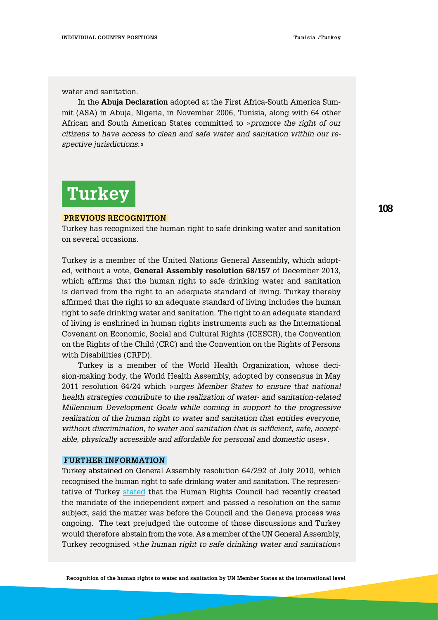water and sanitation.

In the **Abuja Declaration** adopted at the First Africa-South America Summit (ASA) in Abuja, Nigeria, in November 2006, Tunisia, along with 64 other African and South American States committed to »*promote the right of our citizens to have access to clean and safe water and sanitation within our respective jurisdictions*.«

# **Turkey**

#### **Previous Recognition**

Turkey has recognized the human right to safe drinking water and sanitation on several occasions.

Turkey is a member of the United Nations General Assembly, which adopted, without a vote, **General Assembly resolution 68/157** of December 2013, which affirms that the human right to safe drinking water and sanitation is derived from the right to an adequate standard of living. Turkey thereby affirmed that the right to an adequate standard of living includes the human right to safe drinking water and sanitation. The right to an adequate standard of living is enshrined in human rights instruments such as the International Covenant on Economic, Social and Cultural Rights (ICESCR), the Convention on the Rights of the Child (CRC) and the Convention on the Rights of Persons with Disabilities (CRPD).

Turkey is a member of the World Health Organization, whose decision-making body, the World Health Assembly, adopted by consensus in May 2011 resolution 64/24 which »*urges Member States to ensure that national health strategies contribute to the realization of water- and sanitation-related Millennium Development Goals while coming in support to the progressive realization of the human right to water and sanitation that entitles everyone, without discrimination, to water and sanitation that is sufficient, safe, acceptable, physically accessible and affordable for personal and domestic uses*«.

#### **Further information**

Turkey abstained on General Assembly resolution 64/292 of July 2010, which recognised the human right to safe drinking water and sanitation. The representative of Turkey [stated](http://www.un.org/press/en/2010/ga10967.doc.htm) that the Human Rights Council had recently created the mandate of the independent expert and passed a resolution on the same subject, said the matter was before the Council and the Geneva process was ongoing. The text prejudged the outcome of those discussions and Turkey would therefore abstain from the vote. As a member of the UN General Assembly, Turkey recognised »t*he human right to safe drinking water and sanitation*«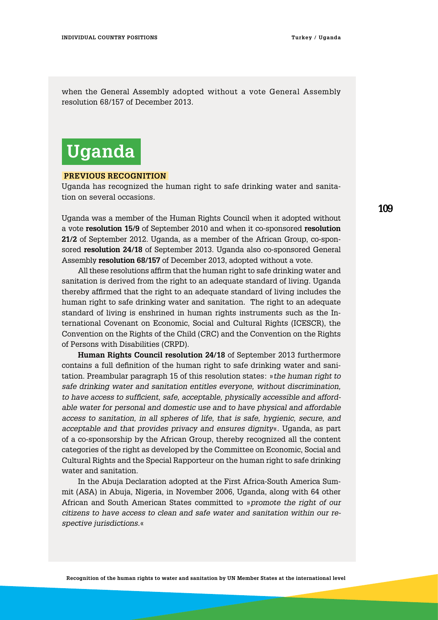when the General Assembly adopted without a vote General Assembly resolution 68/157 of December 2013.

## **Uganda**

#### **Previous Recognition**

Uganda has recognized the human right to safe drinking water and sanitation on several occasions.

Uganda was a member of the Human Rights Council when it adopted without a vote **resolution 15/9** of September 2010 and when it co-sponsored **resolution 21/2** of September 2012. Uganda, as a member of the African Group, co-sponsored **resolution 24/18** of September 2013. Uganda also co-sponsored General Assembly **resolution 68/157** of December 2013, adopted without a vote.

All these resolutions affirm that the human right to safe drinking water and sanitation is derived from the right to an adequate standard of living. Uganda thereby affirmed that the right to an adequate standard of living includes the human right to safe drinking water and sanitation. The right to an adequate standard of living is enshrined in human rights instruments such as the International Covenant on Economic, Social and Cultural Rights (ICESCR), the Convention on the Rights of the Child (CRC) and the Convention on the Rights of Persons with Disabilities (CRPD).

**Human Rights Council resolution 24/18** of September 2013 furthermore contains a full definition of the human right to safe drinking water and sanitation. Preambular paragraph 15 of this resolution states: »*the human right to safe drinking water and sanitation entitles everyone, without discrimination, to have access to sufficient, safe, acceptable, physically accessible and affordable water for personal and domestic use and to have physical and affordable access to sanitation, in all spheres of life, that is safe, hygienic, secure, and acceptable and that provides privacy and ensures dignity*«. Uganda, as part of a co-sponsorship by the African Group, thereby recognized all the content categories of the right as developed by the Committee on Economic, Social and Cultural Rights and the Special Rapporteur on the human right to safe drinking water and sanitation.

In the Abuja Declaration adopted at the First Africa-South America Summit (ASA) in Abuja, Nigeria, in November 2006, Uganda, along with 64 other African and South American States committed to »*promote the right of our citizens to have access to clean and safe water and sanitation within our respective jurisdictions.*«

**109**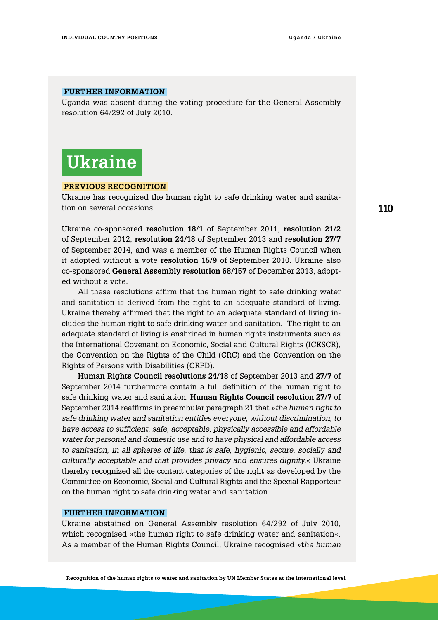#### **Further information**

Uganda was absent during the voting procedure for the General Assembly resolution 64/292 of July 2010.

### **Ukraine**

#### **Previous Recognition**

Ukraine has recognized the human right to safe drinking water and sanitation on several occasions.

Ukraine co-sponsored **resolution 18/1** of September 2011, **resolution 21/2** of September 2012, **resolution 24/18** of September 2013 and **resolution 27/7** of September 2014, and was a member of the Human Rights Council when it adopted without a vote **resolution 15/9** of September 2010. Ukraine also co-sponsored **General Assembly resolution 68/157** of December 2013, adopted without a vote.

All these resolutions affirm that the human right to safe drinking water and sanitation is derived from the right to an adequate standard of living. Ukraine thereby affirmed that the right to an adequate standard of living includes the human right to safe drinking water and sanitation. The right to an adequate standard of living is enshrined in human rights instruments such as the International Covenant on Economic, Social and Cultural Rights (ICESCR), the Convention on the Rights of the Child (CRC) and the Convention on the Rights of Persons with Disabilities (CRPD).

**Human Rights Council resolutions 24/18** of September 2013 and **27/7** of September 2014 furthermore contain a full definition of the human right to safe drinking water and sanitation. **Human Rights Council resolution 27/7** of September 2014 reaffirms in preambular paragraph 21 that »*the human right to safe drinking water and sanitation entitles everyone, without discrimination, to have access to sufficient, safe, acceptable, physically accessible and affordable water for personal and domestic use and to have physical and affordable access to sanitation, in all spheres of life, that is safe, hygienic, secure, socially and culturally acceptable and that provides privacy and ensures dignity.*« Ukraine thereby recognized all the content categories of the right as developed by the Committee on Economic, Social and Cultural Rights and the Special Rapporteur on the human right to safe drinking water and sanitation.

#### **Further information**

Ukraine abstained on General Assembly resolution 64/292 of July 2010, which recognised »the human right to safe drinking water and sanitation«. As a member of the Human Rights Council, Ukraine recognised »t*he human*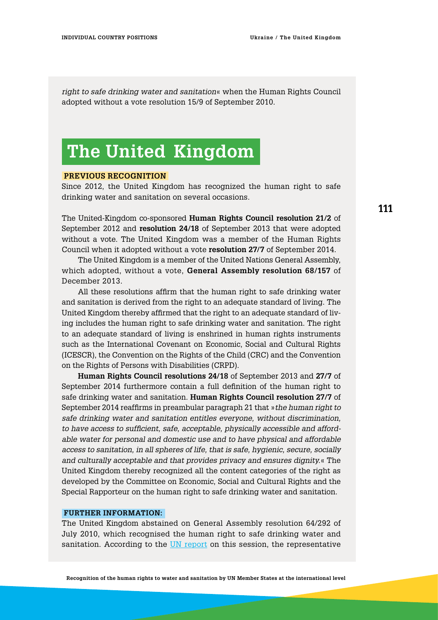*right to safe drinking water and sanitation*« when the Human Rights Council adopted without a vote resolution 15/9 of September 2010.

## **The United Kingdom**

#### **Previous Recognition**

Since 2012, the United Kingdom has recognized the human right to safe drinking water and sanitation on several occasions.

The United-Kingdom co-sponsored **Human Rights Council resolution 21/2** of September 2012 and **resolution 24/18** of September 2013 that were adopted without a vote. The United Kingdom was a member of the Human Rights Council when it adopted without a vote **resolution 27/7** of September 2014.

The United Kingdom is a member of the United Nations General Assembly, which adopted, without a vote, **General Assembly resolution 68/157** of December 2013.

All these resolutions affirm that the human right to safe drinking water and sanitation is derived from the right to an adequate standard of living. The United Kingdom thereby affirmed that the right to an adequate standard of living includes the human right to safe drinking water and sanitation. The right to an adequate standard of living is enshrined in human rights instruments such as the International Covenant on Economic, Social and Cultural Rights (ICESCR), the Convention on the Rights of the Child (CRC) and the Convention on the Rights of Persons with Disabilities (CRPD).

**Human Rights Council resolutions 24/18** of September 2013 and **27/7** of September 2014 furthermore contain a full definition of the human right to safe drinking water and sanitation. **Human Rights Council resolution 27/7** of September 2014 reaffirms in preambular paragraph 21 that »*the human right to safe drinking water and sanitation entitles everyone, without discrimination, to have access to sufficient, safe, acceptable, physically accessible and affordable water for personal and domestic use and to have physical and affordable access to sanitation, in all spheres of life, that is safe, hygienic, secure, socially and culturally acceptable and that provides privacy and ensures dignity.*« The United Kingdom thereby recognized all the content categories of the right as developed by the Committee on Economic, Social and Cultural Rights and the Special Rapporteur on the human right to safe drinking water and sanitation.

#### **Further information:**

The United Kingdom abstained on General Assembly resolution 64/292 of July 2010, which recognised the human right to safe drinking water and sanitation. According to the [UN report](http://www.un.org/press/en/2010/ga10967.doc.htm) on this session, the representative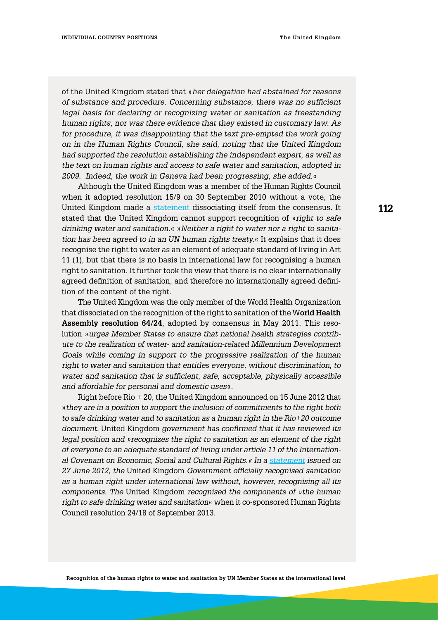of the United Kingdom stated that »*her delegation had abstained for reasons of substance and procedure. Concerning substance, there was no sufficient legal basis for declaring or recognizing water or sanitation as freestanding human rights, nor was there evidence that they existed in customary law. As for procedure, it was disappointing that the text pre-empted the work going on in the Human Rights Council, she said, noting that the United Kingdom had supported the resolution establishing the independent expert, as well as the text on human rights and access to safe water and sanitation, adopted in 2009. Indeed, the work in Geneva had been progressing, she added.*«

Although the United Kingdom was a member of the Human Rights Council when it adopted resolution 15/9 on 30 September 2010 without a vote, the United Kingdom made a [statement](https://www.gov.uk/government/publications/human-rights-and-democracy-department) dissociating itself from the consensus. It stated that the United Kingdom cannot support recognition of »*right to safe drinking water and sanitation*.« »*Neither a right to water nor a right to sanitation has been agreed to in an UN human rights treaty.*« It explains that it does recognise the right to water as an element of adequate standard of living in Art 11 (1), but that there is no basis in international law for recognising a human right to sanitation. It further took the view that there is no clear internationally agreed definition of sanitation, and therefore no internationally agreed definition of the content of the right.

The United Kingdom was the only member of the World Health Organization that dissociated on the recognition of the right to sanitation of the W**orld Health Assembly resolution 64/24**, adopted by consensus in May 2011. This resolution »*urges Member States to ensure that national health strategies contribute to the realization of water- and sanitation-related Millennium Development Goals while coming in support to the progressive realization of the human right to water and sanitation that entitles everyone, without discrimination, to water and sanitation that is sufficient, safe, acceptable, physically accessible and affordable for personal and domestic uses*«.

Right before Rio + 20, the United Kingdom announced on 15 June 2012 that »*they are in a position to support the inclusion of commitments to the right both to safe drinking water and to sanitation as a human right in the Rio+20 outcome document.* United Kingdom *government has confirmed that it has reviewed its legal position and »recognizes the right to sanitation as an element of the right of everyone to an adequate standard of living under article 11 of the International Covenant on Economic, Social and Cultural Rights.« In a [statement](https://www.gov.uk/government/publications/human-rights-and-democracy-department) issued on 27 June 2012, the* United Kingdom *Government officially recognised sanitation as a human right under international law without, however, recognising all its components. The* United Kingdom *recognised the components of »the human right to safe drinking water and sanitation*« when it co-sponsored Human Rights Council resolution 24/18 of September 2013.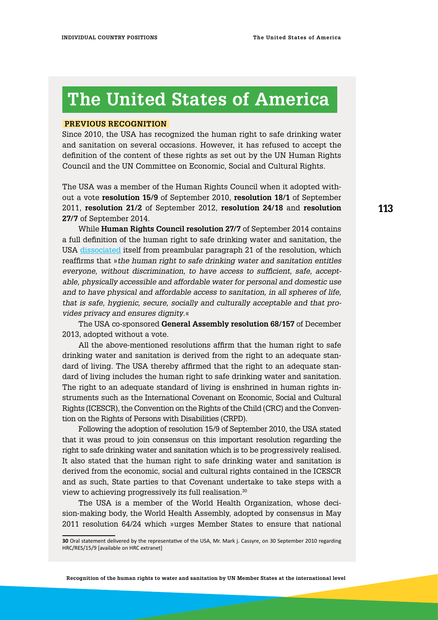# **The United States of America**

#### **Previous Recognition**

Since 2010, the USA has recognized the human right to safe drinking water and sanitation on several occasions. However, it has refused to accept the definition of the content of these rights as set out by the UN Human Rights Council and the UN Committee on Economic, Social and Cultural Rights.

The USA was a member of the Human Rights Council when it adopted without a vote **resolution 15/9** of September 2010, **resolution 18/1** of September 2011, **resolution 21/2** of September 2012, **resolution 24/18** and **resolution 27/7** of September 2014.

While **Human Rights Council resolution 27/7** of September 2014 contains a full definition of the human right to safe drinking water and sanitation, the USA [dissociated](https://geneva.usmission.gov/2014/09/25/explanation-of-position-the-human-right-to-safe-drinking-water-and-sanitation/) itself from preambular paragraph 21 of the resolution, which reaffirms that »*the human right to safe drinking water and sanitation entitles everyone, without discrimination, to have access to sufficient, safe, acceptable, physically accessible and affordable water for personal and domestic use and to have physical and affordable access to sanitation, in all spheres of life, that is safe, hygienic, secure, socially and culturally acceptable and that provides privacy and ensures dignity*.«

The USA co-sponsored **General Assembly resolution 68/157** of December 2013, adopted without a vote.

All the above-mentioned resolutions affirm that the human right to safe drinking water and sanitation is derived from the right to an adequate standard of living. The USA thereby affirmed that the right to an adequate standard of living includes the human right to safe drinking water and sanitation. The right to an adequate standard of living is enshrined in human rights instruments such as the International Covenant on Economic, Social and Cultural Rights (ICESCR), the Convention on the Rights of the Child (CRC) and the Convention on the Rights of Persons with Disabilities (CRPD).

Following the adoption of resolution 15/9 of September 2010, the USA stated that it was proud to join consensus on this important resolution regarding the right to safe drinking water and sanitation which is to be progressively realised. It also stated that the human right to safe drinking water and sanitation is derived from the economic, social and cultural rights contained in the ICESCR and as such, State parties to that Covenant undertake to take steps with a view to achieving progressively its full realisation.<sup>30</sup>

The USA is a member of the World Health Organization, whose decision-making body, the World Health Assembly, adopted by consensus in May 2011 resolution 64/24 which »urges Member States to ensure that national **113**

**<sup>30</sup>** Oral statement delivered by the representative of the USA, Mr. Mark j. Cassyre, on 30 September 2010 regarding HRC/RES/15/9 [available on HRC extranet]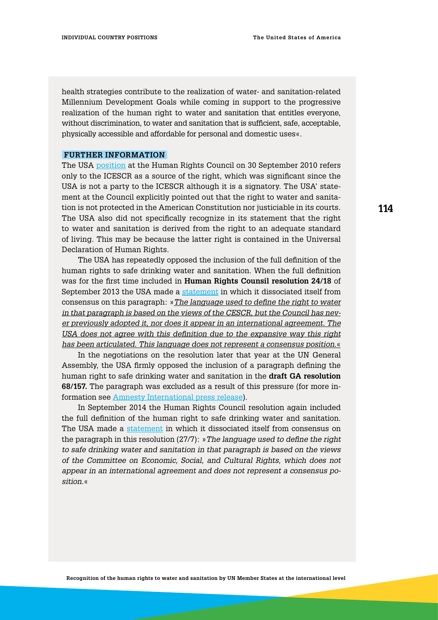health strategies contribute to the realization of water- and sanitation-related Millennium Development Goals while coming in support to the progressive realization of the human right to water and sanitation that entitles everyone, without discrimination, to water and sanitation that is sufficient, safe, acceptable, physically accessible and affordable for personal and domestic uses«.

#### **Further information**

The USA [position](http://www.un.org/webcast/unhrc/archive.asp?go=100930) at the Human Rights Council on 30 September 2010 refers only to the ICESCR as a source of the right, which was significant since the USA is not a party to the ICESCR although it is a signatory. The USA' statement at the Council explicitly pointed out that the right to water and sanitation is not protected in the American Constitution nor justiciable in its courts. The USA also did not specifically recognize in its statement that the right to water and sanitation is derived from the right to an adequate standard of living. This may be because the latter right is contained in the Universal Declaration of Human Rights.

The USA has repeatedly opposed the inclusion of the full definition of the human rights to safe drinking water and sanitation. When the full definition was for the first time included in **Human Rights Counsil resolution 24/18** of September 2013 the USA made a [statement](https://geneva.usmission.gov/2013/09/27/eop-the-human-right-to-safe-drinking-water-and-sanitation/) in which it dissociated itself from consensus on this paragraph: »*The language used to define the right to water in that paragraph is based on the views of the CESCR, but the Council has never previously adopted it, nor does it appear in an international agreement. The USA does not agree with this definition due to the expansive way this right has been articulated. This language does not represent a consensus position*.«

In the negotiations on the resolution later that year at the UN General Assembly, the USA firmly opposed the inclusion of a paragraph defining the human right to safe drinking water and sanitation in the **draft GA resolution 68/157.** The paragraph was excluded as a result of this pressure (for more information see [Amnesty International press release](http://www.right2water.eu/sites/water/files/AmnestyInt.PRhumanrighttowater.pdf)).

In September 2014 the Human Rights Council resolution again included the full definition of the human right to safe drinking water and sanitation. The USA made a [statement](https://geneva.usmission.gov/2014/09/25/explanation-of-position-the-human-right-to-safe-drinking-water-and-sanitation/) in which it dissociated itself from consensus on the paragraph in this resolution (27/7): »*The language used to define the right to safe drinking water and sanitation in that paragraph is based on the views of the Committee on Economic, Social, and Cultural Rights, which does not appear in an international agreement and does not represent a consensus position.*«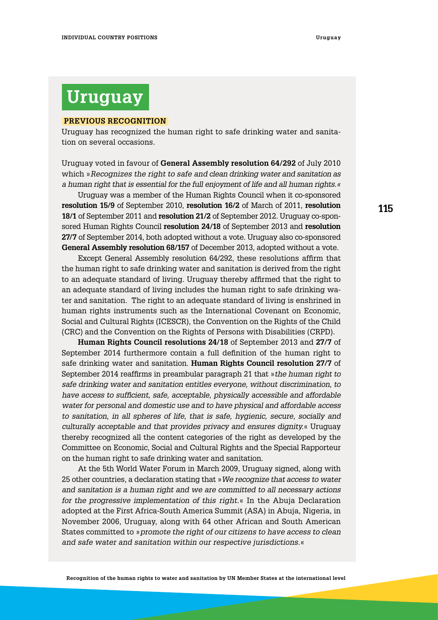### **Uruguay**

#### **Previous Recognition**

Uruguay has recognized the human right to safe drinking water and sanitation on several occasions.

Uruguay voted in favour of **General Assembly resolution 64/292** of July 2010 which »*Recognizes the right to safe and clean drinking water and sanitation as a human right that is essential for the full enjoyment of life and all human rights.«*

Uruguay was a member of the Human Rights Council when it co-sponsored **resolution 15/9** of September 2010, **resolution 16/2** of March of 2011, **resolution 18/1** of September 2011 and **resolution 21/2** of September 2012. Uruguay co-sponsored Human Rights Council **resolution 24/18** of September 2013 and **resolution 27/7** of September 2014, both adopted without a vote. Uruguay also co-sponsored **General Assembly resolution 68/157** of December 2013, adopted without a vote.

Except General Assembly resolution 64/292, these resolutions affirm that the human right to safe drinking water and sanitation is derived from the right to an adequate standard of living. Uruguay thereby affirmed that the right to an adequate standard of living includes the human right to safe drinking water and sanitation. The right to an adequate standard of living is enshrined in human rights instruments such as the International Covenant on Economic, Social and Cultural Rights (ICESCR), the Convention on the Rights of the Child (CRC) and the Convention on the Rights of Persons with Disabilities (CRPD).

**Human Rights Council resolutions 24/18** of September 2013 and **27/7** of September 2014 furthermore contain a full definition of the human right to safe drinking water and sanitation. **Human Rights Council resolution 27/7** of September 2014 reaffirms in preambular paragraph 21 that »*the human right to safe drinking water and sanitation entitles everyone, without discrimination, to have access to sufficient, safe, acceptable, physically accessible and affordable water for personal and domestic use and to have physical and affordable access to sanitation, in all spheres of life, that is safe, hygienic, secure, socially and culturally acceptable and that provides privacy and ensures dignity.*« Uruguay thereby recognized all the content categories of the right as developed by the Committee on Economic, Social and Cultural Rights and the Special Rapporteur on the human right to safe drinking water and sanitation.

At the 5th World Water Forum in March 2009, Uruguay signed, along with 25 other countries, a declaration stating that »*We recognize that access to water and sanitation is a human right and we are committed to all necessary actions for the progressive implementation of this right.*« In the Abuja Declaration adopted at the First Africa-South America Summit (ASA) in Abuja, Nigeria, in November 2006, Uruguay, along with 64 other African and South American States committed to »*promote the right of our citizens to have access to clean and safe water and sanitation within our respective jurisdictions*.«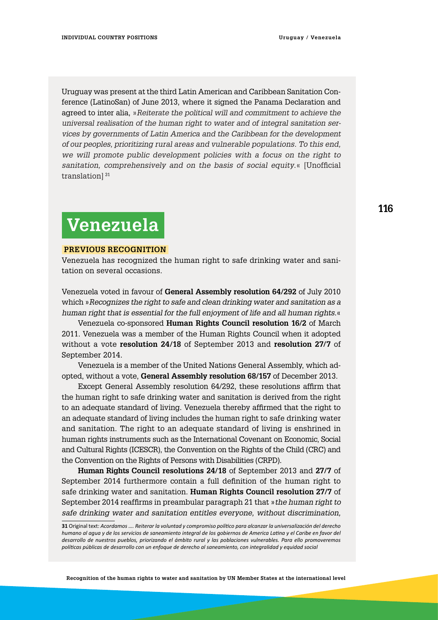Uruguay was present at the third Latin American and Caribbean Sanitation Conference (LatinoSan) of June 2013, where it signed the Panama Declaration and agreed to inter alia, »*Reiterate the political will and commitment to achieve the universal realisation of the human right to water and of integral sanitation services by governments of Latin America and the Caribbean for the development of our peoples, prioritizing rural areas and vulnerable populations. To this end, we will promote public development policies with a focus on the right to sanitation, comprehensively and on the basis of social equity*.« [Unofficial translation<sup>31</sup>

## **Venezuela**

#### **Previous Recognition**

Venezuela has recognized the human right to safe drinking water and sanitation on several occasions.

Venezuela voted in favour of **General Assembly resolution 64/292** of July 2010 which »*Recognizes the right to safe and clean drinking water and sanitation as a human right that is essential for the full enjoyment of life and all human rights.*«

Venezuela co-sponsored **Human Rights Council resolution 16/2** of March 2011. Venezuela was a member of the Human Rights Council when it adopted without a vote **resolution 24/18** of September 2013 and **resolution 27/7** of September 2014.

Venezuela is a member of the United Nations General Assembly, which adopted, without a vote, **General Assembly resolution 68/157** of December 2013.

Except General Assembly resolution 64/292, these resolutions affirm that the human right to safe drinking water and sanitation is derived from the right to an adequate standard of living. Venezuela thereby affirmed that the right to an adequate standard of living includes the human right to safe drinking water and sanitation. The right to an adequate standard of living is enshrined in human rights instruments such as the International Covenant on Economic, Social and Cultural Rights (ICESCR), the Convention on the Rights of the Child (CRC) and the Convention on the Rights of Persons with Disabilities (CRPD).

**Human Rights Council resolutions 24/18** of September 2013 and **27/7** of September 2014 furthermore contain a full definition of the human right to safe drinking water and sanitation. **Human Rights Council resolution 27/7** of September 2014 reaffirms in preambular paragraph 21 that »*the human right to safe drinking water and sanitation entitles everyone, without discrimination,* 

**<sup>31</sup>** Original text: *Acordamos …. Reiterar la voluntad y compromiso político para alcanzar la universalización del derecho humano al agua y de los servicios de saneamiento integral de los gobiernos de America Latina y el Caribe en favor del desarrollo de nuestros pueblos, priorizando el ámbito rural y las poblaciones vulnerables. Para ello promoveremos políticas públicas de desarrollo con un enfoque de derecho al saneamiento, con integralidad y equidad social*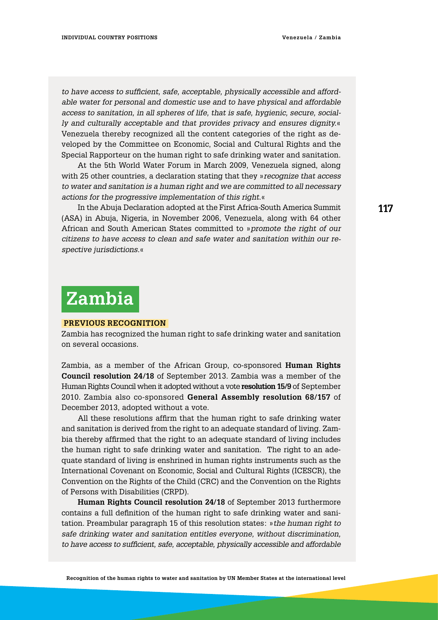*to have access to sufficient, safe, acceptable, physically accessible and affordable water for personal and domestic use and to have physical and affordable access to sanitation, in all spheres of life, that is safe, hygienic, secure, socially and culturally acceptable and that provides privacy and ensures dignity.*« Venezuela thereby recognized all the content categories of the right as developed by the Committee on Economic, Social and Cultural Rights and the Special Rapporteur on the human right to safe drinking water and sanitation.

At the 5th World Water Forum in March 2009, Venezuela signed, along with 25 other countries, a declaration stating that they »*recognize that access to water and sanitation is a human right and we are committed to all necessary actions for the progressive implementation of this right.*«

In the Abuja Declaration adopted at the First Africa-South America Summit (ASA) in Abuja, Nigeria, in November 2006, Venezuela, along with 64 other African and South American States committed to »*promote the right of our citizens to have access to clean and safe water and sanitation within our respective jurisdictions.*«

### **Zambia**

#### **Previous Recognition**

Zambia has recognized the human right to safe drinking water and sanitation on several occasions.

Zambia, as a member of the African Group, co-sponsored **Human Rights Council resolution 24/18** of September 2013. Zambia was a member of the Human Rights Council when it adopted without a vote **resolution 15/9** of September 2010. Zambia also co-sponsored **General Assembly resolution 68/157** of December 2013, adopted without a vote.

All these resolutions affirm that the human right to safe drinking water and sanitation is derived from the right to an adequate standard of living. Zambia thereby affirmed that the right to an adequate standard of living includes the human right to safe drinking water and sanitation. The right to an adequate standard of living is enshrined in human rights instruments such as the International Covenant on Economic, Social and Cultural Rights (ICESCR), the Convention on the Rights of the Child (CRC) and the Convention on the Rights of Persons with Disabilities (CRPD).

**Human Rights Council resolution 24/18** of September 2013 furthermore contains a full definition of the human right to safe drinking water and sanitation. Preambular paragraph 15 of this resolution states: »*the human right to safe drinking water and sanitation entitles everyone, without discrimination, to have access to sufficient, safe, acceptable, physically accessible and affordable*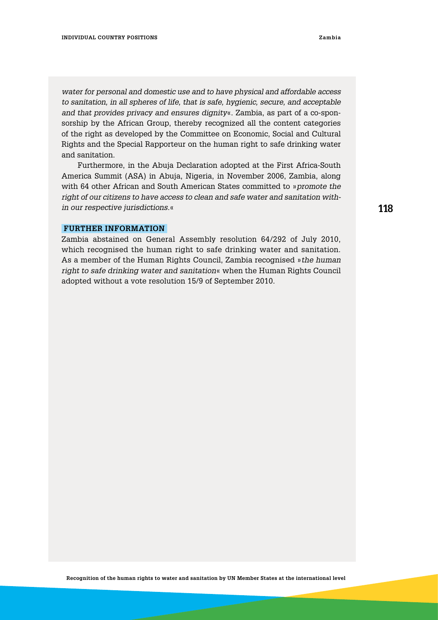*water for personal and domestic use and to have physical and affordable access to sanitation, in all spheres of life, that is safe, hygienic, secure, and acceptable and that provides privacy and ensures dignity*«. Zambia, as part of a co-sponsorship by the African Group, thereby recognized all the content categories of the right as developed by the Committee on Economic, Social and Cultural Rights and the Special Rapporteur on the human right to safe drinking water and sanitation.

Furthermore, in the Abuja Declaration adopted at the First Africa-South America Summit (ASA) in Abuja, Nigeria, in November 2006, Zambia, along with 64 other African and South American States committed to »*promote the right of our citizens to have access to clean and safe water and sanitation within our respective jurisdictions.*«

#### **Further information**

Zambia abstained on General Assembly resolution 64/292 of July 2010, which recognised the human right to safe drinking water and sanitation. As a member of the Human Rights Council, Zambia recognised »*the human right to safe drinking water and sanitation*« when the Human Rights Council adopted without a vote resolution 15/9 of September 2010.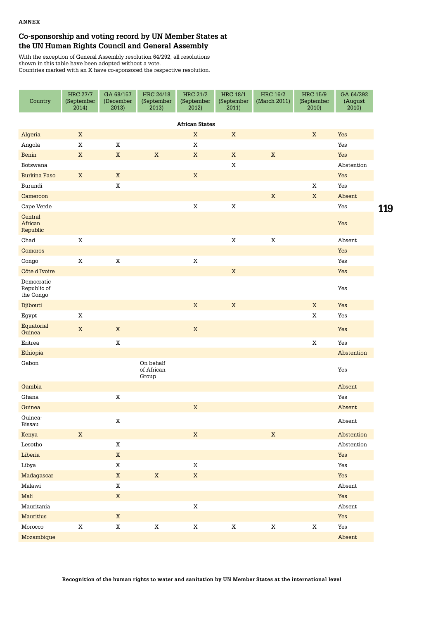### **Co-sponsorship and voting record by UN Member States at the UN Human Rights Council and General Assembly**

With the exception of General Assembly resolution 64/292, all resolutions shown in this table have been adopted without a vote. Countries marked with an X have co-sponsored the respective resolution.

| Country                                | <b>HRC 27/7</b><br>(September<br>2014) | GA 68/157<br>(December<br>2013) | HRC 24/18<br>(September<br>2013) | <b>HRC 21/2</b><br>(September<br>2012) | <b>HRC 18/1</b><br>(September<br>2011) | <b>HRC 16/2</b><br>(March 2011) | <b>HRC 15/9</b><br>(September<br>2010) | GA 64/292<br>(August<br>2010) |     |
|----------------------------------------|----------------------------------------|---------------------------------|----------------------------------|----------------------------------------|----------------------------------------|---------------------------------|----------------------------------------|-------------------------------|-----|
|                                        |                                        |                                 |                                  | <b>African States</b>                  |                                        |                                 |                                        |                               |     |
| Algeria                                | $\mathbf X$                            |                                 |                                  | $\mathbf X$                            | $\mathbf X$                            |                                 | $\mathbf X$                            | Yes                           |     |
| Angola                                 | $\rm X$                                | $\mathbf X$                     |                                  | $\mathbf X$                            |                                        |                                 |                                        | Yes                           |     |
| Benin                                  | $\mathbf X$                            | $\mathbf X$                     | $\mathbf X$                      | $\mathbf X$                            | $\mathbf X$                            | $\mathbf X$                     |                                        | Yes                           |     |
| Botswana                               |                                        |                                 |                                  |                                        | $\rm X$                                |                                 |                                        | Abstention                    |     |
| <b>Burkina Faso</b>                    | $\mathbf X$                            | $\mathbf X$                     |                                  | $\mathbf X$                            |                                        |                                 |                                        | Yes                           |     |
| Burundi                                |                                        | $\mathbf X$                     |                                  |                                        |                                        |                                 | X                                      | Yes                           |     |
| Cameroon                               |                                        |                                 |                                  |                                        |                                        | $\mathbf X$                     | $\mathbf X$                            | Absent                        |     |
| Cape Verde                             |                                        |                                 |                                  | $\rm X$                                | $\mathbf X$                            |                                 |                                        | Yes                           | 119 |
| Central<br>African<br>Republic         |                                        |                                 |                                  |                                        |                                        |                                 |                                        | Yes                           |     |
| Chad                                   | $\mathbf X$                            |                                 |                                  |                                        | $\mathbf X$                            | $\mathbf X$                     |                                        | Absent                        |     |
| Comoros                                |                                        |                                 |                                  |                                        |                                        |                                 |                                        | Yes                           |     |
| Congo                                  | $\mathbf X$                            | $\mathbf X$                     |                                  | $\mathbf X$                            |                                        |                                 |                                        | Yes                           |     |
| Côte d'Ivoire                          |                                        |                                 |                                  |                                        | $\mathbf X$                            |                                 |                                        | Yes                           |     |
| Democratic<br>Republic of<br>the Congo |                                        |                                 |                                  |                                        |                                        |                                 |                                        | Yes                           |     |
| Djibouti                               |                                        |                                 |                                  | $\mathbf X$                            | $\mathbf X$                            |                                 | $\mathbf X$                            | Yes                           |     |
| Egypt                                  | $\mathbf X$                            |                                 |                                  |                                        |                                        |                                 | $\mathbf X$                            | Yes                           |     |
| Equatorial<br>Guinea                   | $\mathbf X$                            | $\mathbf X$                     |                                  | $\mathbf X$                            |                                        |                                 |                                        | Yes                           |     |
| Eritrea                                |                                        | $\mathbf X$                     |                                  |                                        |                                        |                                 | $\mathbf X$                            | Yes                           |     |
| Ethiopia                               |                                        |                                 |                                  |                                        |                                        |                                 |                                        | Abstention                    |     |
| Gabon                                  |                                        |                                 | On behalf<br>of African<br>Group |                                        |                                        |                                 |                                        | Yes                           |     |
| Gambia                                 |                                        |                                 |                                  |                                        |                                        |                                 |                                        | Absent                        |     |
| Ghana                                  |                                        | $\mathbf X$                     |                                  |                                        |                                        |                                 |                                        | Yes                           |     |
| Guinea                                 |                                        |                                 |                                  | $\mathbf X$                            |                                        |                                 |                                        | Absent                        |     |
| Guinea-<br>Bissau                      |                                        | X                               |                                  |                                        |                                        |                                 |                                        | Absent                        |     |
| Kenya                                  | $\mathbf X$                            |                                 |                                  | $\mathbf X$                            |                                        | $\mathbf X$                     |                                        | Abstention                    |     |
| ${\tt Lesotho}$                        |                                        | $\mathbf X$                     |                                  |                                        |                                        |                                 |                                        | Abstention                    |     |
| Liberia                                |                                        | $\mathbf X$                     |                                  |                                        |                                        |                                 |                                        | Yes                           |     |
| Libya                                  |                                        | $\mathbf X$                     |                                  | $\mathbf X$                            |                                        |                                 |                                        | Yes                           |     |
| Madagascar                             |                                        | $\mathbf X$                     | $\mathbf X$                      | $\mathbf X$                            |                                        |                                 |                                        | Yes                           |     |
| Malawi                                 |                                        | $\mathbf X$                     |                                  |                                        |                                        |                                 |                                        | Absent                        |     |
| Mali                                   |                                        | $\mathbf X$                     |                                  |                                        |                                        |                                 |                                        | Yes                           |     |
| Mauritania                             |                                        |                                 |                                  | $\mathbf X$                            |                                        |                                 |                                        | Absent                        |     |
| Mauritius                              |                                        | $\mathbf X$                     |                                  |                                        |                                        |                                 |                                        | Yes                           |     |
| $M$ orocco                             | $\mathbf X$                            | $\mathbf X$                     | $\mathbf X$                      | $\mathbf X$                            | $\mathbf X$                            | $\mathbf X$                     | $\mathbf X$                            | Yes                           |     |
| Mozambique                             |                                        |                                 |                                  |                                        |                                        |                                 |                                        | Absent                        |     |

**Recognition of the human rights to water and sanitation by UN Member States at the international level**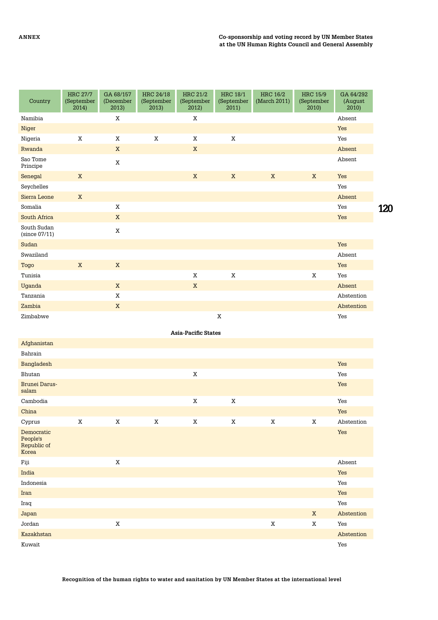| Country                                        | <b>HRC 27/7</b><br>(September<br>2014) | GA 68/157<br>(December<br>2013) | HRC 24/18<br>(September<br>2013) | <b>HRC 21/2</b><br>(September<br>2012) | <b>HRC 18/1</b><br>(September<br>2011) | <b>HRC 16/2</b><br>(March 2011) | <b>HRC 15/9</b><br>(September<br>2010) | GA 64/292<br>(August<br>2010) |            |
|------------------------------------------------|----------------------------------------|---------------------------------|----------------------------------|----------------------------------------|----------------------------------------|---------------------------------|----------------------------------------|-------------------------------|------------|
| Namibia                                        |                                        | X                               |                                  | $\mathbf X$                            |                                        |                                 |                                        | Absent                        |            |
| Niger                                          |                                        |                                 |                                  |                                        |                                        |                                 |                                        | Yes                           |            |
| Nigeria                                        | $\mathbf X$                            | $\mathbf X$                     | $\mathbf X$                      | $\mathbf X$                            | $\mathbf X$                            |                                 |                                        | Yes                           |            |
| Rwanda                                         |                                        | $\mathbf X$                     |                                  | $\mathbf X$                            |                                        |                                 |                                        | Absent                        |            |
| Sao Tome<br>Principe                           |                                        | $\mathbf X$                     |                                  |                                        |                                        |                                 |                                        | Absent                        |            |
| Senegal                                        | $\mathbf X$                            |                                 |                                  | $\mathbf X$                            | $\mathbf X$                            | $\mathbf X$                     | $\mathbf X$                            | Yes                           |            |
| Seychelles                                     |                                        |                                 |                                  |                                        |                                        |                                 |                                        | Yes                           |            |
| Sierra Leone                                   | $\mathbf X$                            |                                 |                                  |                                        |                                        |                                 |                                        | Absent                        |            |
| Somalia                                        |                                        | $\mathbf X$                     |                                  |                                        |                                        |                                 |                                        | Yes                           | <b>120</b> |
| South Africa                                   |                                        | $\mathbf X$                     |                                  |                                        |                                        |                                 |                                        | Yes                           |            |
| South Sudan<br>(since 07/11)                   |                                        | $\mathbf X$                     |                                  |                                        |                                        |                                 |                                        |                               |            |
| Sudan                                          |                                        |                                 |                                  |                                        |                                        |                                 |                                        | Yes                           |            |
| Swaziland                                      |                                        |                                 |                                  |                                        |                                        |                                 |                                        | Absent                        |            |
| Togo                                           | $\mathbf X$                            | $\mathbf X$                     |                                  |                                        |                                        |                                 |                                        | Yes                           |            |
| Tunisia                                        |                                        |                                 |                                  | $\mathbf X$                            | $\mathbf X$                            |                                 | $\mathbf X$                            | Yes                           |            |
| Uganda                                         |                                        | $\mathbf X$                     |                                  | $\mathbf X$                            |                                        |                                 |                                        | Absent                        |            |
| Tanzania                                       |                                        | $\mathbf X$                     |                                  |                                        |                                        |                                 |                                        | Abstention                    |            |
| Zambia                                         |                                        | $\mathbf X$                     |                                  |                                        |                                        |                                 |                                        | Abstention                    |            |
| Zimbabwe                                       |                                        |                                 |                                  |                                        | X                                      |                                 |                                        | Yes                           |            |
|                                                |                                        |                                 |                                  |                                        |                                        |                                 |                                        |                               |            |
|                                                |                                        |                                 |                                  | <b>Asia-Pacific States</b>             |                                        |                                 |                                        |                               |            |
| Afghanistan                                    |                                        |                                 |                                  |                                        |                                        |                                 |                                        |                               |            |
| Bahrain                                        |                                        |                                 |                                  |                                        |                                        |                                 |                                        |                               |            |
| Bangladesh                                     |                                        |                                 |                                  |                                        |                                        |                                 |                                        | Yes                           |            |
| Bhutan                                         |                                        |                                 |                                  | X                                      |                                        |                                 |                                        | Yes                           |            |
| <b>Brunei Darus-</b><br>salam                  |                                        |                                 |                                  |                                        |                                        |                                 |                                        | Yes                           |            |
| Cambodia                                       |                                        |                                 |                                  | $\mathbf X$                            | $\mathbf X$                            |                                 |                                        | Yes                           |            |
| China                                          |                                        |                                 |                                  |                                        |                                        |                                 |                                        | Yes                           |            |
| Cyprus                                         | X                                      | X                               | X                                | $\mathbf X$                            | $\mathbf X$                            | X                               | X                                      | Abstention                    |            |
| Democratic<br>People's<br>Republic of<br>Korea |                                        |                                 |                                  |                                        |                                        |                                 |                                        | Yes                           |            |
| Fiji                                           |                                        | $\mathbf X$                     |                                  |                                        |                                        |                                 |                                        | Absent                        |            |
| India                                          |                                        |                                 |                                  |                                        |                                        |                                 |                                        | Yes                           |            |
| Indonesia                                      |                                        |                                 |                                  |                                        |                                        |                                 |                                        | Yes                           |            |
| Iran                                           |                                        |                                 |                                  |                                        |                                        |                                 |                                        | Yes                           |            |
| Iraq                                           |                                        |                                 |                                  |                                        |                                        |                                 |                                        | Yes                           |            |
| Japan                                          |                                        |                                 |                                  |                                        |                                        |                                 | $\mathbf X$                            | Abstention                    |            |
| Jordan                                         |                                        | $\mathbf X$                     |                                  |                                        |                                        | $\mathbf X$                     | $\mathbf X$                            | Yes                           |            |

Kazakhstan Abstention Kuwait Yes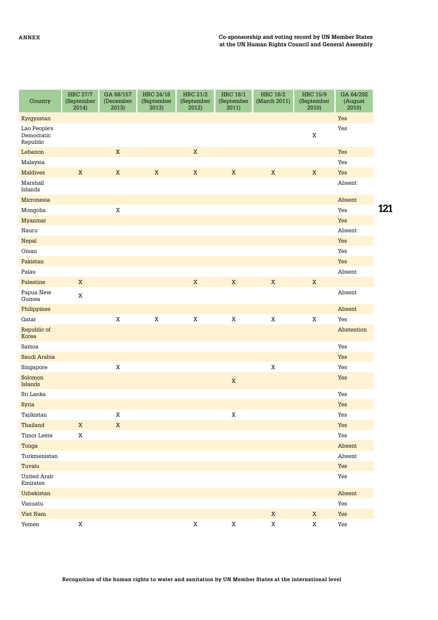| Country                                | <b>HRC 27/7</b><br>(September<br>2014) | GA 68/157<br>(December<br>2013) | HRC 24/18<br>(September<br>2013) | <b>HRC 21/2</b><br>(September<br>2012) | <b>HRC 18/1</b><br>(September<br>2011) | <b>HRC 16/2</b><br>(March 2011) | <b>HRC 15/9</b><br>(September<br>2010) | GA 64/292<br>(August<br>2010) |     |
|----------------------------------------|----------------------------------------|---------------------------------|----------------------------------|----------------------------------------|----------------------------------------|---------------------------------|----------------------------------------|-------------------------------|-----|
| Kyrgyzstan                             |                                        |                                 |                                  |                                        |                                        |                                 |                                        | Yes                           |     |
| Lao People's<br>Democratic<br>Republic |                                        |                                 |                                  |                                        |                                        |                                 | $\mathbf X$                            | Yes                           |     |
| Lebanon                                |                                        | $\mathbf X$                     |                                  | $\mathbf X$                            |                                        |                                 |                                        | Yes                           |     |
| Malaysia                               |                                        |                                 |                                  |                                        |                                        |                                 |                                        | Yes                           |     |
| <b>Maldives</b>                        | $\mathbf X$                            | $\mathbf X$                     | $\mathbf X$                      | $\mathbf X$                            | $\mathbf X$                            | $\mathbf X$                     | $\mathbf X$                            | Yes                           |     |
| Marshall<br>Islands                    |                                        |                                 |                                  |                                        |                                        |                                 |                                        | Absent                        |     |
| Micronesia                             |                                        |                                 |                                  |                                        |                                        |                                 |                                        | Absent                        |     |
| Mongolia                               |                                        | $\mathbf X$                     |                                  |                                        |                                        |                                 |                                        | Yes                           | 121 |
| Myanmar                                |                                        |                                 |                                  |                                        |                                        |                                 |                                        | Yes                           |     |
| Nauru                                  |                                        |                                 |                                  |                                        |                                        |                                 |                                        | Absent                        |     |
| Nepal                                  |                                        |                                 |                                  |                                        |                                        |                                 |                                        | Yes                           |     |
| Oman                                   |                                        |                                 |                                  |                                        |                                        |                                 |                                        | Yes                           |     |
| Pakistan                               |                                        |                                 |                                  |                                        |                                        |                                 |                                        | Yes                           |     |
| Palau                                  |                                        |                                 |                                  |                                        |                                        |                                 |                                        | Absent                        |     |
| Palestine                              | $\mathbf X$                            |                                 |                                  | $\mathbf X$                            | $\mathbf X$                            | $\mathbf X$                     | $\mathbf X$                            |                               |     |
| Papua New<br>Guinea                    | $\mathbf X$                            |                                 |                                  |                                        |                                        |                                 |                                        | Absent                        |     |
| Philippines                            |                                        |                                 |                                  |                                        |                                        |                                 |                                        | Absent                        |     |
| Qatar                                  |                                        | $\mathbf X$                     | $\mathbf X$                      | $\mathbf X$                            | $\mathbf X$                            | $\mathbf X$                     | $\mathbf X$                            | Yes                           |     |
| Republic of<br>Korea                   |                                        |                                 |                                  |                                        |                                        |                                 |                                        | Abstention                    |     |
| Samoa                                  |                                        |                                 |                                  |                                        |                                        |                                 |                                        | Yes                           |     |
| Saudi Arabia                           |                                        |                                 |                                  |                                        |                                        |                                 |                                        | Yes                           |     |
| Singapore                              |                                        | $\mathbf X$                     |                                  |                                        |                                        | $\mathbf X$                     |                                        | Yes                           |     |
| Solomon<br>Islands                     |                                        |                                 |                                  |                                        | $\mathbf X$                            |                                 |                                        | Yes                           |     |
| Sri Lanka                              |                                        |                                 |                                  |                                        |                                        |                                 |                                        | Yes                           |     |
| Syria                                  |                                        |                                 |                                  |                                        |                                        |                                 |                                        | Yes                           |     |
| Tajikistan                             |                                        | $\mathbf X$                     |                                  |                                        | X                                      |                                 |                                        | Yes                           |     |
| Thailand                               | $\mathbf X$                            | $\mathbf X$                     |                                  |                                        |                                        |                                 |                                        | Yes                           |     |
| Timor Leste                            | $\mathbf X$                            |                                 |                                  |                                        |                                        |                                 |                                        | Yes                           |     |
| Tonga                                  |                                        |                                 |                                  |                                        |                                        |                                 |                                        | Absent                        |     |
| Turkmenistan                           |                                        |                                 |                                  |                                        |                                        |                                 |                                        | Absent                        |     |
| Tuvalu                                 |                                        |                                 |                                  |                                        |                                        |                                 |                                        | Yes                           |     |
| United Arab<br>Emirates                |                                        |                                 |                                  |                                        |                                        |                                 |                                        | Yes                           |     |
| Uzbekistan                             |                                        |                                 |                                  |                                        |                                        |                                 |                                        | Absent                        |     |
| Vanuatu                                |                                        |                                 |                                  |                                        |                                        |                                 |                                        | Yes                           |     |
| Viet Nam                               |                                        |                                 |                                  |                                        |                                        | $\mathbf X$                     | $\mathbf X$                            | Yes                           |     |
| Yemen                                  | $\mathbf X$                            |                                 |                                  | $\mathbf X$                            | $\mathbf X$                            | $\mathbf X$                     | $\mathbf X$                            | $\operatorname{\mathsf{Yes}}$ |     |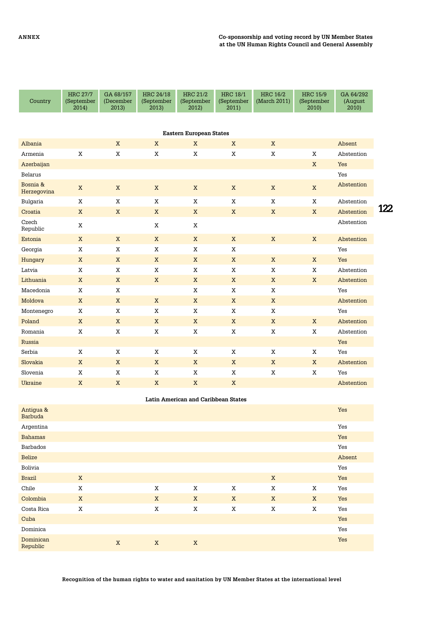| Country                 | <b>HRC 27/7</b><br>(September<br>2014) | GA 68/157<br>(December<br>2013) | <b>HRC 24/18</b><br>(September<br>2013) | <b>HRC 21/2</b><br>(September<br>2012) | <b>HRC 18/1</b><br>(September<br>2011) | <b>HRC 16/2</b><br>(March 2011) | <b>HRC 15/9</b><br>(September<br>2010) | GA 64/292<br>(August<br>2010) |     |
|-------------------------|----------------------------------------|---------------------------------|-----------------------------------------|----------------------------------------|----------------------------------------|---------------------------------|----------------------------------------|-------------------------------|-----|
|                         |                                        |                                 |                                         | <b>Eastern European States</b>         |                                        |                                 |                                        |                               |     |
| Albania                 |                                        | $\mathbf X$                     | X                                       | X                                      | $\mathbf X$                            | X                               |                                        | Absent                        |     |
| Armenia                 | X                                      | $\mathbf X$                     | $\mathbf X$                             | $\mathbf X$                            | $\mathbf X$                            | $\mathbf X$                     | $\mathbf X$                            | Abstention                    |     |
| Azerbaijan              |                                        |                                 |                                         |                                        |                                        |                                 | X                                      | Yes                           |     |
| Belarus                 |                                        |                                 |                                         |                                        |                                        |                                 |                                        | Yes                           |     |
| Bosnia &<br>Herzegovina | $\mathbf X$                            | $\mathbf X$                     | $\mathbf X$                             | $\mathbf X$                            | $\mathbf X$                            | $\mathbf X$                     | $\mathbf X$                            | Abstention                    |     |
| Bulgaria                | X                                      | X                               | X                                       | X                                      | X                                      | X                               | X                                      | Abstention                    |     |
| Croatia                 | $\mathbf X$                            | X                               | $\mathbf X$                             | $\mathbf X$                            | $\mathbf X$                            | X                               | X                                      | Abstention                    | 122 |
| Czech<br>Republic       | $\mathbf X$                            |                                 | $\mathbf X$                             | X                                      |                                        |                                 |                                        | Abstention                    |     |
| Estonia                 | X                                      | X                               | $\mathbf X$                             | X                                      | $\mathbf X$                            | X                               | X                                      | Abstention                    |     |
| Georgia                 | X                                      | $\mathbf X$                     | X                                       | X                                      | $\mathbf X$                            |                                 |                                        | Yes                           |     |
| Hungary                 | $\mathbf X$                            | $\mathbf X$                     | $\mathbf X$                             | X                                      | $\mathbf X$                            | X                               | X                                      | Yes                           |     |
| Latvia                  | X                                      | $\mathbf X$                     | X                                       | X                                      | X                                      | $\mathbf X$                     | X                                      | Abstention                    |     |
| Lithuania               | $\mathbf X$                            | $\mathbf X$                     | $\mathbf X$                             | $\mathbf X$                            | $\mathbf X$                            | $\mathbf X$                     | $\mathbf X$                            | Abstention                    |     |
| Macedonia               | X                                      | $\mathbf X$                     |                                         | $\mathbf X$                            | X                                      | $\mathbf X$                     |                                        | Yes                           |     |
| Moldova                 | $\mathbf X$                            | $\mathbf X$                     | $\mathbf X$                             | $\mathbf X$                            | $\mathbf X$                            | $\mathbf X$                     |                                        | Abstention                    |     |
| Montenegro              | X                                      | $\mathbf X$                     | $\mathbf X$                             | $\mathbf X$                            | $\mathbf X$                            | $\mathbf X$                     |                                        | Yes                           |     |
| Poland                  | $\mathbf X$                            | $\mathbf X$                     | $\mathbf X$                             | $\mathbf X$                            | $\mathbf X$                            | $\mathbf X$                     | $\mathbf X$                            | Abstention                    |     |
| Romania                 | $\mathbf X$                            | $\mathbf X$                     | $\mathbf X$                             | $\mathbf X$                            | $\mathbf X$                            | $\mathbf X$                     | $\mathbf X$                            | Abstention                    |     |
| Russia                  |                                        |                                 |                                         |                                        |                                        |                                 |                                        | Yes                           |     |
| Serbia                  | X                                      | X                               | X                                       | X                                      | X                                      | X                               | X                                      | Yes                           |     |
| Slovakia                | $\mathbf X$                            | $\mathbf X$                     | $\mathbf X$                             | $\mathbf X$                            | $\mathbf X$                            | $\mathbf X$                     | X                                      | Abstention                    |     |
| Slovenia                | X                                      | X                               | $\mathbf X$                             | X                                      | X                                      | $\mathbf X$                     | $\mathbf X$                            | Yes                           |     |
| Ukraine                 | $\mathbf X$                            | $\mathbf X$                     | $\mathbf X$                             | $\mathbf X$                            | X                                      |                                 |                                        | Abstention                    |     |
|                         |                                        |                                 |                                         | Latin American and Caribbean States    |                                        |                                 |                                        |                               |     |
| $A - 1$ $- 0$           |                                        |                                 |                                         |                                        |                                        |                                 |                                        | $T = -$                       |     |

| Antigua &<br>Barbuda  |             |             |             |             |             |             |             | Yes    |
|-----------------------|-------------|-------------|-------------|-------------|-------------|-------------|-------------|--------|
| Argentina             |             |             |             |             |             |             |             | Yes    |
| <b>Bahamas</b>        |             |             |             |             |             |             |             | Yes    |
| Barbados              |             |             |             |             |             |             |             | Yes    |
| <b>Belize</b>         |             |             |             |             |             |             |             | Absent |
| Bolivia               |             |             |             |             |             |             |             | Yes    |
| <b>Brazil</b>         | X           |             |             |             |             | X           |             | Yes    |
| Chile                 | $\mathbf X$ |             | $\mathbf X$ | X           | X           | $\mathbf X$ | $\mathbf X$ | Yes    |
| Colombia              | X           |             | X           | X           | $\mathbf X$ | $\mathbf X$ | X           | Yes    |
| Costa Rica            | X           |             | X           | X           | X           | X           | X           | Yes    |
| Cuba                  |             |             |             |             |             |             |             | Yes    |
| Dominica              |             |             |             |             |             |             |             | Yes    |
| Dominican<br>Republic |             | $\mathbf X$ | $\mathbf X$ | $\mathbf X$ |             |             |             | Yes    |

**Recognition of the human rights to water and sanitation by UN Member States at the international level**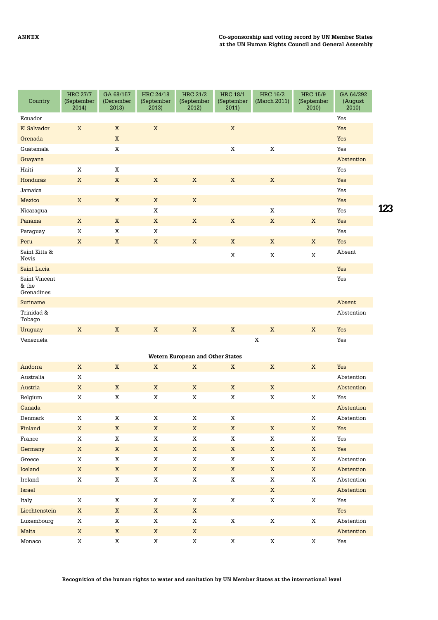| Country                              | <b>HRC 27/7</b><br>(September<br>2014) | GA 68/157<br>(December<br>2013) | HRC 24/18<br>(September<br>2013) | <b>HRC 21/2</b><br>(September<br>2012) | <b>HRC 18/1</b><br>(September<br>2011) | <b>HRC 16/2</b><br>(March 2011) | <b>HRC 15/9</b><br>(September<br>2010) | GA 64/292<br>(August<br>2010) |     |
|--------------------------------------|----------------------------------------|---------------------------------|----------------------------------|----------------------------------------|----------------------------------------|---------------------------------|----------------------------------------|-------------------------------|-----|
| Ecuador                              |                                        |                                 |                                  |                                        |                                        |                                 |                                        | Yes                           |     |
| El Salvador                          | $\mathbf X$                            | $\mathbf X$                     | $\mathbf X$                      |                                        | $\mathbf X$                            |                                 |                                        | Yes                           |     |
| Grenada                              |                                        | $\mathbf X$                     |                                  |                                        |                                        |                                 |                                        | Yes                           |     |
| Guatemala                            |                                        | $\mathbf X$                     |                                  |                                        | $\mathbf X$                            | $\mathbf X$                     |                                        | Yes                           |     |
| Guayana                              |                                        |                                 |                                  |                                        |                                        |                                 |                                        | Abstention                    |     |
| Haiti                                | $\mathbf X$                            | $\mathbf X$                     |                                  |                                        |                                        |                                 |                                        | Yes                           |     |
| Honduras                             | $\mathbf X$                            | $\mathbf X$                     | $\mathbf X$                      | $\mathbf X$                            | $\mathbf X$                            | $\mathbf X$                     |                                        | Yes                           |     |
| Jamaica                              |                                        |                                 |                                  |                                        |                                        |                                 |                                        | Yes                           |     |
| Mexico                               | $\mathbf X$                            | $\mathbf X$                     | $\mathbf X$                      | $\mathbf X$                            |                                        |                                 |                                        | Yes                           |     |
| Nicaragua                            |                                        |                                 | Χ                                |                                        |                                        | X                               |                                        | Yes                           | 123 |
| Panama                               | $\mathbf X$                            | $\mathbf X$                     | $\mathbf X$                      | $\mathbf X$                            | $\mathbf X$                            | $\mathbf X$                     | $\mathbf X$                            | Yes                           |     |
| Paraguay                             | $\mathbf X$                            | $\mathbf X$                     | $\mathbf X$                      |                                        |                                        |                                 |                                        | Yes                           |     |
| Peru                                 | $\mathbf X$                            | $\mathbf X$                     | $\mathbf X$                      | $\mathbf X$                            | $\mathbf X$                            | $\mathbf X$                     | $\mathbf X$                            | Yes                           |     |
| Saint Kitts &<br>Nevis               |                                        |                                 |                                  |                                        | $\mathbf X$                            | $\mathbf X$                     | X                                      | Absent                        |     |
| Saint Lucia                          |                                        |                                 |                                  |                                        |                                        |                                 |                                        | Yes                           |     |
| Saint Vincent<br>& the<br>Grenadines |                                        |                                 |                                  |                                        |                                        |                                 |                                        | Yes                           |     |
| Suriname                             |                                        |                                 |                                  |                                        |                                        |                                 |                                        | Absent                        |     |
| Trinidad &<br>Tobago                 |                                        |                                 |                                  |                                        |                                        |                                 |                                        | Abstention                    |     |
| <b>Uruguay</b>                       | $\mathbf X$                            | $\mathbf X$                     | $\mathbf X$                      | $\mathbf X$                            | $\mathbf X$                            | $\mathbf X$                     | $\mathbf X$                            | Yes                           |     |
| Venezuela                            |                                        |                                 |                                  |                                        |                                        | $\mathbf X$                     |                                        | Yes                           |     |
|                                      |                                        |                                 |                                  | Wetern European and Other States       |                                        |                                 |                                        |                               |     |
| Andorra                              | $\mathbf X$                            | $\mathbf X$                     | $\mathbf X$                      | $\mathbf X$                            | $\mathbf X$                            | $\mathbf X$                     | $\mathbf X$                            | Yes                           |     |
| Australia                            | $\mathbf X$                            |                                 |                                  |                                        |                                        |                                 |                                        | Abstention                    |     |
| Austria                              | $\mathbf X$                            | $\mathbf X$                     | $\mathbf X$                      | $\mathbf X$                            | $\mathbf X$                            | $\mathbf X$                     |                                        | Abstention                    |     |
| Belgium                              | X                                      | $\mathbf X$                     | X                                | X                                      | $\mathbf X$                            | $\mathbf X$                     | X                                      | Yes                           |     |
| Canada                               |                                        |                                 |                                  |                                        |                                        |                                 |                                        | Abstention                    |     |
| Denmark                              | Χ                                      | $\mathbf X$                     | X                                | X                                      | $\mathbf X$                            |                                 | $\mathbf X$                            | Abstention                    |     |
| Finland                              | $\mathbf X$                            | $\mathbf X$                     | $\mathbf X$                      | $\mathbf X$                            | $\mathbf X$                            | $\mathbf X$                     | $\mathbf X$                            | Yes                           |     |
| France                               | $\mathbf X$                            | $\mathbf X$                     | $\mathbf X$                      | $\mathbf X$                            | $\mathbf X$                            | $\mathbf X$                     | $\mathbf X$                            | Yes                           |     |
| Germany                              | $\mathbf X$                            | $\mathbf X$                     | $\mathbf X$                      | $\mathbf X$                            | $\mathbf X$                            | $\mathbf X$                     | $\mathbf X$                            | Yes                           |     |
| Greece                               | $\mathbf X$                            | $\mathbf X$                     | X                                | $\mathbf X$                            | $\mathbf X$                            | $\mathbf X$                     | $\mathbf X$                            | Abstention                    |     |
| Iceland                              | $\mathbf X$                            | $\mathbf X$                     | $\mathbf X$                      | $\mathbf X$                            | $\mathbf X$                            | $\mathbf X$                     | $\mathbf X$                            | Abstention                    |     |
| Ireland                              | $\mathbf X$                            | $\mathbf X$                     | $\mathbf X$                      | $\mathbf X$                            | $\mathbf X$                            | $\mathbf X$                     | $\mathbf X$                            | Abstention                    |     |
| Israel                               |                                        |                                 |                                  |                                        |                                        | $\mathbf X$                     |                                        | Abstention                    |     |
| Italy                                | $\mathbf X$                            | $\mathbf X$                     | $\mathbf X$                      | $\mathbf X$                            | $\mathbf X$                            | $\mathbf X$                     | $\mathbf X$                            | $\operatorname{\mathsf{Yes}}$ |     |
| Liechtenstein                        | $\mathbf X$                            | $\mathbf X$                     | $\mathbf X$                      | $\mathbf X$                            |                                        |                                 |                                        | Yes                           |     |
| Luxembourg                           | X                                      | $\mathbf X$                     | $\mathbf X$                      | $\mathbf X$                            | $\mathbf X$                            | $\mathbf X$                     | $\mathbf X$                            | Abstention                    |     |
| Malta                                | $\mathbf X$                            | $\mathbf X$                     | $\mathbf X$                      | $\mathbf X$                            |                                        |                                 |                                        | Abstention                    |     |
| Monaco                               | $\mathbf X$                            | $\mathbf X$                     | $\mathbf X$                      | X                                      | $\mathbf X$                            | $\mathbf X$                     | $\mathbf X$                            | $\operatorname{\mathsf{Yes}}$ |     |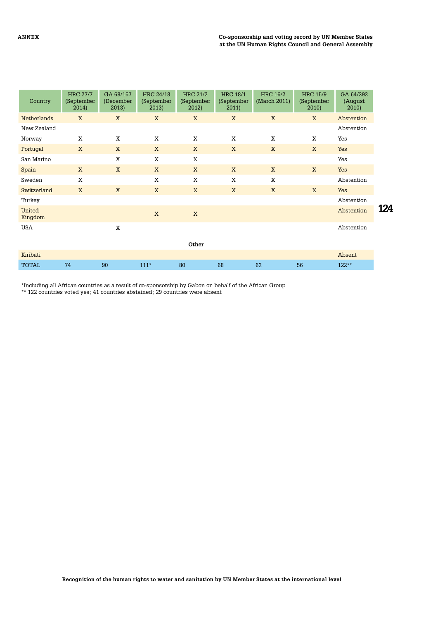| Country            | <b>HRC 27/7</b><br>(September<br>2014) | GA 68/157<br>(December<br>2013) | <b>HRC 24/18</b><br>(September<br>2013) | <b>HRC 21/2</b><br>(September<br>2012) | <b>HRC 18/1</b><br>(September<br>2011) | <b>HRC 16/2</b><br>(March 2011) | <b>HRC 15/9</b><br>(September<br>2010) | GA 64/292<br>(August<br>2010 |     |
|--------------------|----------------------------------------|---------------------------------|-----------------------------------------|----------------------------------------|----------------------------------------|---------------------------------|----------------------------------------|------------------------------|-----|
| <b>Netherlands</b> | X                                      | X                               | X                                       | X                                      | X                                      | X                               | X                                      | Abstention                   |     |
| New Zealand        |                                        |                                 |                                         |                                        |                                        |                                 |                                        | Abstention                   |     |
| Norway             | X                                      | X                               | X                                       | X                                      | X                                      | X                               | X                                      | Yes                          |     |
| Portugal           | X                                      | X                               | X                                       | X                                      | X                                      | X                               | X                                      | Yes                          |     |
| San Marino         |                                        | X                               | X                                       | X                                      |                                        |                                 |                                        | Yes                          |     |
| Spain              | X                                      | X                               | X                                       | X                                      | X                                      | X                               | X                                      | Yes                          |     |
| Sweden             | X                                      |                                 | X                                       | X                                      | X                                      | X                               |                                        | Abstention                   |     |
| Switzerland        | X                                      | X                               | X                                       | X                                      | X                                      | X                               | X                                      | Yes                          |     |
| Turkey             |                                        |                                 |                                         |                                        |                                        |                                 |                                        | Abstention                   |     |
| United<br>Kingdom  |                                        |                                 | X                                       | X                                      |                                        |                                 |                                        | Abstention                   | 124 |
| <b>USA</b>         |                                        | X                               |                                         |                                        |                                        |                                 |                                        | Abstention                   |     |
|                    |                                        |                                 |                                         | Other                                  |                                        |                                 |                                        |                              |     |
| Kiribati           |                                        |                                 |                                         |                                        |                                        |                                 |                                        | Absent                       |     |
| <b>TOTAL</b>       | 74                                     | 90                              | $111*$                                  | 80                                     | 68                                     | 62                              | 56                                     | $122**$                      |     |

\*Including all African countries as a result of co-sponsorship by Gabon on behalf of the African Group

\*\* 122 countries voted yes; 41 countries abstained; 29 countries were absent